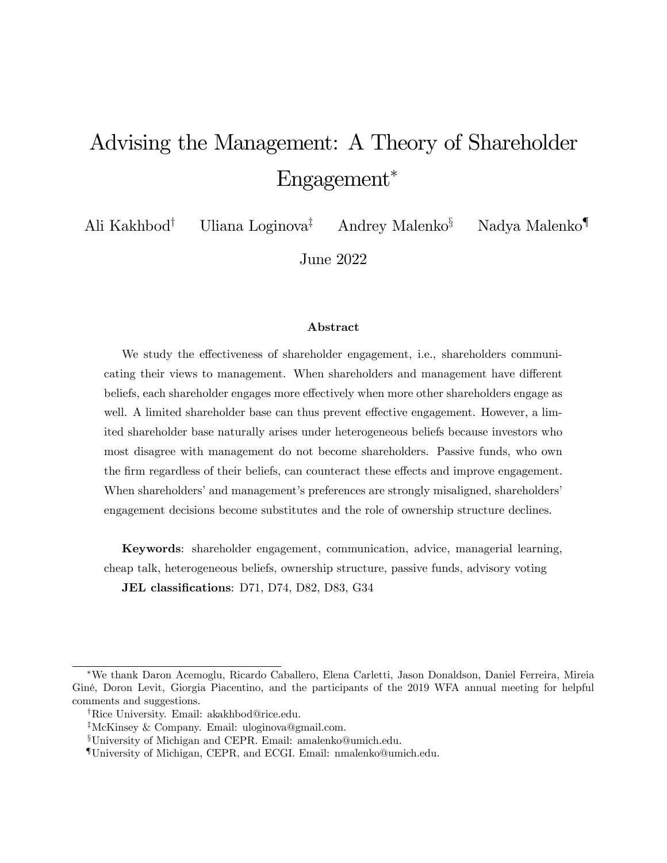# Advising the Management: A Theory of Shareholder Engagement<sup>∗</sup>

Ali Kakhbod† Uliana Loginova‡ Andrey Malenko§ Nadya Malenko¶

June 2022

#### Abstract

We study the effectiveness of shareholder engagement, i.e., shareholders communicating their views to management. When shareholders and management have different beliefs, each shareholder engages more effectively when more other shareholders engage as well. A limited shareholder base can thus prevent effective engagement. However, a limited shareholder base naturally arises under heterogeneous beliefs because investors who most disagree with management do not become shareholders. Passive funds, who own the firm regardless of their beliefs, can counteract these effects and improve engagement. When shareholders' and management's preferences are strongly misaligned, shareholders' engagement decisions become substitutes and the role of ownership structure declines.

Keywords: shareholder engagement, communication, advice, managerial learning, cheap talk, heterogeneous beliefs, ownership structure, passive funds, advisory voting JEL classifications: D71, D74, D82, D83, G34

<sup>∗</sup>We thank Daron Acemoglu, Ricardo Caballero, Elena Carletti, Jason Donaldson, Daniel Ferreira, Mireia Giné, Doron Levit, Giorgia Piacentino, and the participants of the 2019 WFA annual meeting for helpful comments and suggestions.

<sup>†</sup>Rice University. Email: akakhbod@rice.edu.

<sup>‡</sup>McKinsey & Company. Email: uloginova@gmail.com.

<sup>§</sup>University of Michigan and CEPR. Email: amalenko@umich.edu.

<sup>¶</sup>University of Michigan, CEPR, and ECGI. Email: nmalenko@umich.edu.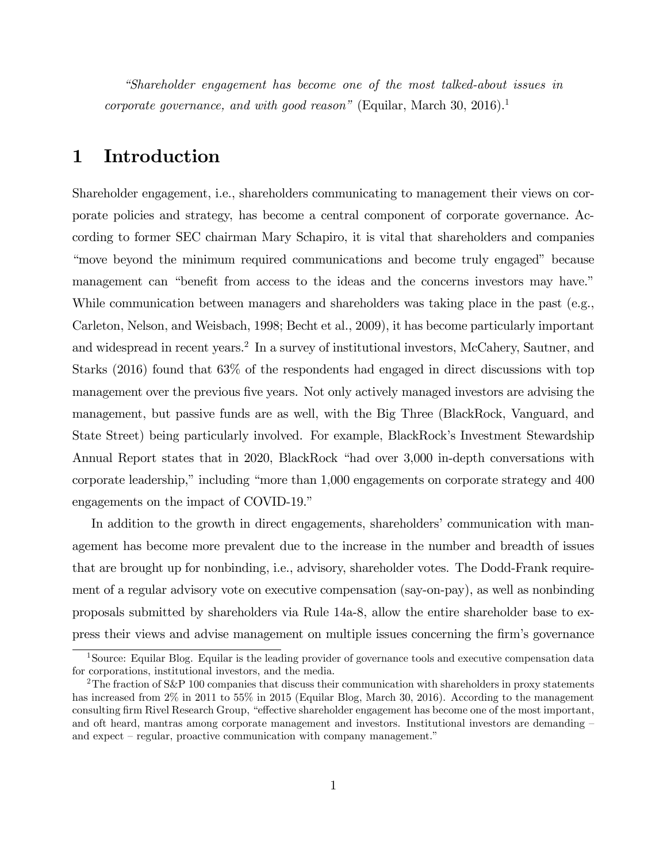*"Shareholder engagement has become one of the most talked-about issues in corporate governance, and with good reason*" (Equilar, March 30, 2016).<sup>1</sup>

## 1 Introduction

Shareholder engagement, i.e., shareholders communicating to management their views on corporate policies and strategy, has become a central component of corporate governance. According to former SEC chairman Mary Schapiro, it is vital that shareholders and companies "move beyond the minimum required communications and become truly engaged" because management can "benefit from access to the ideas and the concerns investors may have." While communication between managers and shareholders was taking place in the past (e.g., Carleton, Nelson, and Weisbach, 1998; Becht et al., 2009), it has become particularly important and widespread in recent years.<sup>2</sup> In a survey of institutional investors, McCahery, Sautner, and Starks (2016) found that 63% of the respondents had engaged in direct discussions with top management over the previous five years. Not only actively managed investors are advising the management, but passive funds are as well, with the Big Three (BlackRock, Vanguard, and State Street) being particularly involved. For example, BlackRock's Investment Stewardship Annual Report states that in 2020, BlackRock "had over 3,000 in-depth conversations with corporate leadership," including "more than 1,000 engagements on corporate strategy and 400 engagements on the impact of COVID-19."

In addition to the growth in direct engagements, shareholders' communication with management has become more prevalent due to the increase in the number and breadth of issues that are brought up for nonbinding, i.e., advisory, shareholder votes. The Dodd-Frank requirement of a regular advisory vote on executive compensation (say-on-pay), as well as nonbinding proposals submitted by shareholders via Rule 14a-8, allow the entire shareholder base to express their views and advise management on multiple issues concerning the firm's governance

<sup>&</sup>lt;sup>1</sup>Source: Equilar Blog. Equilar is the leading provider of governance tools and executive compensation data for corporations, institutional investors, and the media.

<sup>&</sup>lt;sup>2</sup>The fraction of S&P 100 companies that discuss their communication with shareholders in proxy statements has increased from  $2\%$  in 2011 to 55% in 2015 (Equilar Blog, March 30, 2016). According to the management consulting firm Rivel Research Group, "effective shareholder engagement has become one of the most important, and oft heard, mantras among corporate management and investors. Institutional investors are demanding – and expect — regular, proactive communication with company management."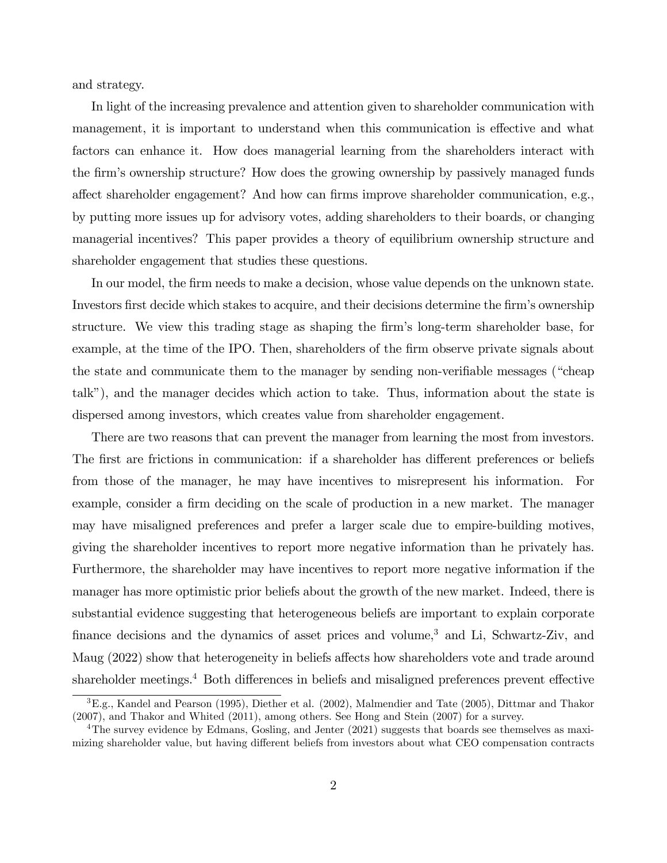and strategy.

In light of the increasing prevalence and attention given to shareholder communication with management, it is important to understand when this communication is effective and what factors can enhance it. How does managerial learning from the shareholders interact with the firm's ownership structure? How does the growing ownership by passively managed funds affect shareholder engagement? And how can firms improve shareholder communication, e.g., by putting more issues up for advisory votes, adding shareholders to their boards, or changing managerial incentives? This paper provides a theory of equilibrium ownership structure and shareholder engagement that studies these questions.

In our model, the firm needs to make a decision, whose value depends on the unknown state. Investors first decide which stakes to acquire, and their decisions determine the firm's ownership structure. We view this trading stage as shaping the firm's long-term shareholder base, for example, at the time of the IPO. Then, shareholders of the firm observe private signals about the state and communicate them to the manager by sending non-verifiable messages ("cheap talk"), and the manager decides which action to take. Thus, information about the state is dispersed among investors, which creates value from shareholder engagement.

There are two reasons that can prevent the manager from learning the most from investors. The first are frictions in communication: if a shareholder has different preferences or beliefs from those of the manager, he may have incentives to misrepresent his information. For example, consider a firm deciding on the scale of production in a new market. The manager may have misaligned preferences and prefer a larger scale due to empire-building motives, giving the shareholder incentives to report more negative information than he privately has. Furthermore, the shareholder may have incentives to report more negative information if the manager has more optimistic prior beliefs about the growth of the new market. Indeed, there is substantial evidence suggesting that heterogeneous beliefs are important to explain corporate finance decisions and the dynamics of asset prices and volume,<sup>3</sup> and Li, Schwartz-Ziv, and Maug (2022) show that heterogeneity in beliefs affects how shareholders vote and trade around shareholder meetings.<sup>4</sup> Both differences in beliefs and misaligned preferences prevent effective

<sup>3</sup>E.g., Kandel and Pearson (1995), Diether et al. (2002), Malmendier and Tate (2005), Dittmar and Thakor (2007), and Thakor and Whited (2011), among others. See Hong and Stein (2007) for a survey.

<sup>&</sup>lt;sup>4</sup>The survey evidence by Edmans, Gosling, and Jenter (2021) suggests that boards see themselves as maximizing shareholder value, but having different beliefs from investors about what CEO compensation contracts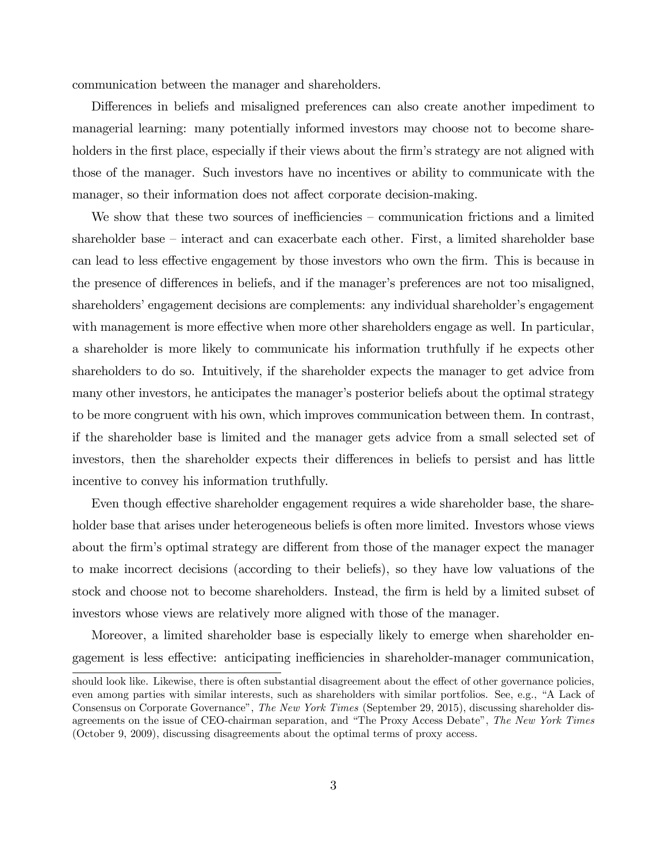communication between the manager and shareholders.

Differences in beliefs and misaligned preferences can also create another impediment to managerial learning: many potentially informed investors may choose not to become shareholders in the first place, especially if their views about the firm's strategy are not aligned with those of the manager. Such investors have no incentives or ability to communicate with the manager, so their information does not affect corporate decision-making.

We show that these two sources of inefficiencies  $-$  communication frictions and a limited shareholder base — interact and can exacerbate each other. First, a limited shareholder base can lead to less effective engagement by those investors who own the firm. This is because in the presence of differences in beliefs, and if the manager's preferences are not too misaligned, shareholders' engagement decisions are complements: any individual shareholder's engagement with management is more effective when more other shareholders engage as well. In particular, a shareholder is more likely to communicate his information truthfully if he expects other shareholders to do so. Intuitively, if the shareholder expects the manager to get advice from many other investors, he anticipates the manager's posterior beliefs about the optimal strategy to be more congruent with his own, which improves communication between them. In contrast, if the shareholder base is limited and the manager gets advice from a small selected set of investors, then the shareholder expects their differences in beliefs to persist and has little incentive to convey his information truthfully.

Even though effective shareholder engagement requires a wide shareholder base, the shareholder base that arises under heterogeneous beliefs is often more limited. Investors whose views about the firm's optimal strategy are different from those of the manager expect the manager to make incorrect decisions (according to their beliefs), so they have low valuations of the stock and choose not to become shareholders. Instead, the firm is held by a limited subset of investors whose views are relatively more aligned with those of the manager.

Moreover, a limited shareholder base is especially likely to emerge when shareholder engagement is less effective: anticipating inefficiencies in shareholder-manager communication,

should look like. Likewise, there is often substantial disagreement about the effect of other governance policies, even among parties with similar interests, such as shareholders with similar portfolios. See, e.g., "A Lack of Consensus on Corporate Governance", *The New York Times* (September 29, 2015), discussing shareholder disagreements on the issue of CEO-chairman separation, and "The Proxy Access Debate", *The New York Times* (October 9, 2009), discussing disagreements about the optimal terms of proxy access.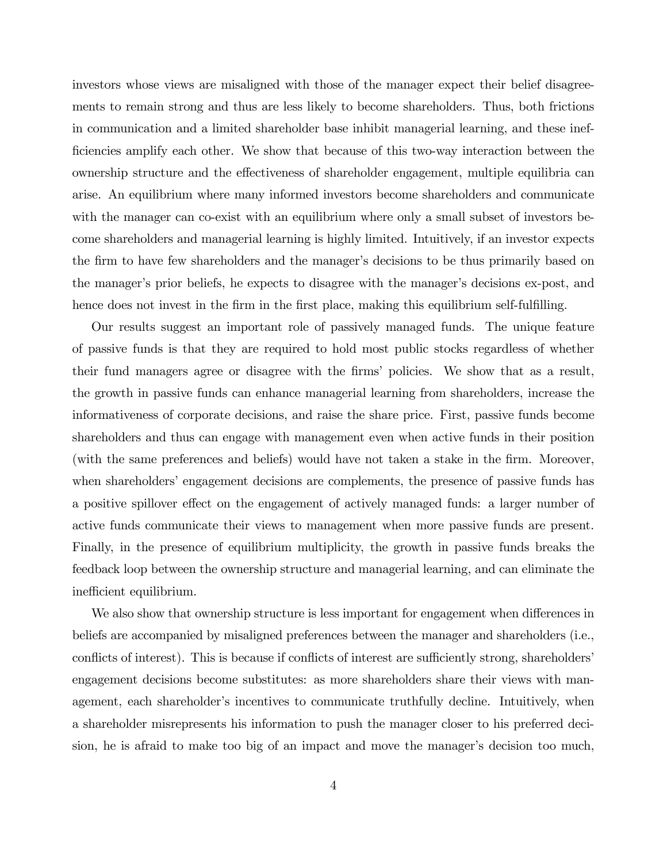investors whose views are misaligned with those of the manager expect their belief disagreements to remain strong and thus are less likely to become shareholders. Thus, both frictions in communication and a limited shareholder base inhibit managerial learning, and these inefficiencies amplify each other. We show that because of this two-way interaction between the ownership structure and the effectiveness of shareholder engagement, multiple equilibria can arise. An equilibrium where many informed investors become shareholders and communicate with the manager can co-exist with an equilibrium where only a small subset of investors become shareholders and managerial learning is highly limited. Intuitively, if an investor expects the firm to have few shareholders and the manager's decisions to be thus primarily based on the manager's prior beliefs, he expects to disagree with the manager's decisions ex-post, and hence does not invest in the firm in the first place, making this equilibrium self-fulfilling.

Our results suggest an important role of passively managed funds. The unique feature of passive funds is that they are required to hold most public stocks regardless of whether their fund managers agree or disagree with the firms' policies. We show that as a result, the growth in passive funds can enhance managerial learning from shareholders, increase the informativeness of corporate decisions, and raise the share price. First, passive funds become shareholders and thus can engage with management even when active funds in their position (with the same preferences and beliefs) would have not taken a stake in the firm. Moreover, when shareholders' engagement decisions are complements, the presence of passive funds has a positive spillover effect on the engagement of actively managed funds: a larger number of active funds communicate their views to management when more passive funds are present. Finally, in the presence of equilibrium multiplicity, the growth in passive funds breaks the feedback loop between the ownership structure and managerial learning, and can eliminate the inefficient equilibrium.

We also show that ownership structure is less important for engagement when differences in beliefs are accompanied by misaligned preferences between the manager and shareholders (i.e., conflicts of interest). This is because if conflicts of interest are sufficiently strong, shareholders' engagement decisions become substitutes: as more shareholders share their views with management, each shareholder's incentives to communicate truthfully decline. Intuitively, when a shareholder misrepresents his information to push the manager closer to his preferred decision, he is afraid to make too big of an impact and move the manager's decision too much,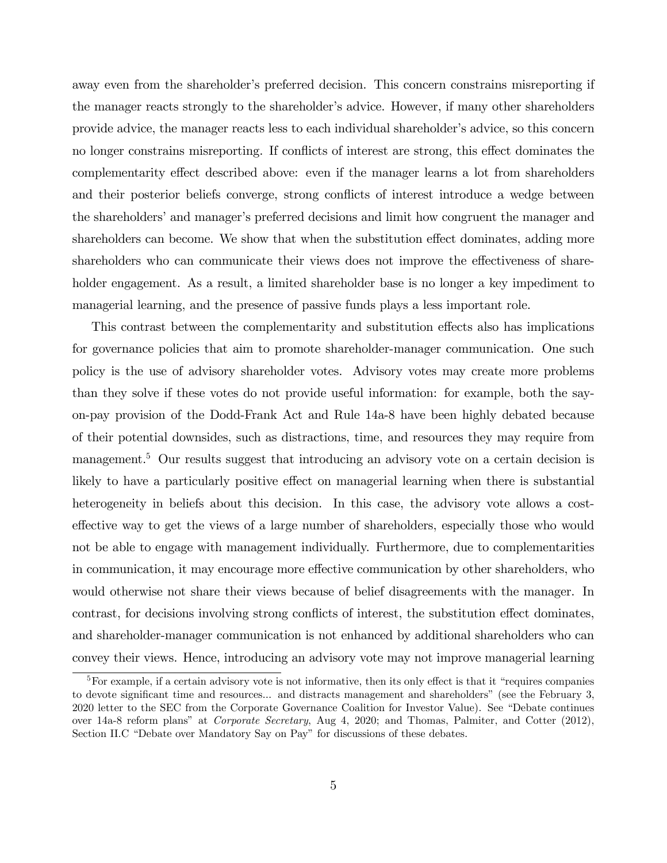away even from the shareholder's preferred decision. This concern constrains misreporting if the manager reacts strongly to the shareholder's advice. However, if many other shareholders provide advice, the manager reacts less to each individual shareholder's advice, so this concern no longer constrains misreporting. If conflicts of interest are strong, this effect dominates the complementarity effect described above: even if the manager learns a lot from shareholders and their posterior beliefs converge, strong conflicts of interest introduce a wedge between the shareholders' and manager's preferred decisions and limit how congruent the manager and shareholders can become. We show that when the substitution effect dominates, adding more shareholders who can communicate their views does not improve the effectiveness of shareholder engagement. As a result, a limited shareholder base is no longer a key impediment to managerial learning, and the presence of passive funds plays a less important role.

This contrast between the complementarity and substitution effects also has implications for governance policies that aim to promote shareholder-manager communication. One such policy is the use of advisory shareholder votes. Advisory votes may create more problems than they solve if these votes do not provide useful information: for example, both the sayon-pay provision of the Dodd-Frank Act and Rule 14a-8 have been highly debated because of their potential downsides, such as distractions, time, and resources they may require from management.<sup>5</sup> Our results suggest that introducing an advisory vote on a certain decision is likely to have a particularly positive effect on managerial learning when there is substantial heterogeneity in beliefs about this decision. In this case, the advisory vote allows a costeffective way to get the views of a large number of shareholders, especially those who would not be able to engage with management individually. Furthermore, due to complementarities in communication, it may encourage more effective communication by other shareholders, who would otherwise not share their views because of belief disagreements with the manager. In contrast, for decisions involving strong conflicts of interest, the substitution effect dominates, and shareholder-manager communication is not enhanced by additional shareholders who can convey their views. Hence, introducing an advisory vote may not improve managerial learning

 $5$ For example, if a certain advisory vote is not informative, then its only effect is that it "requires companies" to devote significant time and resources... and distracts management and shareholders" (see the February 3, 2020 letter to the SEC from the Corporate Governance Coalition for Investor Value). See "Debate continues over 14a-8 reform plans" at *Corporate Secretary*, Aug 4, 2020; and Thomas, Palmiter, and Cotter (2012), Section II.C "Debate over Mandatory Say on Pay" for discussions of these debates.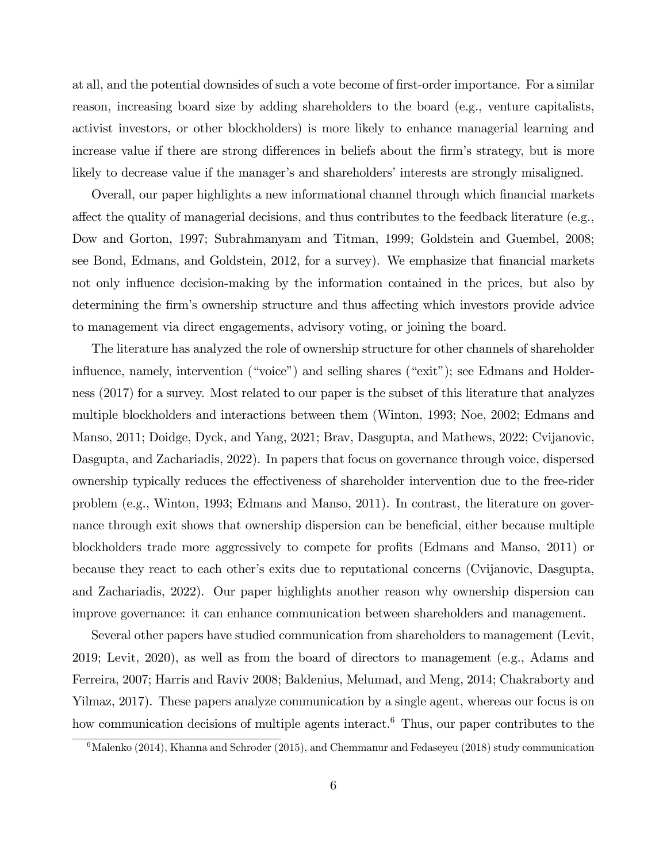at all, and the potential downsides of such a vote become of first-order importance. For a similar reason, increasing board size by adding shareholders to the board (e.g., venture capitalists, activist investors, or other blockholders) is more likely to enhance managerial learning and increase value if there are strong differences in beliefs about the firm's strategy, but is more likely to decrease value if the manager's and shareholders' interests are strongly misaligned.

Overall, our paper highlights a new informational channel through which financial markets affect the quality of managerial decisions, and thus contributes to the feedback literature (e.g., Dow and Gorton, 1997; Subrahmanyam and Titman, 1999; Goldstein and Guembel, 2008; see Bond, Edmans, and Goldstein, 2012, for a survey). We emphasize that financial markets not only influence decision-making by the information contained in the prices, but also by determining the firm's ownership structure and thus affecting which investors provide advice to management via direct engagements, advisory voting, or joining the board.

The literature has analyzed the role of ownership structure for other channels of shareholder influence, namely, intervention ("voice") and selling shares ("exit"); see Edmans and Holderness (2017) for a survey. Most related to our paper is the subset of this literature that analyzes multiple blockholders and interactions between them (Winton, 1993; Noe, 2002; Edmans and Manso, 2011; Doidge, Dyck, and Yang, 2021; Brav, Dasgupta, and Mathews, 2022; Cvijanovic, Dasgupta, and Zachariadis, 2022). In papers that focus on governance through voice, dispersed ownership typically reduces the effectiveness of shareholder intervention due to the free-rider problem (e.g., Winton, 1993; Edmans and Manso, 2011). In contrast, the literature on governance through exit shows that ownership dispersion can be beneficial, either because multiple blockholders trade more aggressively to compete for profits (Edmans and Manso, 2011) or because they react to each other's exits due to reputational concerns (Cvijanovic, Dasgupta, and Zachariadis, 2022). Our paper highlights another reason why ownership dispersion can improve governance: it can enhance communication between shareholders and management.

Several other papers have studied communication from shareholders to management (Levit, 2019; Levit, 2020), as well as from the board of directors to management (e.g., Adams and Ferreira, 2007; Harris and Raviv 2008; Baldenius, Melumad, and Meng, 2014; Chakraborty and Yilmaz, 2017). These papers analyze communication by a single agent, whereas our focus is on how communication decisions of multiple agents interact.<sup>6</sup> Thus, our paper contributes to the

 $6$ Malenko (2014), Khanna and Schroder (2015), and Chemmanur and Fedaseyeu (2018) study communication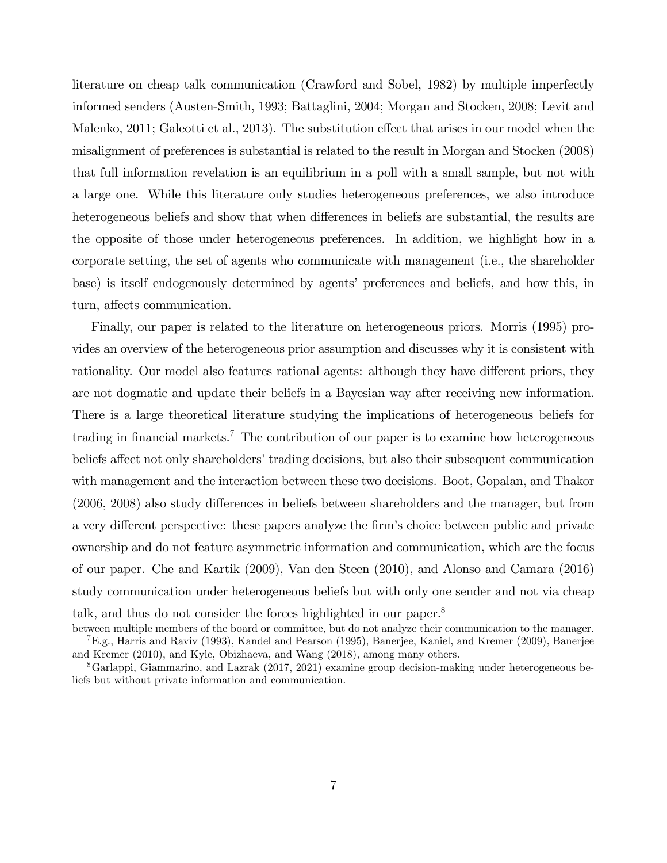literature on cheap talk communication (Crawford and Sobel, 1982) by multiple imperfectly informed senders (Austen-Smith, 1993; Battaglini, 2004; Morgan and Stocken, 2008; Levit and Malenko, 2011; Galeotti et al., 2013). The substitution effect that arises in our model when the misalignment of preferences is substantial is related to the result in Morgan and Stocken (2008) that full information revelation is an equilibrium in a poll with a small sample, but not with a large one. While this literature only studies heterogeneous preferences, we also introduce heterogeneous beliefs and show that when differences in beliefs are substantial, the results are the opposite of those under heterogeneous preferences. In addition, we highlight how in a corporate setting, the set of agents who communicate with management (i.e., the shareholder base) is itself endogenously determined by agents' preferences and beliefs, and how this, in turn, affects communication.

Finally, our paper is related to the literature on heterogeneous priors. Morris (1995) provides an overview of the heterogeneous prior assumption and discusses why it is consistent with rationality. Our model also features rational agents: although they have different priors, they are not dogmatic and update their beliefs in a Bayesian way after receiving new information. There is a large theoretical literature studying the implications of heterogeneous beliefs for trading in financial markets.<sup>7</sup> The contribution of our paper is to examine how heterogeneous beliefs affect not only shareholders' trading decisions, but also their subsequent communication with management and the interaction between these two decisions. Boot, Gopalan, and Thakor  $(2006, 2008)$  also study differences in beliefs between shareholders and the manager, but from a very different perspective: these papers analyze the firm's choice between public and private ownership and do not feature asymmetric information and communication, which are the focus of our paper. Che and Kartik (2009), Van den Steen (2010), and Alonso and Camara (2016) study communication under heterogeneous beliefs but with only one sender and not via cheap talk, and thus do not consider the forces highlighted in our paper.<sup>8</sup>

between multiple members of the board or committee, but do not analyze their communication to the manager. 7E.g., Harris and Raviv (1993), Kandel and Pearson (1995), Banerjee, Kaniel, and Kremer (2009), Banerjee and Kremer (2010), and Kyle, Obizhaeva, and Wang (2018), among many others.

<sup>8</sup>Garlappi, Giammarino, and Lazrak (2017, 2021) examine group decision-making under heterogeneous beliefs but without private information and communication.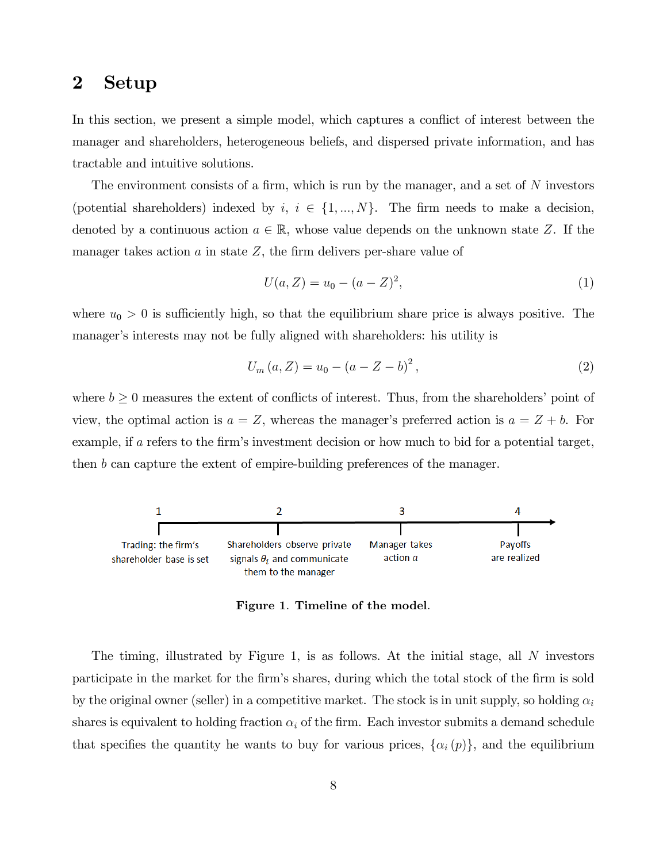## 2 Setup

In this section, we present a simple model, which captures a conflict of interest between the manager and shareholders, heterogeneous beliefs, and dispersed private information, and has tractable and intuitive solutions.

The environment consists of a firm, which is run by the manager, and a set of *N* investors (potential shareholders) indexed by  $i, i \in \{1, ..., N\}$ . The firm needs to make a decision, denoted by a continuous action  $a \in \mathbb{R}$ , whose value depends on the unknown state Z. If the manager takes action  $a$  in state  $Z$ , the firm delivers per-share value of

$$
U(a, Z) = u_0 - (a - Z)^2,
$$
\n(1)

where  $u_0 > 0$  is sufficiently high, so that the equilibrium share price is always positive. The manager's interests may not be fully aligned with shareholders: his utility is

$$
U_m(a, Z) = u_0 - (a - Z - b)^2,
$$
\n(2)

where  $b \geq 0$  measures the extent of conflicts of interest. Thus, from the shareholders' point of view, the optimal action is  $a = Z$ , whereas the manager's preferred action is  $a = Z + b$ . For example, if *a* refers to the firm's investment decision or how much to bid for a potential target, then *b* can capture the extent of empire-building preferences of the manager.



Figure 1. Timeline of the model.

The timing, illustrated by Figure 1, is as follows. At the initial stage, all *N* investors participate in the market for the firm's shares, during which the total stock of the firm is sold by the original owner (seller) in a competitive market. The stock is in unit supply, so holding  $\alpha_i$ shares is equivalent to holding fraction  $\alpha_i$  of the firm. Each investor submits a demand schedule that specifies the quantity he wants to buy for various prices,  $\{\alpha_i(p)\}\$ , and the equilibrium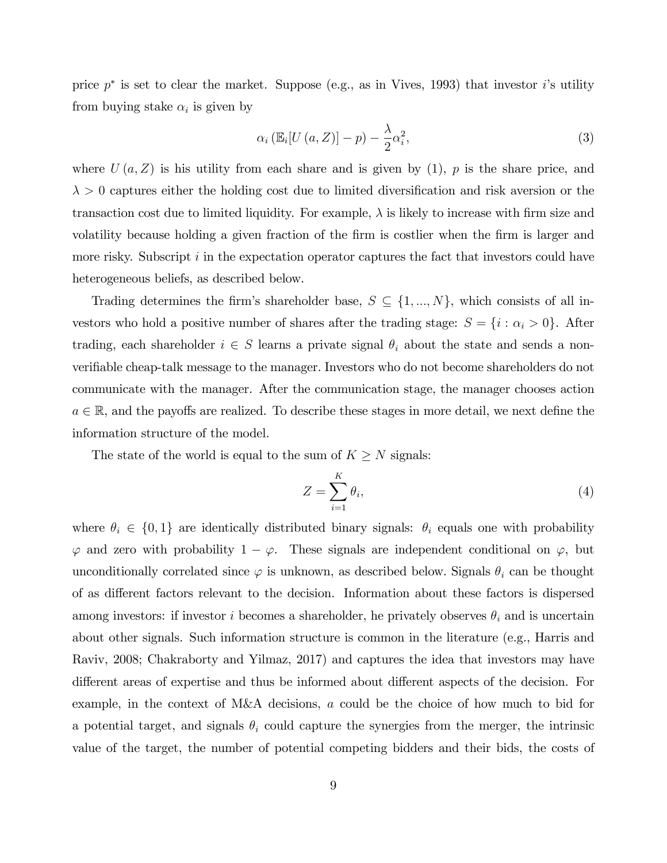price *p*<sup>∗</sup> is set to clear the market. Suppose (e.g., as in Vives, 1993) that investor *i*'s utility from buying stake  $\alpha_i$  is given by

$$
\alpha_i \left( \mathbb{E}_i[U\left( a, Z \right) \right] - p \right) - \frac{\lambda}{2} \alpha_i^2, \tag{3}
$$

where  $U(a, Z)$  is his utility from each share and is given by  $(1)$ ,  $p$  is the share price, and  $\lambda > 0$  captures either the holding cost due to limited diversification and risk aversion or the transaction cost due to limited liquidity. For example,  $\lambda$  is likely to increase with firm size and volatility because holding a given fraction of the firm is costlier when the firm is larger and more risky. Subscript *i* in the expectation operator captures the fact that investors could have heterogeneous beliefs, as described below.

Trading determines the firm's shareholder base,  $S \subseteq \{1, ..., N\}$ , which consists of all investors who hold a positive number of shares after the trading stage:  $S = \{i : \alpha_i > 0\}$ . After trading, each shareholder  $i \in S$  learns a private signal  $\theta_i$  about the state and sends a nonverifiable cheap-talk message to the manager. Investors who do not become shareholders do not communicate with the manager. After the communication stage, the manager chooses action  $a \in \mathbb{R}$ , and the payoffs are realized. To describe these stages in more detail, we next define the information structure of the model.

The state of the world is equal to the sum of  $K \geq N$  signals:

$$
Z = \sum_{i=1}^{K} \theta_i,\tag{4}
$$

where  $\theta_i \in \{0,1\}$  are identically distributed binary signals:  $\theta_i$  equals one with probability  $\varphi$  and zero with probability  $1 - \varphi$ . These signals are independent conditional on  $\varphi$ , but unconditionally correlated since  $\varphi$  is unknown, as described below. Signals  $\theta_i$  can be thought of as different factors relevant to the decision. Information about these factors is dispersed among investors: if investor *i* becomes a shareholder, he privately observes  $\theta_i$  and is uncertain about other signals. Such information structure is common in the literature (e.g., Harris and Raviv, 2008; Chakraborty and Yilmaz, 2017) and captures the idea that investors may have different areas of expertise and thus be informed about different aspects of the decision. For example, in the context of M&A decisions, *a* could be the choice of how much to bid for a potential target, and signals  $\theta_i$  could capture the synergies from the merger, the intrinsic value of the target, the number of potential competing bidders and their bids, the costs of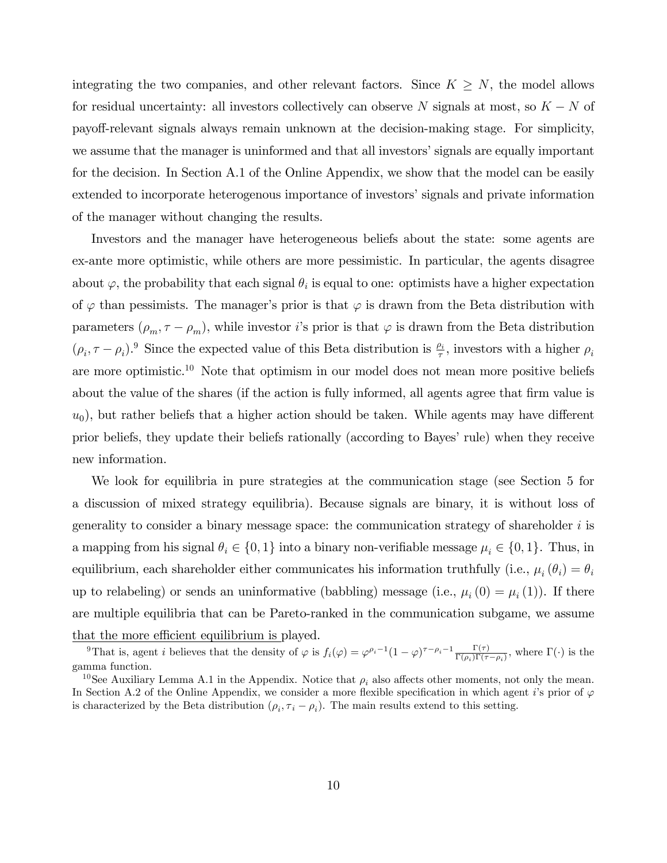integrating the two companies, and other relevant factors. Since  $K \geq N$ , the model allows for residual uncertainty: all investors collectively can observe *N* signals at most, so *K* − *N* of payo§-relevant signals always remain unknown at the decision-making stage. For simplicity, we assume that the manager is uninformed and that all investors' signals are equally important for the decision. In Section A.1 of the Online Appendix, we show that the model can be easily extended to incorporate heterogenous importance of investors' signals and private information of the manager without changing the results.

Investors and the manager have heterogeneous beliefs about the state: some agents are ex-ante more optimistic, while others are more pessimistic. In particular, the agents disagree about  $\varphi$ , the probability that each signal  $\theta_i$  is equal to one: optimists have a higher expectation of  $\varphi$  than pessimists. The manager's prior is that  $\varphi$  is drawn from the Beta distribution with parameters  $(\rho_m, \tau - \rho_m)$ , while investor *i*'s prior is that  $\varphi$  is drawn from the Beta distribution  $(\rho_i, \tau - \rho_i)$ <sup>9</sup> Since the expected value of this Beta distribution is  $\frac{\rho_i}{\tau}$ , investors with a higher  $\rho_i$ are more optimistic.10 Note that optimism in our model does not mean more positive beliefs about the value of the shares (if the action is fully informed, all agents agree that firm value is  $u_0$ , but rather beliefs that a higher action should be taken. While agents may have different prior beliefs, they update their beliefs rationally (according to Bayes' rule) when they receive new information.

We look for equilibria in pure strategies at the communication stage (see Section 5 for a discussion of mixed strategy equilibria). Because signals are binary, it is without loss of generality to consider a binary message space: the communication strategy of shareholder *i* is a mapping from his signal  $\theta_i \in \{0, 1\}$  into a binary non-verifiable message  $\mu_i \in \{0, 1\}$ . Thus, in equilibrium, each shareholder either communicates his information truthfully (i.e.,  $\mu_i(\theta_i) = \theta_i$ up to relabeling) or sends an uninformative (babbling) message (i.e.,  $\mu_i(0) = \mu_i(1)$ ). If there are multiple equilibria that can be Pareto-ranked in the communication subgame, we assume that the more efficient equilibrium is played.

<sup>&</sup>lt;sup>9</sup>That is, agent *i* believes that the density of  $\varphi$  is  $f_i(\varphi) = \varphi^{\rho_i-1}(1-\varphi)^{\tau-\rho_i-1}\frac{\Gamma(\tau)}{\Gamma(\rho_i)\Gamma(\tau-\rho_i)}$ , where  $\Gamma(\cdot)$  is the gamma function.

<sup>&</sup>lt;sup>10</sup>See Auxiliary Lemma A.1 in the Appendix. Notice that  $\rho_i$  also affects other moments, not only the mean. In Section A.2 of the Online Appendix, we consider a more flexible specification in which agent *i*'s prior of  $\varphi$ is characterized by the Beta distribution  $(\rho_i, \tau_i - \rho_i)$ . The main results extend to this setting.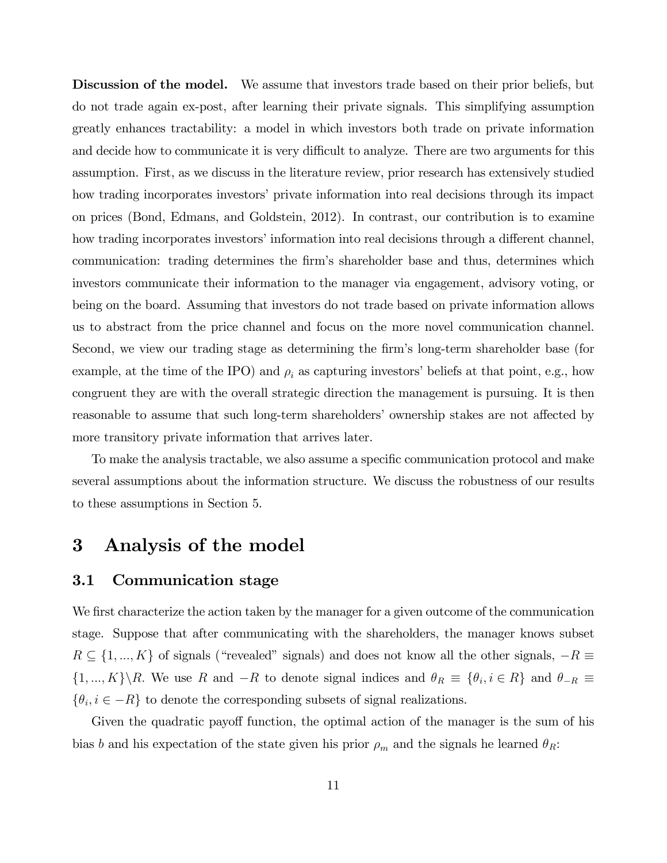Discussion of the model. We assume that investors trade based on their prior beliefs, but do not trade again ex-post, after learning their private signals. This simplifying assumption greatly enhances tractability: a model in which investors both trade on private information and decide how to communicate it is very difficult to analyze. There are two arguments for this assumption. First, as we discuss in the literature review, prior research has extensively studied how trading incorporates investors' private information into real decisions through its impact on prices (Bond, Edmans, and Goldstein, 2012). In contrast, our contribution is to examine how trading incorporates investors' information into real decisions through a different channel, communication: trading determines the firm's shareholder base and thus, determines which investors communicate their information to the manager via engagement, advisory voting, or being on the board. Assuming that investors do not trade based on private information allows us to abstract from the price channel and focus on the more novel communication channel. Second, we view our trading stage as determining the firm's long-term shareholder base (for example, at the time of the IPO) and  $\rho_i$  as capturing investors' beliefs at that point, e.g., how congruent they are with the overall strategic direction the management is pursuing. It is then reasonable to assume that such long-term shareholders' ownership stakes are not affected by more transitory private information that arrives later.

To make the analysis tractable, we also assume a specific communication protocol and make several assumptions about the information structure. We discuss the robustness of our results to these assumptions in Section 5.

## 3 Analysis of the model

## 3.1 Communication stage

We first characterize the action taken by the manager for a given outcome of the communication stage. Suppose that after communicating with the shareholders, the manager knows subset *R* ⊆ {1, ..., *K*} of signals ("revealed" signals) and does not know all the other signals,  $-R \equiv$ {1, ..., K}\*R*. We use *R* and  $-R$  to denote signal indices and  $\theta_R \equiv {\theta_i, i \in R}$  and  $\theta_{-R} \equiv$  $\{\theta_i, i \in -R\}$  to denote the corresponding subsets of signal realizations.

Given the quadratic payoff function, the optimal action of the manager is the sum of his bias *b* and his expectation of the state given his prior  $\rho_m$  and the signals he learned  $\theta_R$ :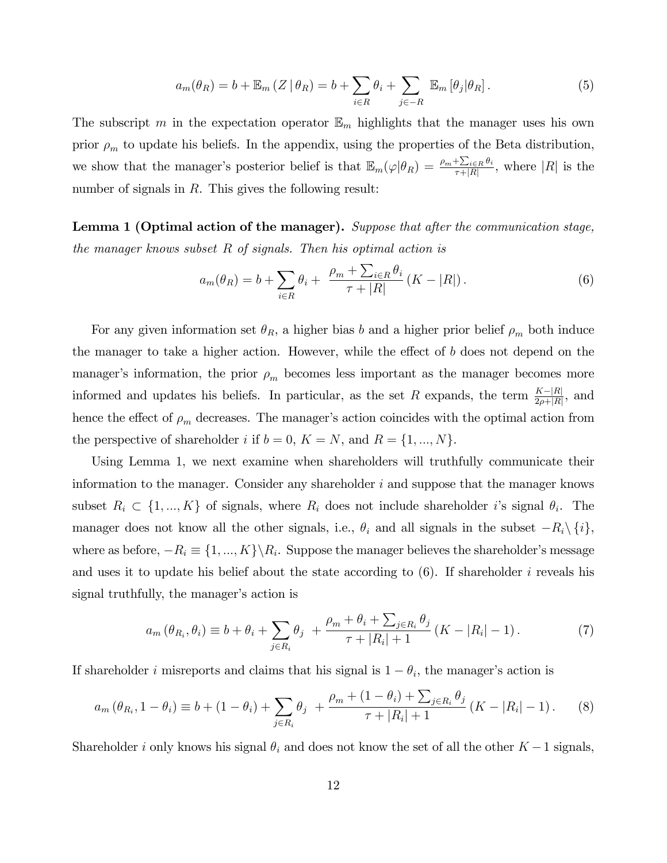$$
a_m(\theta_R) = b + \mathbb{E}_m(Z \mid \theta_R) = b + \sum_{i \in R} \theta_i + \sum_{j \in -R} \mathbb{E}_m[\theta_j | \theta_R]. \tag{5}
$$

The subscript *m* in the expectation operator  $\mathbb{E}_m$  highlights that the manager uses his own prior  $\rho_m$  to update his beliefs. In the appendix, using the properties of the Beta distribution, we show that the manager's posterior belief is that  $\mathbb{E}_m(\varphi|\theta_R) = \frac{\rho_m + \sum_{i \in R} \theta_i}{\tau + |R|}$ , where  $|R|$  is the number of signals in *R*. This gives the following result:

Lemma 1 (Optimal action of the manager). *Suppose that after the communication stage, the manager knows subset R of signals. Then his optimal action is*

$$
a_m(\theta_R) = b + \sum_{i \in R} \theta_i + \frac{\rho_m + \sum_{i \in R} \theta_i}{\tau + |R|} (K - |R|).
$$
 (6)

For any given information set  $\theta_R$ , a higher bias *b* and a higher prior belief  $\rho_m$  both induce the manager to take a higher action. However, while the effect of  $b$  does not depend on the manager's information, the prior  $\rho_m$  becomes less important as the manager becomes more informed and updates his beliefs. In particular, as the set *R* expands, the term  $\frac{K-|R|}{2\rho+|R|}$ , and hence the effect of  $\rho_m$  decreases. The manager's action coincides with the optimal action from the perspective of shareholder *i* if  $b = 0$ ,  $K = N$ , and  $R = \{1, ..., N\}$ .

Using Lemma 1, we next examine when shareholders will truthfully communicate their information to the manager. Consider any shareholder *i* and suppose that the manager knows subset  $R_i \subset \{1, ..., K\}$  of signals, where  $R_i$  does not include shareholder *i*'s signal  $\theta_i$ . The manager does not know all the other signals, i.e.,  $\theta_i$  and all signals in the subset  $-R_i\setminus\{i\}$ , where as before,  $-R_i \equiv \{1, ..., K\} \backslash R_i$ . Suppose the manager believes the shareholder's message and uses it to update his belief about the state according to (6). If shareholder *i* reveals his signal truthfully, the manager's action is

$$
a_m(\theta_{R_i}, \theta_i) \equiv b + \theta_i + \sum_{j \in R_i} \theta_j + \frac{\rho_m + \theta_i + \sum_{j \in R_i} \theta_j}{\tau + |R_i| + 1} (K - |R_i| - 1). \tag{7}
$$

If shareholder *i* misreports and claims that his signal is  $1 - \theta_i$ , the manager's action is

$$
a_m(\theta_{R_i}, 1 - \theta_i) \equiv b + (1 - \theta_i) + \sum_{j \in R_i} \theta_j + \frac{\rho_m + (1 - \theta_i) + \sum_{j \in R_i} \theta_j}{\tau + |R_i| + 1} (K - |R_i| - 1). \tag{8}
$$

Shareholder *i* only knows his signal  $\theta_i$  and does not know the set of all the other  $K-1$  signals,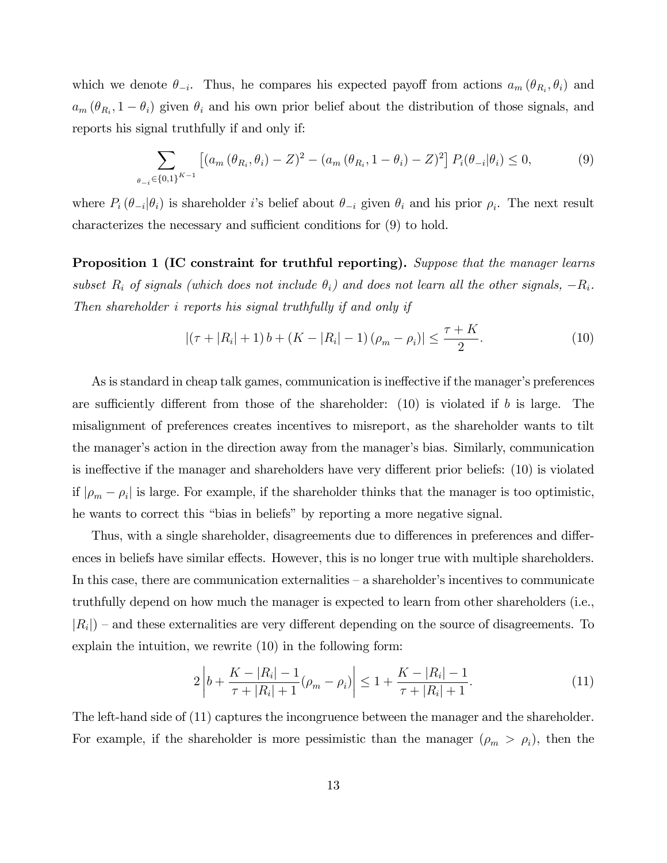which we denote  $\theta_{-i}$ . Thus, he compares his expected payoff from actions  $a_m(\theta_{R_i}, \theta_i)$  and  $a_m$  ( $\theta_{R_i}$ , 1 −  $\theta_i$ ) given  $\theta_i$  and his own prior belief about the distribution of those signals, and reports his signal truthfully if and only if:

$$
\sum_{\theta_{-i}\in\{0,1\}^{K-1}} \left[ (a_m(\theta_{R_i}, \theta_i) - Z)^2 - (a_m(\theta_{R_i}, 1 - \theta_i) - Z)^2 \right] P_i(\theta_{-i}|\theta_i) \le 0,
$$
\n(9)

where  $P_i(\theta_{-i}|\theta_i)$  is shareholder *i*'s belief about  $\theta_{-i}$  given  $\theta_i$  and his prior  $\rho_i$ . The next result characterizes the necessary and sufficient conditions for  $(9)$  to hold.

Proposition 1 (IC constraint for truthful reporting). *Suppose that the manager learns subset*  $R_i$  *of signals (which does not include*  $\theta_i$ ) and does not learn all the other signals,  $-R_i$ *. Then shareholder i reports his signal truthfully if and only if*

$$
| (\tau + |R_i| + 1) b + (K - |R_i| - 1) (\rho_m - \rho_i) | \le \frac{\tau + K}{2}.
$$
 (10)

As is standard in cheap talk games, communication is ineffective if the manager's preferences are sufficiently different from those of the shareholder:  $(10)$  is violated if *b* is large. The misalignment of preferences creates incentives to misreport, as the shareholder wants to tilt the manager's action in the direction away from the manager's bias. Similarly, communication is ineffective if the manager and shareholders have very different prior beliefs: (10) is violated if  $|\rho_m - \rho_i|$  is large. For example, if the shareholder thinks that the manager is too optimistic, he wants to correct this "bias in beliefs" by reporting a more negative signal.

Thus, with a single shareholder, disagreements due to differences in preferences and differences in beliefs have similar effects. However, this is no longer true with multiple shareholders. In this case, there are communication externalities — a shareholder's incentives to communicate truthfully depend on how much the manager is expected to learn from other shareholders (i.e.,  $|R_i|$ ) – and these externalities are very different depending on the source of disagreements. To explain the intuition, we rewrite (10) in the following form:

$$
2\left|b + \frac{K - |R_i| - 1}{\tau + |R_i| + 1}(\rho_m - \rho_i)\right| \le 1 + \frac{K - |R_i| - 1}{\tau + |R_i| + 1}.\tag{11}
$$

The left-hand side of (11) captures the incongruence between the manager and the shareholder. For example, if the shareholder is more pessimistic than the manager  $(\rho_m > \rho_i)$ , then the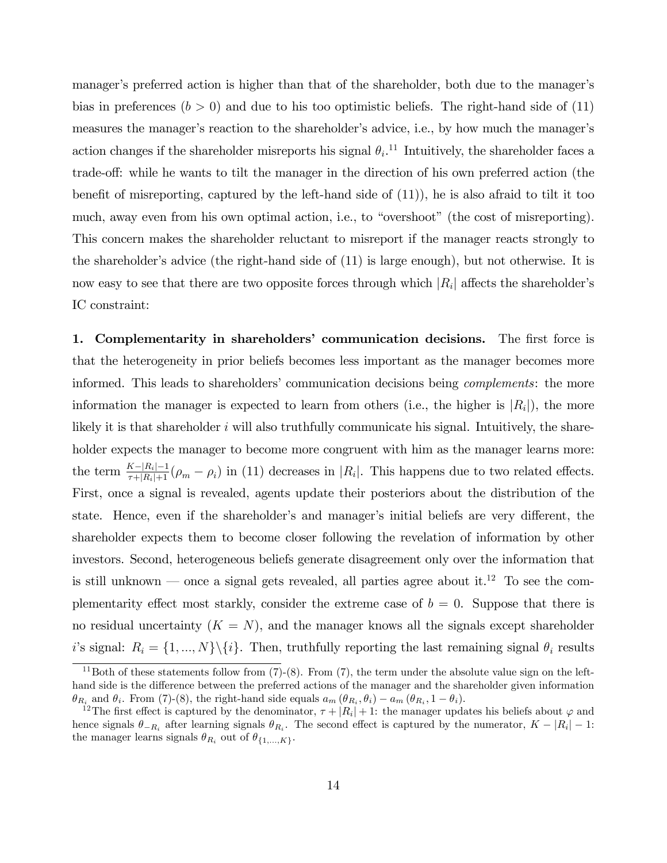manager's preferred action is higher than that of the shareholder, both due to the manager's bias in preferences  $(b > 0)$  and due to his too optimistic beliefs. The right-hand side of  $(11)$ measures the manager's reaction to the shareholder's advice, i.e., by how much the manager's action changes if the shareholder misreports his signal  $\theta_i$ <sup>11</sup> Intuitively, the shareholder faces a trade-off: while he wants to tilt the manager in the direction of his own preferred action (the benefit of misreporting, captured by the left-hand side of (11)), he is also afraid to tilt it too much, away even from his own optimal action, i.e., to "overshoot" (the cost of misreporting). This concern makes the shareholder reluctant to misreport if the manager reacts strongly to the shareholder's advice (the right-hand side of (11) is large enough), but not otherwise. It is now easy to see that there are two opposite forces through which  $|R_i|$  affects the shareholder's IC constraint:

1. Complementarity in shareholders' communication decisions. The first force is that the heterogeneity in prior beliefs becomes less important as the manager becomes more informed. This leads to shareholders' communication decisions being *complements*: the more information the manager is expected to learn from others (i.e., the higher is  $|R_i|$ ), the more likely it is that shareholder *i* will also truthfully communicate his signal. Intuitively, the shareholder expects the manager to become more congruent with him as the manager learns more: the term  $\frac{K-|R_i|-1}{\tau+|R_i|+1}(\rho_m-\rho_i)$  in (11) decreases in  $|R_i|$ . This happens due to two related effects. First, once a signal is revealed, agents update their posteriors about the distribution of the state. Hence, even if the shareholder's and manager's initial beliefs are very different, the shareholder expects them to become closer following the revelation of information by other investors. Second, heterogeneous beliefs generate disagreement only over the information that is still unknown — once a signal gets revealed, all parties agree about it.<sup>12</sup> To see the complementarity effect most starkly, consider the extreme case of  $b = 0$ . Suppose that there is no residual uncertainty  $(K = N)$ , and the manager knows all the signals except shareholder *i*'s signal:  $R_i = \{1, ..., N\} \setminus \{i\}$ . Then, truthfully reporting the last remaining signal  $\theta_i$  results

<sup>&</sup>lt;sup>11</sup>Both of these statements follow from  $(7)-(8)$ . From  $(7)$ , the term under the absolute value sign on the lefthand side is the difference between the preferred actions of the manager and the shareholder given information  $\theta_{R_i}$  and  $\theta_i$ . From (7)-(8), the right-hand side equals  $a_m (\theta_{R_i}, \theta_i) - a_m (\theta_{R_i}, 1 - \theta_i)$ .

<sup>&</sup>lt;sup>12</sup>The first effect is captured by the denominator,  $\tau + |R_i| + 1$ : the manager updates his beliefs about  $\varphi$  and hence signals  $\theta_{-R_i}$  after learning signals  $\theta_{R_i}$ . The second effect is captured by the numerator,  $K - |R_i| - 1$ : the manager learns signals  $\theta_{R_i}$  out of  $\theta_{\{1,\ldots,K\}}$ .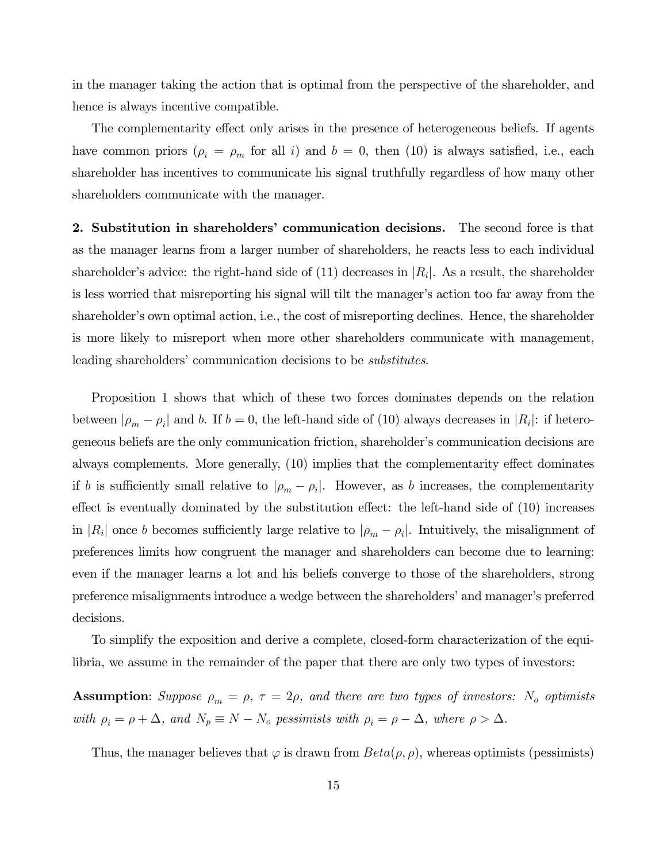in the manager taking the action that is optimal from the perspective of the shareholder, and hence is always incentive compatible.

The complementarity effect only arises in the presence of heterogeneous beliefs. If agents have common priors  $(\rho_i = \rho_m \text{ for all } i)$  and  $b = 0$ , then (10) is always satisfied, i.e., each shareholder has incentives to communicate his signal truthfully regardless of how many other shareholders communicate with the manager.

2. Substitution in shareholders' communication decisions. The second force is that as the manager learns from a larger number of shareholders, he reacts less to each individual shareholder's advice: the right-hand side of  $(11)$  decreases in  $|R_i|$ . As a result, the shareholder is less worried that misreporting his signal will tilt the manager's action too far away from the shareholder's own optimal action, i.e., the cost of misreporting declines. Hence, the shareholder is more likely to misreport when more other shareholders communicate with management, leading shareholders' communication decisions to be *substitutes*.

Proposition 1 shows that which of these two forces dominates depends on the relation between  $|\rho_m - \rho_i|$  and *b*. If  $b = 0$ , the left-hand side of (10) always decreases in  $|R_i|$ : if heterogeneous beliefs are the only communication friction, shareholder's communication decisions are always complements. More generally, (10) implies that the complementarity effect dominates if *b* is sufficiently small relative to  $|\rho_m - \rho_i|$ . However, as *b* increases, the complementarity effect is eventually dominated by the substitution effect: the left-hand side of  $(10)$  increases in  $|R_i|$  once *b* becomes sufficiently large relative to  $|\rho_m - \rho_i|$ . Intuitively, the misalignment of preferences limits how congruent the manager and shareholders can become due to learning: even if the manager learns a lot and his beliefs converge to those of the shareholders, strong preference misalignments introduce a wedge between the shareholders' and manager's preferred decisions.

To simplify the exposition and derive a complete, closed-form characterization of the equilibria, we assume in the remainder of the paper that there are only two types of investors:

Assumption: *Suppose*  $\rho_m = \rho$ ,  $\tau = 2\rho$ , and there are two types of investors: N<sub>o</sub> optimists *with*  $\rho_i = \rho + \Delta$ *, and*  $N_p \equiv N - N_o$  *pessimists with*  $\rho_i = \rho - \Delta$ *, where*  $\rho > \Delta$ .

Thus, the manager believes that  $\varphi$  is drawn from  $Beta(\rho, \rho)$ , whereas optimists (pessimists)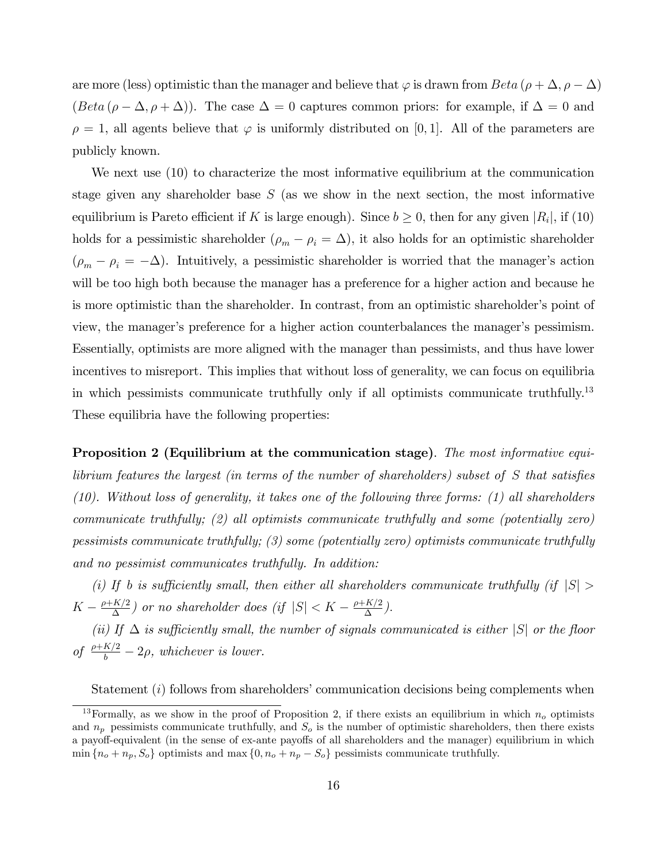are more (less) optimistic than the manager and believe that  $\varphi$  is drawn from *Beta* ( $\rho + \Delta$ *,*  $\rho - \Delta$ *)* (*Beta* ( $\rho - \Delta, \rho + \Delta$ )). The case  $\Delta = 0$  captures common priors: for example, if  $\Delta = 0$  and  $\rho = 1$ , all agents believe that  $\varphi$  is uniformly distributed on [0, 1]. All of the parameters are publicly known.

We next use  $(10)$  to characterize the most informative equilibrium at the communication stage given any shareholder base *S* (as we show in the next section, the most informative equilibrium is Pareto efficient if *K* is large enough). Since  $b \geq 0$ , then for any given  $|R_i|$ , if (10) holds for a pessimistic shareholder  $(\rho_m - \rho_i = \Delta)$ , it also holds for an optimistic shareholder  $(\rho_m - \rho_i = -\Delta)$ . Intuitively, a pessimistic shareholder is worried that the manager's action will be too high both because the manager has a preference for a higher action and because he is more optimistic than the shareholder. In contrast, from an optimistic shareholder's point of view, the manager's preference for a higher action counterbalances the manager's pessimism. Essentially, optimists are more aligned with the manager than pessimists, and thus have lower incentives to misreport. This implies that without loss of generality, we can focus on equilibria in which pessimists communicate truthfully only if all optimists communicate truthfully.13 These equilibria have the following properties:

Proposition 2 (Equilibrium at the communication stage). *The most informative equilibrium features the largest (in terms of the number of shareholders) subset of S that satisfies (10). Without loss of generality, it takes one of the following three forms: (1) all shareholders communicate truthfully; (2) all optimists communicate truthfully and some (potentially zero) pessimists communicate truthfully; (3) some (potentially zero) optimists communicate truthfully and no pessimist communicates truthfully. In addition:*

*(i)* If *b is sufficiently small, then either all shareholders communicate truthfully (if*  $|S|$ )  $K - \frac{\rho + K/2}{\Delta}$  *or no shareholder does (if*  $|S| < K - \frac{\rho + K/2}{\Delta}$ ).

*(ii)* If  $\Delta$  *is sufficiently small, the number of signals communicated is either*  $|S|$  *or the floor* of  $\frac{\rho + K/2}{b} - 2\rho$ , whichever is lower.

Statement (*i*) follows from shareholders' communication decisions being complements when

<sup>&</sup>lt;sup>13</sup>Formally, as we show in the proof of Proposition 2, if there exists an equilibrium in which  $n<sub>o</sub>$  optimists and  $n_p$  pessimists communicate truthfully, and  $S_o$  is the number of optimistic shareholders, then there exists a payoff-equivalent (in the sense of ex-ante payoffs of all shareholders and the manager) equilibrium in which  $\min \{n_o + n_p, S_o\}$  optimists and max  $\{0, n_o + n_p - S_o\}$  pessimists communicate truthfully.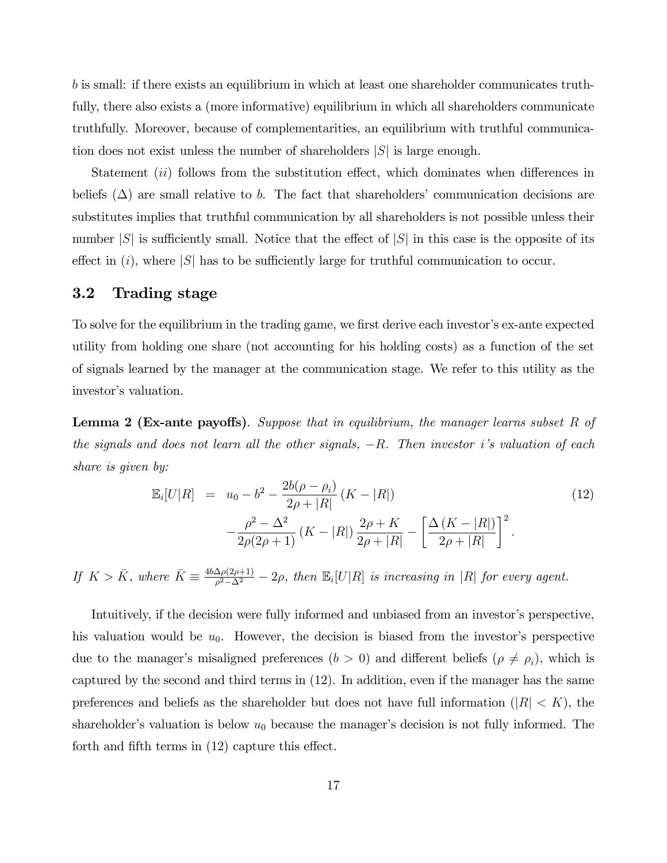*b* is small: if there exists an equilibrium in which at least one shareholder communicates truthfully, there also exists a (more informative) equilibrium in which all shareholders communicate truthfully. Moreover, because of complementarities, an equilibrium with truthful communication does not exist unless the number of shareholders |*S*| is large enough.

Statement *(ii)* follows from the substitution effect, which dominates when differences in beliefs  $(\Delta)$  are small relative to *b*. The fact that shareholders' communication decisions are substitutes implies that truthful communication by all shareholders is not possible unless their number  $|S|$  is sufficiently small. Notice that the effect of  $|S|$  in this case is the opposite of its effect in  $(i)$ , where  $|S|$  has to be sufficiently large for truthful communication to occur.

## 3.2 Trading stage

To solve for the equilibrium in the trading game, we first derive each investor's ex-ante expected utility from holding one share (not accounting for his holding costs) as a function of the set of signals learned by the manager at the communication stage. We refer to this utility as the investor's valuation.

**Lemma 2 (Ex-ante payoffs).** Suppose that in equilibrium, the manager learns subset R of *the signals and does not learn all the other signals,* −*R. Then investor i's valuation of each share is given by:*

$$
\mathbb{E}_{i}[U|R] = u_0 - b^2 - \frac{2b(\rho - \rho_i)}{2\rho + |R|} (K - |R|)
$$
  

$$
-\frac{\rho^2 - \Delta^2}{2\rho(2\rho + 1)} (K - |R|) \frac{2\rho + K}{2\rho + |R|} - \left[ \frac{\Delta (K - |R|)}{2\rho + |R|} \right]^2.
$$
 (12)

*If*  $K > \bar{K}$ , where  $\bar{K} \equiv \frac{4b\Delta\rho(2\rho+1)}{\rho^2-\Delta^2} - 2\rho$ , then  $\mathbb{E}_i[U|R]$  *is increasing in* |*R*| *for every agent.* 

Intuitively, if the decision were fully informed and unbiased from an investor's perspective, his valuation would be  $u_0$ . However, the decision is biased from the investor's perspective due to the manager's misaligned preferences  $(b > 0)$  and different beliefs  $(\rho \neq \rho_i)$ , which is captured by the second and third terms in (12). In addition, even if the manager has the same preferences and beliefs as the shareholder but does not have full information ( $|R| < K$ ), the shareholder's valuation is below  $u_0$  because the manager's decision is not fully informed. The forth and fifth terms in  $(12)$  capture this effect.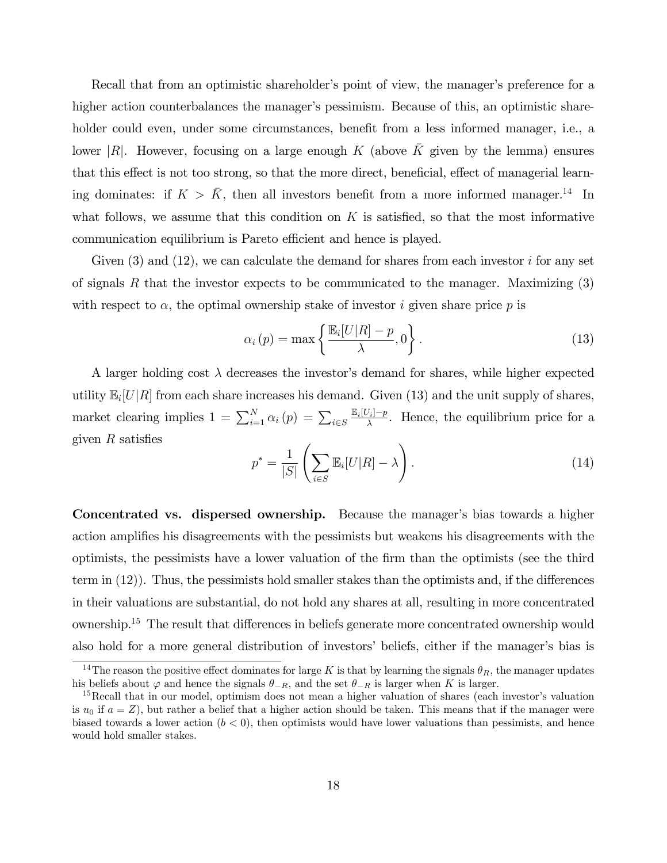Recall that from an optimistic shareholder's point of view, the manager's preference for a higher action counterbalances the manager's pessimism. Because of this, an optimistic shareholder could even, under some circumstances, benefit from a less informed manager, i.e., a lower  $|R|$ . However, focusing on a large enough K (above K given by the lemma) ensures that this effect is not too strong, so that the more direct, beneficial, effect of managerial learning dominates: if  $K > \bar{K}$ , then all investors benefit from a more informed manager.<sup>14</sup> In what follows, we assume that this condition on *K* is satisfied, so that the most informative communication equilibrium is Pareto efficient and hence is played.

Given (3) and (12), we can calculate the demand for shares from each investor *i* for any set of signals *R* that the investor expects to be communicated to the manager. Maximizing (3) with respect to  $\alpha$ , the optimal ownership stake of investor *i* given share price p is

$$
\alpha_i(p) = \max\left\{\frac{\mathbb{E}_i[U|R] - p}{\lambda}, 0\right\}.
$$
\n(13)

A larger holding cost  $\lambda$  decreases the investor's demand for shares, while higher expected utility  $\mathbb{E}_i[U|R]$  from each share increases his demand. Given (13) and the unit supply of shares, market clearing implies  $1 = \sum_{i=1}^{N} \alpha_i (p) = \sum_{i \in S}$  $\frac{\mathbb{E}_i[U_i]-p}{\lambda}$ . Hence, the equilibrium price for a given *R* satisfies

$$
p^* = \frac{1}{|S|} \left( \sum_{i \in S} \mathbb{E}_i[U|R] - \lambda \right). \tag{14}
$$

Concentrated vs. dispersed ownership. Because the manager's bias towards a higher action amplifies his disagreements with the pessimists but weakens his disagreements with the optimists, the pessimists have a lower valuation of the firm than the optimists (see the third term in  $(12)$ ). Thus, the pessimists hold smaller stakes than the optimists and, if the differences in their valuations are substantial, do not hold any shares at all, resulting in more concentrated ownership.<sup>15</sup> The result that differences in beliefs generate more concentrated ownership would also hold for a more general distribution of investors' beliefs, either if the manager's bias is

<sup>&</sup>lt;sup>14</sup>The reason the positive effect dominates for large *K* is that by learning the signals  $\theta_R$ , the manager updates his beliefs about  $\varphi$  and hence the signals  $\theta_{-R}$ , and the set  $\theta_{-R}$  is larger when *K* is larger.

<sup>&</sup>lt;sup>15</sup>Recall that in our model, optimism does not mean a higher valuation of shares (each investor's valuation is  $u_0$  if  $a = Z$ ), but rather a belief that a higher action should be taken. This means that if the manager were biased towards a lower action  $(b < 0)$ , then optimists would have lower valuations than pessimists, and hence would hold smaller stakes.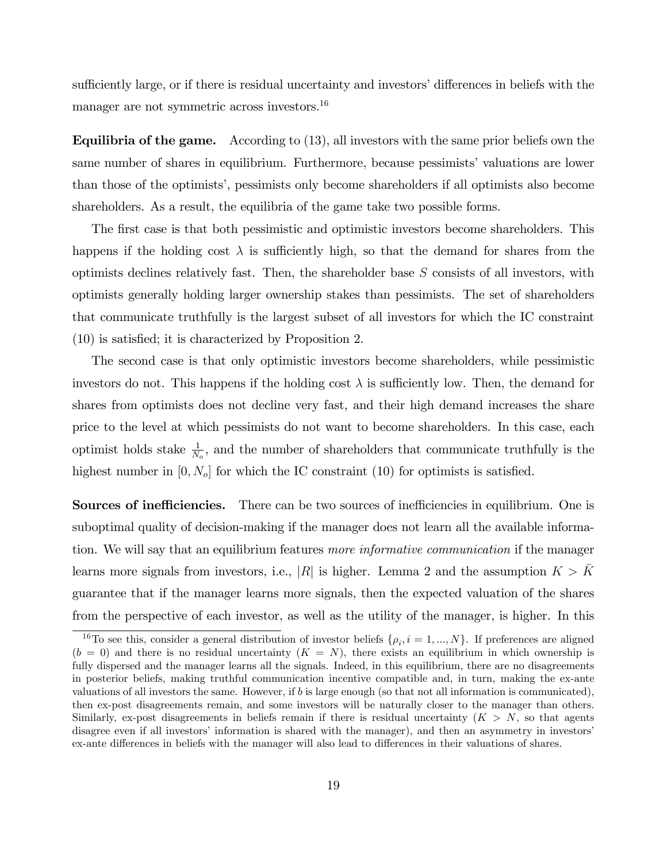sufficiently large, or if there is residual uncertainty and investors' differences in beliefs with the manager are not symmetric across investors.<sup>16</sup>

**Equilibria of the game.** According to  $(13)$ , all investors with the same prior beliefs own the same number of shares in equilibrium. Furthermore, because pessimists' valuations are lower than those of the optimists', pessimists only become shareholders if all optimists also become shareholders. As a result, the equilibria of the game take two possible forms.

The first case is that both pessimistic and optimistic investors become shareholders. This happens if the holding cost  $\lambda$  is sufficiently high, so that the demand for shares from the optimists declines relatively fast. Then, the shareholder base *S* consists of all investors, with optimists generally holding larger ownership stakes than pessimists. The set of shareholders that communicate truthfully is the largest subset of all investors for which the IC constraint (10) is satisfied; it is characterized by Proposition 2.

The second case is that only optimistic investors become shareholders, while pessimistic investors do not. This happens if the holding cost  $\lambda$  is sufficiently low. Then, the demand for shares from optimists does not decline very fast, and their high demand increases the share price to the level at which pessimists do not want to become shareholders. In this case, each optimist holds stake  $\frac{1}{N_o}$ , and the number of shareholders that communicate truthfully is the highest number in  $[0, N_o]$  for which the IC constraint (10) for optimists is satisfied.

**Sources of inefficiencies.** There can be two sources of inefficiencies in equilibrium. One is suboptimal quality of decision-making if the manager does not learn all the available information. We will say that an equilibrium features *more informative communication* if the manager learns more signals from investors, i.e., |R| is higher. Lemma 2 and the assumption  $K > \bar{K}$ guarantee that if the manager learns more signals, then the expected valuation of the shares from the perspective of each investor, as well as the utility of the manager, is higher. In this

<sup>&</sup>lt;sup>16</sup>To see this, consider a general distribution of investor beliefs  $\{\rho_i, i = 1, ..., N\}$ . If preferences are aligned  $(b = 0)$  and there is no residual uncertainty  $(K = N)$ , there exists an equilibrium in which ownership is fully dispersed and the manager learns all the signals. Indeed, in this equilibrium, there are no disagreements in posterior beliefs, making truthful communication incentive compatible and, in turn, making the ex-ante valuations of all investors the same. However, if *b* is large enough (so that not all information is communicated), then ex-post disagreements remain, and some investors will be naturally closer to the manager than others. Similarly, ex-post disagreements in beliefs remain if there is residual uncertainty  $(K > N)$ , so that agents disagree even if all investors' information is shared with the manager), and then an asymmetry in investors' ex-ante differences in beliefs with the manager will also lead to differences in their valuations of shares.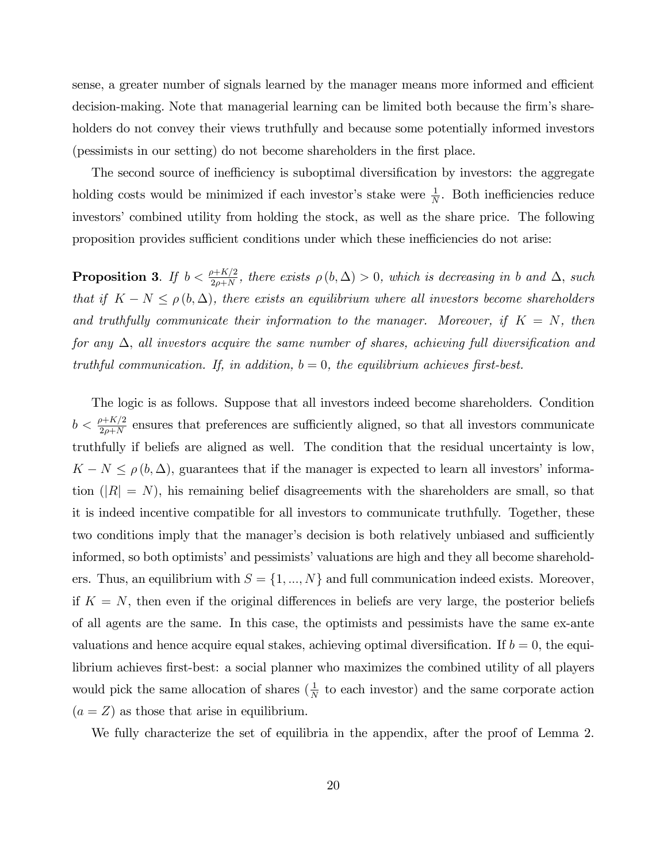sense, a greater number of signals learned by the manager means more informed and efficient decision-making. Note that managerial learning can be limited both because the firm's shareholders do not convey their views truthfully and because some potentially informed investors (pessimists in our setting) do not become shareholders in the first place.

The second source of inefficiency is suboptimal diversification by investors: the aggregate holding costs would be minimized if each investor's stake were  $\frac{1}{N}$ . Both inefficiencies reduce investors' combined utility from holding the stock, as well as the share price. The following proposition provides sufficient conditions under which these inefficiencies do not arise:

**Proposition 3.** If  $b < \frac{\rho + K/2}{2\rho + N}$ , there exists  $\rho(b, \Delta) > 0$ , which is decreasing in *b* and  $\Delta$ , such *that if*  $K - N \leq \rho(b, \Delta)$ *, there exists an equilibrium where all investors become shareholders and truthfully communicate their information to the manager. Moreover, if K* = *N, then for any* ∆, *all investors acquire the same number of shares, achieving full diversification and truthful communication. If, in addition, b* = 0*, the equilibrium achieves first-best.*

The logic is as follows. Suppose that all investors indeed become shareholders. Condition  $b < \frac{\rho + K/2}{2\rho + N}$  ensures that preferences are sufficiently aligned, so that all investors communicate truthfully if beliefs are aligned as well. The condition that the residual uncertainty is low,  $K - N \leq \rho(b, \Delta)$ , guarantees that if the manager is expected to learn all investors' information  $(|R| = N)$ , his remaining belief disagreements with the shareholders are small, so that it is indeed incentive compatible for all investors to communicate truthfully. Together, these two conditions imply that the manager's decision is both relatively unbiased and sufficiently informed, so both optimists' and pessimists' valuations are high and they all become shareholders. Thus, an equilibrium with  $S = \{1, ..., N\}$  and full communication indeed exists. Moreover, if  $K = N$ , then even if the original differences in beliefs are very large, the posterior beliefs of all agents are the same. In this case, the optimists and pessimists have the same ex-ante valuations and hence acquire equal stakes, achieving optimal diversification. If  $b = 0$ , the equilibrium achieves first-best: a social planner who maximizes the combined utility of all players would pick the same allocation of shares  $(\frac{1}{N}$  to each investor) and the same corporate action  $(a = Z)$  as those that arise in equilibrium.

We fully characterize the set of equilibria in the appendix, after the proof of Lemma 2.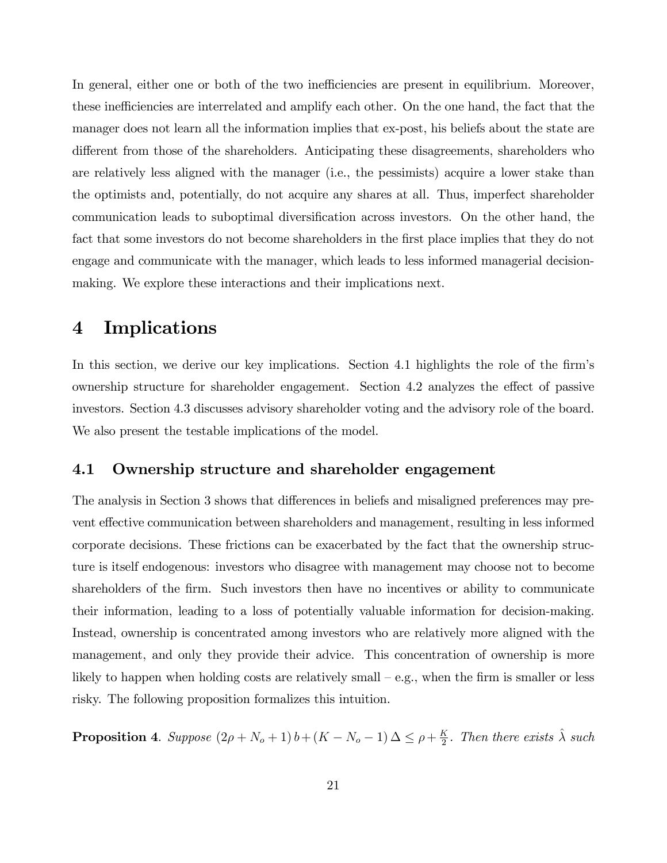In general, either one or both of the two inefficiencies are present in equilibrium. Moreover, these inefficiencies are interrelated and amplify each other. On the one hand, the fact that the manager does not learn all the information implies that ex-post, his beliefs about the state are different from those of the shareholders. Anticipating these disagreements, shareholders who are relatively less aligned with the manager (i.e., the pessimists) acquire a lower stake than the optimists and, potentially, do not acquire any shares at all. Thus, imperfect shareholder communication leads to suboptimal diversification across investors. On the other hand, the fact that some investors do not become shareholders in the first place implies that they do not engage and communicate with the manager, which leads to less informed managerial decisionmaking. We explore these interactions and their implications next.

## 4 Implications

In this section, we derive our key implications. Section 4.1 highlights the role of the firm's ownership structure for shareholder engagement. Section 4.2 analyzes the effect of passive investors. Section 4.3 discusses advisory shareholder voting and the advisory role of the board. We also present the testable implications of the model.

#### 4.1 Ownership structure and shareholder engagement

The analysis in Section 3 shows that differences in beliefs and misaligned preferences may prevent effective communication between shareholders and management, resulting in less informed corporate decisions. These frictions can be exacerbated by the fact that the ownership structure is itself endogenous: investors who disagree with management may choose not to become shareholders of the firm. Such investors then have no incentives or ability to communicate their information, leading to a loss of potentially valuable information for decision-making. Instead, ownership is concentrated among investors who are relatively more aligned with the management, and only they provide their advice. This concentration of ownership is more likely to happen when holding costs are relatively small – e.g., when the firm is smaller or less risky. The following proposition formalizes this intuition.

**Proposition 4.** *Suppose*  $(2\rho + N_o + 1) b + (K - N_o - 1) \Delta \leq \rho + \frac{K}{2}$ . *Then there exists*  $\hat{\lambda}$  *such*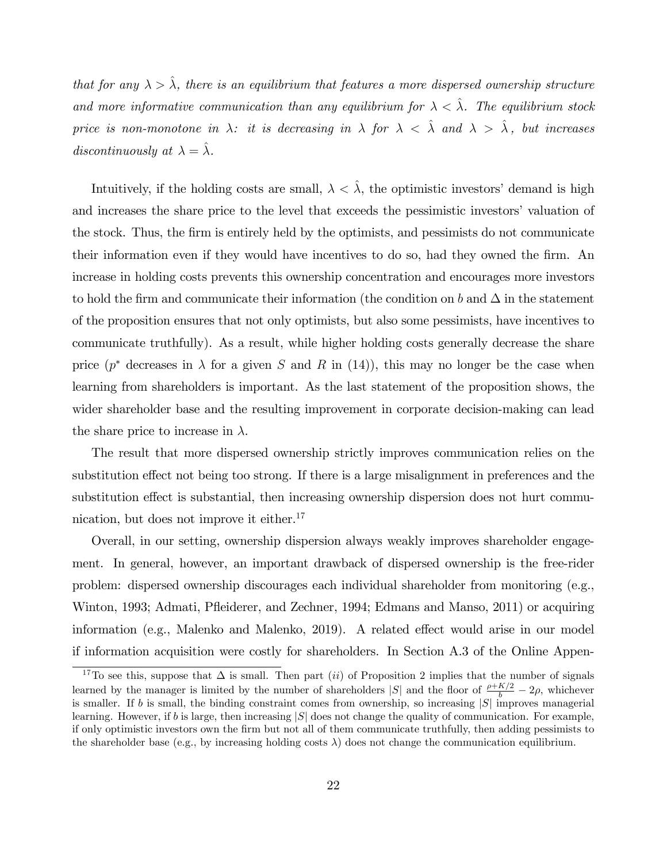*that for any*  $\lambda > \hat{\lambda}$ , there is an equilibrium that features a more dispersed ownership structure *and more informative communication than any equilibrium for*  $\lambda < \hat{\lambda}$ . The equilibrium stock *price is non-monotone in*  $\lambda$ *: it is decreasing in*  $\lambda$  *for*  $\lambda < \hat{\lambda}$  *and*  $\lambda > \hat{\lambda}$ *, but increases discontinuously at*  $\lambda = \hat{\lambda}$ *.* 

Intuitively, if the holding costs are small,  $\lambda < \lambda$ , the optimistic investors' demand is high and increases the share price to the level that exceeds the pessimistic investors' valuation of the stock. Thus, the firm is entirely held by the optimists, and pessimists do not communicate their information even if they would have incentives to do so, had they owned the firm. An increase in holding costs prevents this ownership concentration and encourages more investors to hold the firm and communicate their information (the condition on *b* and  $\Delta$  in the statement of the proposition ensures that not only optimists, but also some pessimists, have incentives to communicate truthfully). As a result, while higher holding costs generally decrease the share price  $(p^*$  decreases in  $\lambda$  for a given *S* and *R* in (14)), this may no longer be the case when learning from shareholders is important. As the last statement of the proposition shows, the wider shareholder base and the resulting improvement in corporate decision-making can lead the share price to increase in  $\lambda$ .

The result that more dispersed ownership strictly improves communication relies on the substitution effect not being too strong. If there is a large misalignment in preferences and the substitution effect is substantial, then increasing ownership dispersion does not hurt communication, but does not improve it either.<sup>17</sup>

Overall, in our setting, ownership dispersion always weakly improves shareholder engagement. In general, however, an important drawback of dispersed ownership is the free-rider problem: dispersed ownership discourages each individual shareholder from monitoring (e.g., Winton, 1993; Admati, Pfleiderer, and Zechner, 1994; Edmans and Manso, 2011) or acquiring information (e.g., Malenko and Malenko,  $2019$ ). A related effect would arise in our model if information acquisition were costly for shareholders. In Section A.3 of the Online Appen-

<sup>&</sup>lt;sup>17</sup>To see this, suppose that  $\Delta$  is small. Then part (*ii*) of Proposition 2 implies that the number of signals learned by the manager is limited by the number of shareholders  $|S|$  and the floor of  $\frac{\rho + K/2}{b} - 2\rho$ , whichever is smaller. If *b* is small, the binding constraint comes from ownership, so increasing |*S*| improves managerial learning. However, if *b* is large, then increasing |*S*| does not change the quality of communication. For example, if only optimistic investors own the firm but not all of them communicate truthfully, then adding pessimists to the shareholder base (e.g., by increasing holding costs  $\lambda$ ) does not change the communication equilibrium.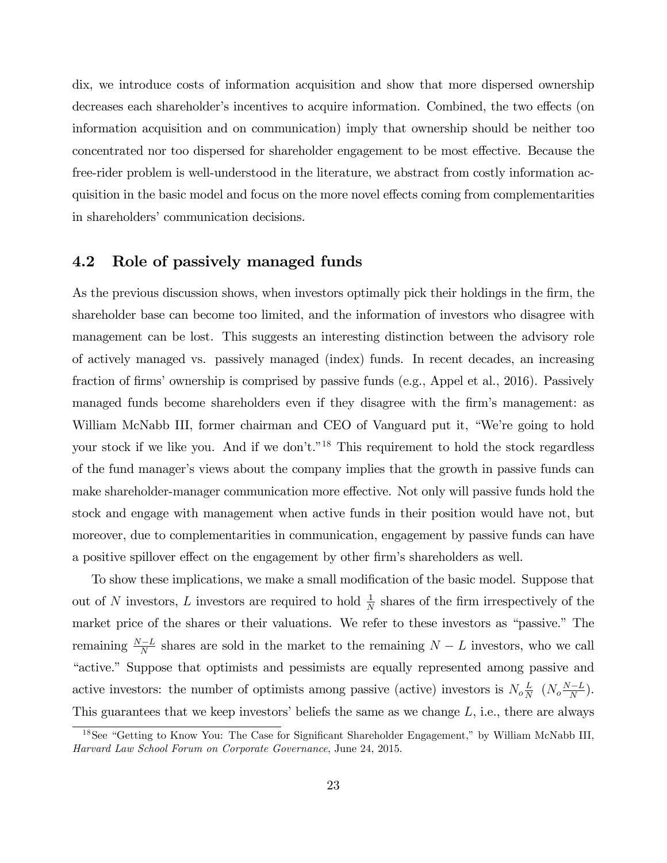dix, we introduce costs of information acquisition and show that more dispersed ownership decreases each shareholder's incentives to acquire information. Combined, the two effects (on information acquisition and on communication) imply that ownership should be neither too concentrated nor too dispersed for shareholder engagement to be most effective. Because the free-rider problem is well-understood in the literature, we abstract from costly information acquisition in the basic model and focus on the more novel effects coming from complementarities in shareholders' communication decisions.

### 4.2 Role of passively managed funds

As the previous discussion shows, when investors optimally pick their holdings in the firm, the shareholder base can become too limited, and the information of investors who disagree with management can be lost. This suggests an interesting distinction between the advisory role of actively managed vs. passively managed (index) funds. In recent decades, an increasing fraction of firms' ownership is comprised by passive funds (e.g., Appel et al., 2016). Passively managed funds become shareholders even if they disagree with the firm's management: as William McNabb III, former chairman and CEO of Vanguard put it, "We're going to hold your stock if we like you. And if we don't."18 This requirement to hold the stock regardless of the fund manager's views about the company implies that the growth in passive funds can make shareholder-manager communication more effective. Not only will passive funds hold the stock and engage with management when active funds in their position would have not, but moreover, due to complementarities in communication, engagement by passive funds can have a positive spillover effect on the engagement by other firm's shareholders as well.

To show these implications, we make a small modification of the basic model. Suppose that out of *N* investors, *L* investors are required to hold  $\frac{1}{N}$  shares of the firm irrespectively of the market price of the shares or their valuations. We refer to these investors as "passive." The remaining  $\frac{N-L}{N}$  shares are sold in the market to the remaining  $N-L$  investors, who we call "active." Suppose that optimists and pessimists are equally represented among passive and active investors: the number of optimists among passive (active) investors is  $N_o \frac{L}{N}$  ( $N_o \frac{N-L}{N}$ ). This guarantees that we keep investors' beliefs the same as we change *L*, i.e., there are always

<sup>18</sup>See "Getting to Know You: The Case for Significant Shareholder Engagement," by William McNabb III, *Harvard Law School Forum on Corporate Governance*, June 24, 2015.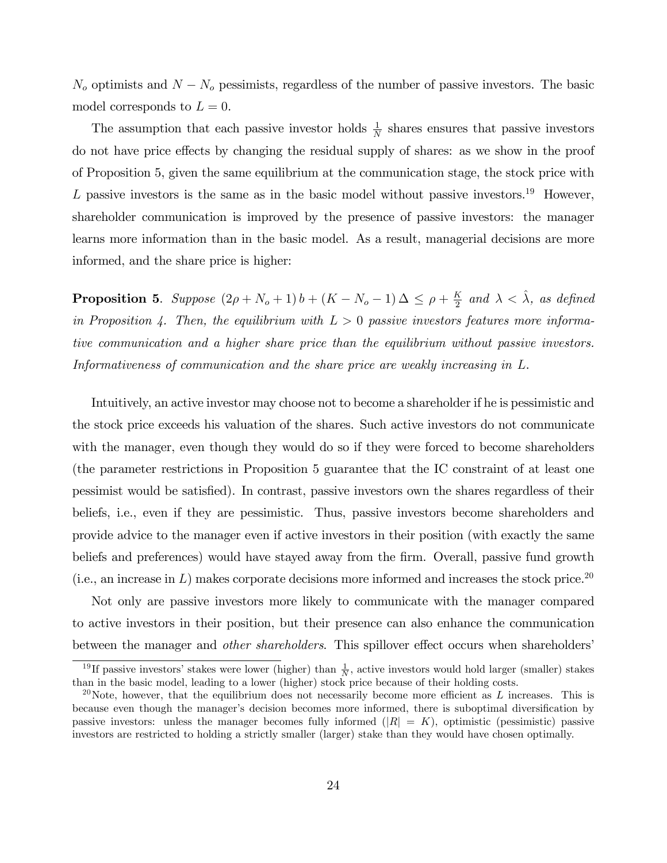$N<sub>o</sub>$  optimists and  $N - N<sub>o</sub>$  pessimists, regardless of the number of passive investors. The basic model corresponds to  $L = 0$ .

The assumption that each passive investor holds  $\frac{1}{N}$  shares ensures that passive investors do not have price effects by changing the residual supply of shares: as we show in the proof of Proposition 5, given the same equilibrium at the communication stage, the stock price with  $L$  passive investors is the same as in the basic model without passive investors.<sup>19</sup> However, shareholder communication is improved by the presence of passive investors: the manager learns more information than in the basic model. As a result, managerial decisions are more informed, and the share price is higher:

**Proposition 5.** *Suppose*  $(2\rho + N_o + 1) b + (K - N_o - 1) \Delta \leq \rho + \frac{K}{2}$  and  $\lambda < \hat{\lambda}$ *, as defined in Proposition 4. Then, the equilibrium with L >* 0 *passive investors features more informative communication and a higher share price than the equilibrium without passive investors. Informativeness of communication and the share price are weakly increasing in L*.

Intuitively, an active investor may choose not to become a shareholder if he is pessimistic and the stock price exceeds his valuation of the shares. Such active investors do not communicate with the manager, even though they would do so if they were forced to become shareholders (the parameter restrictions in Proposition 5 guarantee that the IC constraint of at least one pessimist would be satisfied). In contrast, passive investors own the shares regardless of their beliefs, i.e., even if they are pessimistic. Thus, passive investors become shareholders and provide advice to the manager even if active investors in their position (with exactly the same beliefs and preferences) would have stayed away from the firm. Overall, passive fund growth  $(i.e., an increase in L) makes corporate decisions more informed and increases the stock price.<sup>20</sup>$ 

Not only are passive investors more likely to communicate with the manager compared to active investors in their position, but their presence can also enhance the communication between the manager and *other shareholders*. This spillover effect occurs when shareholders'

<sup>&</sup>lt;sup>19</sup>If passive investors' stakes were lower (higher) than  $\frac{1}{N}$ , active investors would hold larger (smaller) stakes than in the basic model, leading to a lower (higher) stock price because of their holding costs.

<sup>&</sup>lt;sup>20</sup>Note, however, that the equilibrium does not necessarily become more efficient as  $L$  increases. This is because even though the manager's decision becomes more informed, there is suboptimal diversification by passive investors: unless the manager becomes fully informed  $(|R| = K)$ , optimistic (pessimistic) passive investors are restricted to holding a strictly smaller (larger) stake than they would have chosen optimally.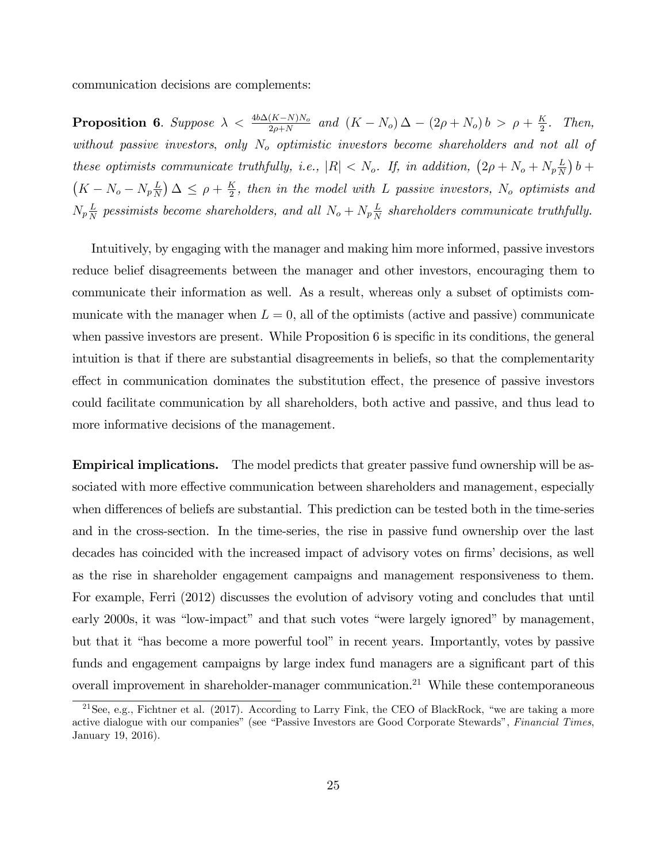communication decisions are complements:

**Proposition 6.** Suppose  $\lambda < \frac{4b\Delta(K-N)N_o}{2\rho+N}$  and  $(K-N_o)\Delta - (2\rho+N_o)b > \rho + \frac{K}{2}$ . Then, *without passive investors*, *only N<sup>o</sup> optimistic investors become shareholders and not all of these optimists communicate truthfully, i.e.,*  $|R| < N_o$ . If, in addition,  $(2\rho + N_o + N_p \frac{L}{N_o})$  $\frac{L}{N}$ )  $b +$  $(K - N_o - N_p \frac{L}{N_o})$  $\frac{L}{N}$ )  $\Delta \leq \rho + \frac{K}{2}$ , then in the model with *L* passive investors,  $N_o$  optimists and  $N_p \frac{L}{N}$  pessimists become shareholders, and all  $N_o + N_p \frac{L}{N}$  shareholders communicate truthfully.

Intuitively, by engaging with the manager and making him more informed, passive investors reduce belief disagreements between the manager and other investors, encouraging them to communicate their information as well. As a result, whereas only a subset of optimists communicate with the manager when  $L = 0$ , all of the optimists (active and passive) communicate when passive investors are present. While Proposition 6 is specific in its conditions, the general intuition is that if there are substantial disagreements in beliefs, so that the complementarity effect in communication dominates the substitution effect, the presence of passive investors could facilitate communication by all shareholders, both active and passive, and thus lead to more informative decisions of the management.

Empirical implications. The model predicts that greater passive fund ownership will be associated with more effective communication between shareholders and management, especially when differences of beliefs are substantial. This prediction can be tested both in the time-series and in the cross-section. In the time-series, the rise in passive fund ownership over the last decades has coincided with the increased impact of advisory votes on firms' decisions, as well as the rise in shareholder engagement campaigns and management responsiveness to them. For example, Ferri (2012) discusses the evolution of advisory voting and concludes that until early 2000s, it was "low-impact" and that such votes "were largely ignored" by management, but that it "has become a more powerful tool" in recent years. Importantly, votes by passive funds and engagement campaigns by large index fund managers are a significant part of this overall improvement in shareholder-manager communication.<sup>21</sup> While these contemporaneous

<sup>&</sup>lt;sup>21</sup>See, e.g., Fichtner et al. (2017). According to Larry Fink, the CEO of BlackRock, "we are taking a more active dialogue with our companies" (see "Passive Investors are Good Corporate Stewards", *Financial Times*, January 19, 2016).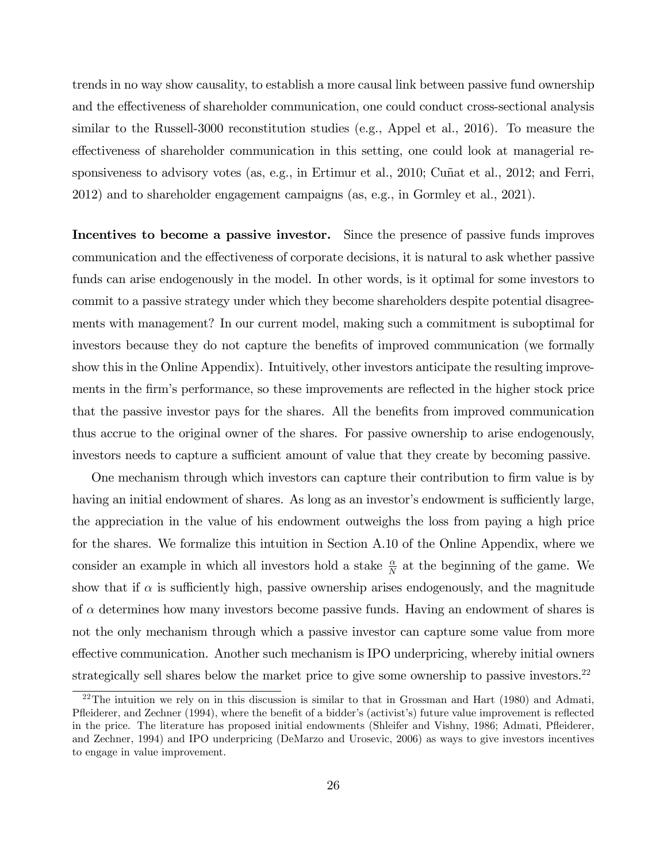trends in no way show causality, to establish a more causal link between passive fund ownership and the effectiveness of shareholder communication, one could conduct cross-sectional analysis similar to the Russell-3000 reconstitution studies (e.g., Appel et al., 2016). To measure the effectiveness of shareholder communication in this setting, one could look at managerial responsiveness to advisory votes (as, e.g., in Ertimur et al., 2010; Cuñat et al., 2012; and Ferri, 2012) and to shareholder engagement campaigns (as, e.g., in Gormley et al., 2021).

Incentives to become a passive investor. Since the presence of passive funds improves communication and the effectiveness of corporate decisions, it is natural to ask whether passive funds can arise endogenously in the model. In other words, is it optimal for some investors to commit to a passive strategy under which they become shareholders despite potential disagreements with management? In our current model, making such a commitment is suboptimal for investors because they do not capture the benefits of improved communication (we formally show this in the Online Appendix). Intuitively, other investors anticipate the resulting improvements in the firm's performance, so these improvements are reflected in the higher stock price that the passive investor pays for the shares. All the benefits from improved communication thus accrue to the original owner of the shares. For passive ownership to arise endogenously, investors needs to capture a sufficient amount of value that they create by becoming passive.

One mechanism through which investors can capture their contribution to firm value is by having an initial endowment of shares. As long as an investor's endowment is sufficiently large, the appreciation in the value of his endowment outweighs the loss from paying a high price for the shares. We formalize this intuition in Section A.10 of the Online Appendix, where we consider an example in which all investors hold a stake  $\frac{\alpha}{N}$  at the beginning of the game. We show that if  $\alpha$  is sufficiently high, passive ownership arises endogenously, and the magnitude of  $\alpha$  determines how many investors become passive funds. Having an endowment of shares is not the only mechanism through which a passive investor can capture some value from more effective communication. Another such mechanism is IPO underpricing, whereby initial owners strategically sell shares below the market price to give some ownership to passive investors.<sup>22</sup>

<sup>&</sup>lt;sup>22</sup>The intuition we rely on in this discussion is similar to that in Grossman and Hart (1980) and Admati, Pfleiderer, and Zechner (1994), where the benefit of a bidder's (activist's) future value improvement is reflected in the price. The literature has proposed initial endowments (Shleifer and Vishny, 1986; Admati, Pfleiderer, and Zechner, 1994) and IPO underpricing (DeMarzo and Urosevic, 2006) as ways to give investors incentives to engage in value improvement.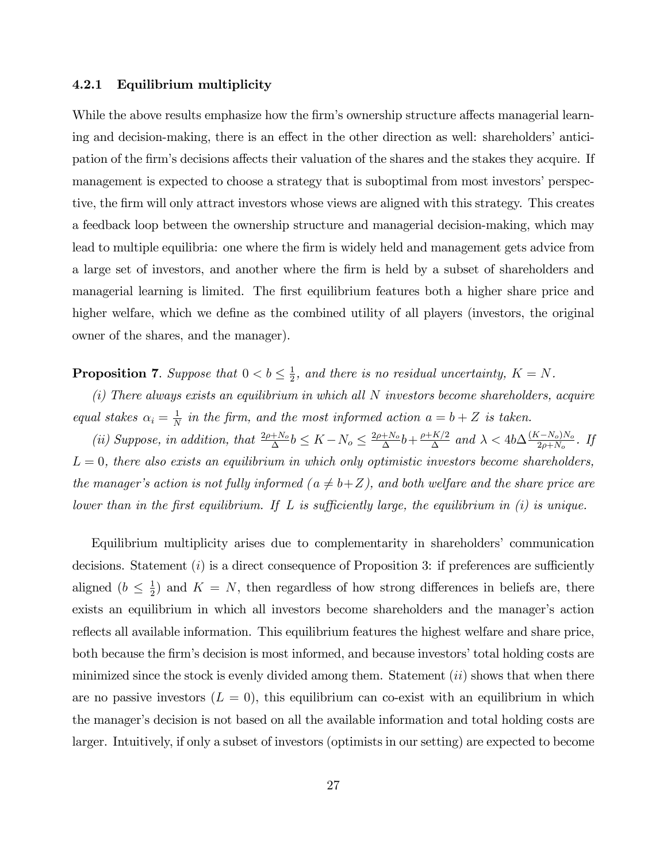#### 4.2.1 Equilibrium multiplicity

While the above results emphasize how the firm's ownership structure affects managerial learning and decision-making, there is an effect in the other direction as well: shareholders' anticipation of the firm's decisions affects their valuation of the shares and the stakes they acquire. If management is expected to choose a strategy that is suboptimal from most investors' perspective, the firm will only attract investors whose views are aligned with this strategy. This creates a feedback loop between the ownership structure and managerial decision-making, which may lead to multiple equilibria: one where the firm is widely held and management gets advice from a large set of investors, and another where the firm is held by a subset of shareholders and managerial learning is limited. The first equilibrium features both a higher share price and higher welfare, which we define as the combined utility of all players (investors, the original owner of the shares, and the manager).

**Proposition 7.** Suppose that  $0 < b \leq \frac{1}{2}$ , and there is no residual uncertainty,  $K = N$ .

*(i) There always exists an equilibrium in which all N investors become shareholders, acquire equal stakes*  $\alpha_i = \frac{1}{N}$  *in the firm, and the most informed action*  $a = b + Z$  *is taken.* 

(ii) Suppose, in addition, that  $\frac{2\rho+N_o}{\Delta}b \leq K-N_o \leq \frac{2\rho+N_o}{\Delta}b + \frac{\rho+K/2}{\Delta}$  and  $\lambda < 4b\Delta \frac{(K-N_o)N_o}{2\rho+N_o}$ . If *L* = 0*, there also exists an equilibrium in which only optimistic investors become shareholders, the manager's action is not fully informed*  $(a \neq b+Z)$ *, and both welfare and the share price are lower than in the first equilibrium. If L is sufficiently large, the equilibrium in (i) is unique.* 

Equilibrium multiplicity arises due to complementarity in shareholders' communication decisions. Statement  $(i)$  is a direct consequence of Proposition 3: if preferences are sufficiently aligned  $(b \leq \frac{1}{2})$  and  $K = N$ , then regardless of how strong differences in beliefs are, there exists an equilibrium in which all investors become shareholders and the manager's action reflects all available information. This equilibrium features the highest welfare and share price, both because the firm's decision is most informed, and because investors' total holding costs are minimized since the stock is evenly divided among them. Statement (*ii*) shows that when there are no passive investors  $(L = 0)$ , this equilibrium can co-exist with an equilibrium in which the manager's decision is not based on all the available information and total holding costs are larger. Intuitively, if only a subset of investors (optimists in our setting) are expected to become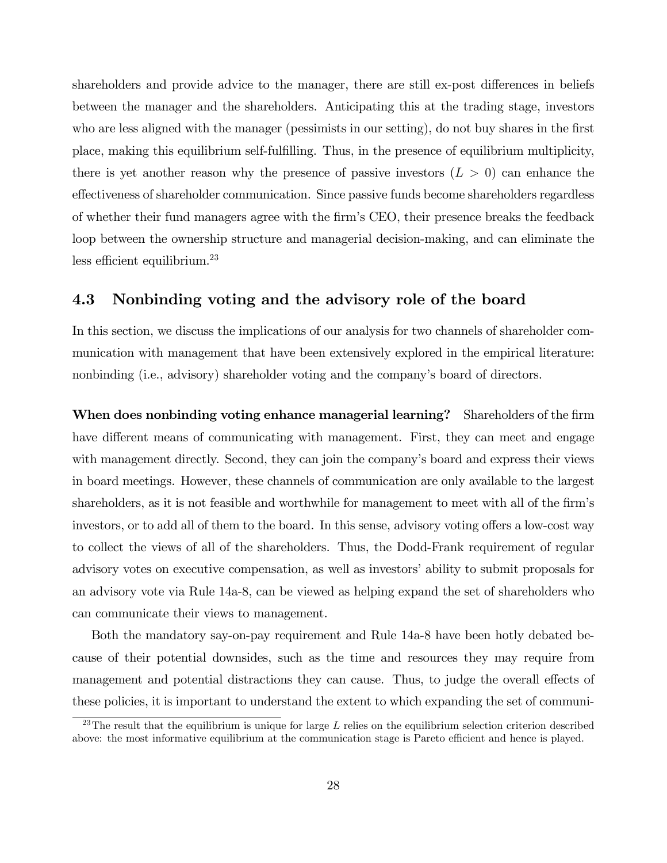shareholders and provide advice to the manager, there are still ex-post differences in beliefs between the manager and the shareholders. Anticipating this at the trading stage, investors who are less aligned with the manager (pessimists in our setting), do not buy shares in the first place, making this equilibrium self-fulfilling. Thus, in the presence of equilibrium multiplicity, there is yet another reason why the presence of passive investors  $(L > 0)$  can enhance the effectiveness of shareholder communication. Since passive funds become shareholders regardless of whether their fund managers agree with the firm's CEO, their presence breaks the feedback loop between the ownership structure and managerial decision-making, and can eliminate the less efficient equilibrium. $^{23}$ 

#### 4.3 Nonbinding voting and the advisory role of the board

In this section, we discuss the implications of our analysis for two channels of shareholder communication with management that have been extensively explored in the empirical literature: nonbinding (i.e., advisory) shareholder voting and the company's board of directors.

When does nonbinding voting enhance managerial learning? Shareholders of the firm have different means of communicating with management. First, they can meet and engage with management directly. Second, they can join the company's board and express their views in board meetings. However, these channels of communication are only available to the largest shareholders, as it is not feasible and worthwhile for management to meet with all of the firm's investors, or to add all of them to the board. In this sense, advisory voting offers a low-cost way to collect the views of all of the shareholders. Thus, the Dodd-Frank requirement of regular advisory votes on executive compensation, as well as investors' ability to submit proposals for an advisory vote via Rule 14a-8, can be viewed as helping expand the set of shareholders who can communicate their views to management.

Both the mandatory say-on-pay requirement and Rule 14a-8 have been hotly debated because of their potential downsides, such as the time and resources they may require from management and potential distractions they can cause. Thus, to judge the overall effects of these policies, it is important to understand the extent to which expanding the set of communi-

 $^{23}$ The result that the equilibrium is unique for large  $L$  relies on the equilibrium selection criterion described above: the most informative equilibrium at the communication stage is Pareto efficient and hence is played.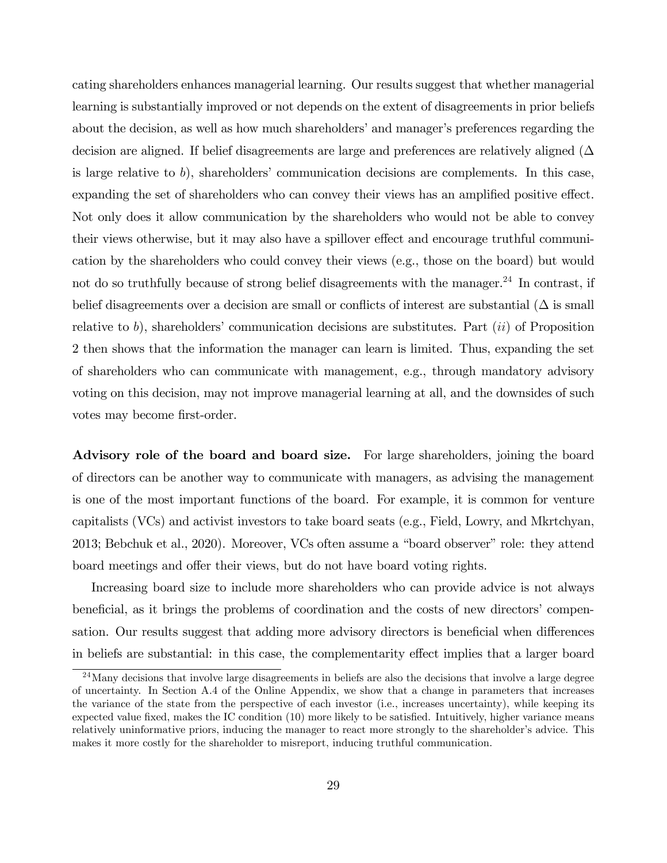cating shareholders enhances managerial learning. Our results suggest that whether managerial learning is substantially improved or not depends on the extent of disagreements in prior beliefs about the decision, as well as how much shareholders' and manager's preferences regarding the decision are aligned. If belief disagreements are large and preferences are relatively aligned  $(\Delta$ is large relative to *b*), shareholders' communication decisions are complements. In this case, expanding the set of shareholders who can convey their views has an amplified positive effect. Not only does it allow communication by the shareholders who would not be able to convey their views otherwise, but it may also have a spillover effect and encourage truthful communication by the shareholders who could convey their views (e.g., those on the board) but would not do so truthfully because of strong belief disagreements with the manager.<sup>24</sup> In contrast, if belief disagreements over a decision are small or conflicts of interest are substantial  $(\Delta$  is small relative to *b*), shareholders' communication decisions are substitutes. Part (*ii*) of Proposition 2 then shows that the information the manager can learn is limited. Thus, expanding the set of shareholders who can communicate with management, e.g., through mandatory advisory voting on this decision, may not improve managerial learning at all, and the downsides of such votes may become first-order.

Advisory role of the board and board size. For large shareholders, joining the board of directors can be another way to communicate with managers, as advising the management is one of the most important functions of the board. For example, it is common for venture capitalists (VCs) and activist investors to take board seats (e.g., Field, Lowry, and Mkrtchyan, 2013; Bebchuk et al., 2020). Moreover, VCs often assume a "board observer" role: they attend board meetings and offer their views, but do not have board voting rights.

Increasing board size to include more shareholders who can provide advice is not always beneficial, as it brings the problems of coordination and the costs of new directors' compensation. Our results suggest that adding more advisory directors is beneficial when differences in beliefs are substantial: in this case, the complementarity effect implies that a larger board

<sup>&</sup>lt;sup>24</sup>Many decisions that involve large disagreements in beliefs are also the decisions that involve a large degree of uncertainty. In Section A.4 of the Online Appendix, we show that a change in parameters that increases the variance of the state from the perspective of each investor (i.e., increases uncertainty), while keeping its expected value fixed, makes the IC condition (10) more likely to be satisfied. Intuitively, higher variance means relatively uninformative priors, inducing the manager to react more strongly to the shareholder's advice. This makes it more costly for the shareholder to misreport, inducing truthful communication.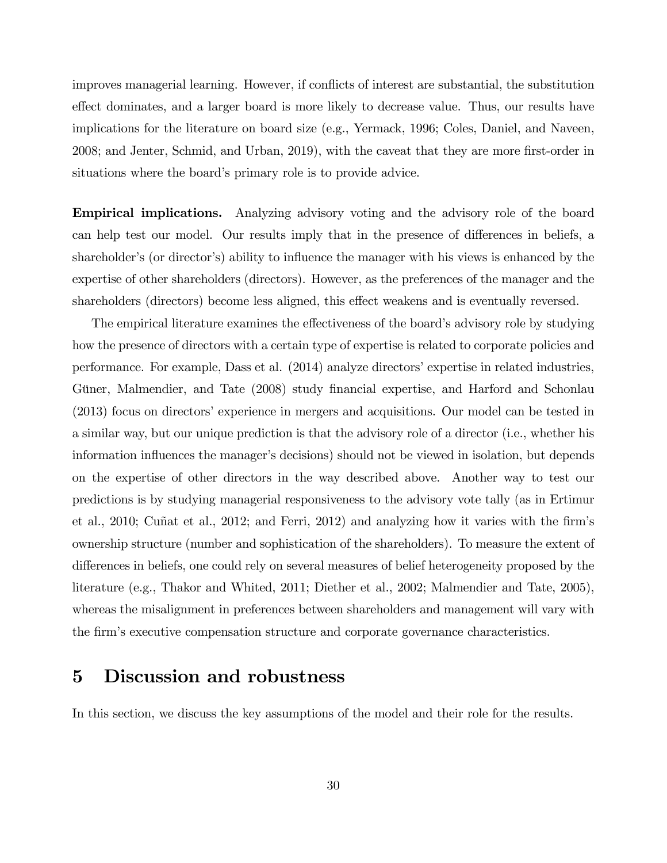improves managerial learning. However, if conflicts of interest are substantial, the substitution effect dominates, and a larger board is more likely to decrease value. Thus, our results have implications for the literature on board size (e.g., Yermack, 1996; Coles, Daniel, and Naveen, 2008; and Jenter, Schmid, and Urban, 2019), with the caveat that they are more first-order in situations where the board's primary role is to provide advice.

Empirical implications. Analyzing advisory voting and the advisory role of the board can help test our model. Our results imply that in the presence of differences in beliefs, a shareholder's (or director's) ability to influence the manager with his views is enhanced by the expertise of other shareholders (directors). However, as the preferences of the manager and the shareholders (directors) become less aligned, this effect weakens and is eventually reversed.

The empirical literature examines the effectiveness of the board's advisory role by studying how the presence of directors with a certain type of expertise is related to corporate policies and performance. For example, Dass et al. (2014) analyze directors' expertise in related industries, Güner, Malmendier, and Tate (2008) study financial expertise, and Harford and Schonlau (2013) focus on directors' experience in mergers and acquisitions. Our model can be tested in a similar way, but our unique prediction is that the advisory role of a director (i.e., whether his information influences the manager's decisions) should not be viewed in isolation, but depends on the expertise of other directors in the way described above. Another way to test our predictions is by studying managerial responsiveness to the advisory vote tally (as in Ertimur et al., 2010; Cuñat et al., 2012; and Ferri, 2012) and analyzing how it varies with the firm's ownership structure (number and sophistication of the shareholders). To measure the extent of differences in beliefs, one could rely on several measures of belief heterogeneity proposed by the literature (e.g., Thakor and Whited, 2011; Diether et al., 2002; Malmendier and Tate, 2005), whereas the misalignment in preferences between shareholders and management will vary with the firm's executive compensation structure and corporate governance characteristics.

## 5 Discussion and robustness

In this section, we discuss the key assumptions of the model and their role for the results.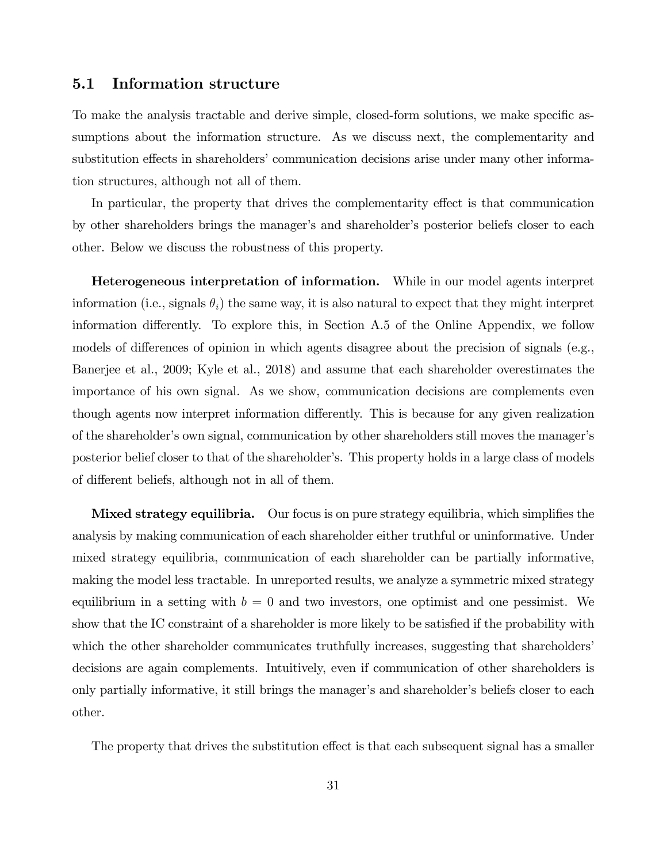#### 5.1 Information structure

To make the analysis tractable and derive simple, closed-form solutions, we make specific assumptions about the information structure. As we discuss next, the complementarity and substitution effects in shareholders' communication decisions arise under many other information structures, although not all of them.

In particular, the property that drives the complementarity effect is that communication by other shareholders brings the manager's and shareholder's posterior beliefs closer to each other. Below we discuss the robustness of this property.

Heterogeneous interpretation of information. While in our model agents interpret information (i.e., signals  $\theta_i$ ) the same way, it is also natural to expect that they might interpret information differently. To explore this, in Section A.5 of the Online Appendix, we follow models of differences of opinion in which agents disagree about the precision of signals (e.g., Banerjee et al., 2009; Kyle et al., 2018) and assume that each shareholder overestimates the importance of his own signal. As we show, communication decisions are complements even though agents now interpret information differently. This is because for any given realization of the shareholder's own signal, communication by other shareholders still moves the manager's posterior belief closer to that of the shareholder's. This property holds in a large class of models of different beliefs, although not in all of them.

**Mixed strategy equilibria.** Our focus is on pure strategy equilibria, which simplifies the analysis by making communication of each shareholder either truthful or uninformative. Under mixed strategy equilibria, communication of each shareholder can be partially informative, making the model less tractable. In unreported results, we analyze a symmetric mixed strategy equilibrium in a setting with  $b = 0$  and two investors, one optimist and one pessimist. We show that the IC constraint of a shareholder is more likely to be satisfied if the probability with which the other shareholder communicates truthfully increases, suggesting that shareholders' decisions are again complements. Intuitively, even if communication of other shareholders is only partially informative, it still brings the manager's and shareholder's beliefs closer to each other.

The property that drives the substitution effect is that each subsequent signal has a smaller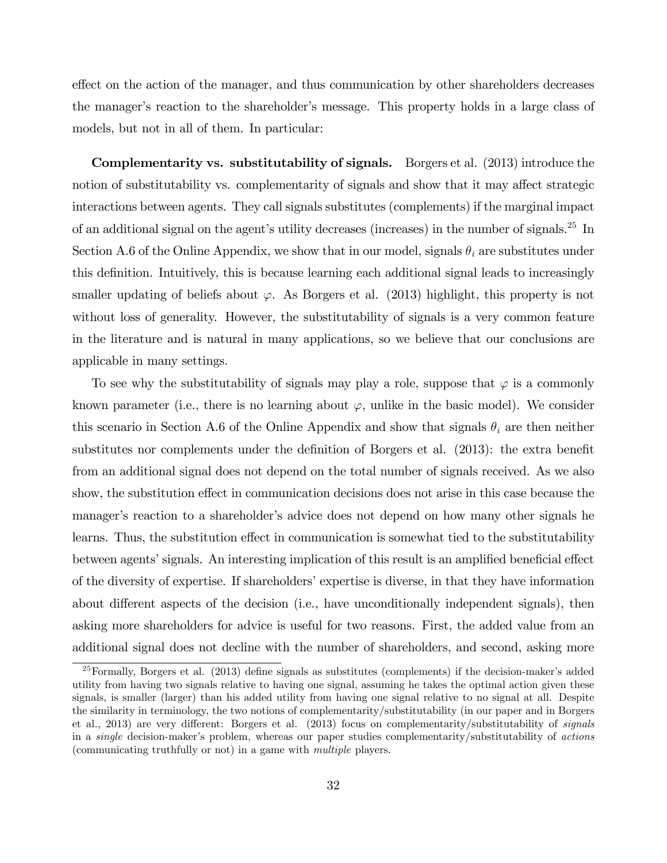effect on the action of the manager, and thus communication by other shareholders decreases the manager's reaction to the shareholder's message. This property holds in a large class of models, but not in all of them. In particular:

Complementarity vs. substitutability of signals. Borgers et al. (2013) introduce the notion of substitutability vs. complementarity of signals and show that it may affect strategic interactions between agents. They call signals substitutes (complements) if the marginal impact of an additional signal on the agent's utility decreases (increases) in the number of signals.25 In Section A.6 of the Online Appendix, we show that in our model, signals  $\theta_i$  are substitutes under this definition. Intuitively, this is because learning each additional signal leads to increasingly smaller updating of beliefs about  $\varphi$ . As Borgers et al. (2013) highlight, this property is not without loss of generality. However, the substitutability of signals is a very common feature in the literature and is natural in many applications, so we believe that our conclusions are applicable in many settings.

To see why the substitutability of signals may play a role, suppose that  $\varphi$  is a commonly known parameter (i.e., there is no learning about  $\varphi$ , unlike in the basic model). We consider this scenario in Section A.6 of the Online Appendix and show that signals θ*<sup>i</sup>* are then neither substitutes nor complements under the definition of Borgers et al. (2013): the extra benefit from an additional signal does not depend on the total number of signals received. As we also show, the substitution effect in communication decisions does not arise in this case because the manager's reaction to a shareholder's advice does not depend on how many other signals he learns. Thus, the substitution effect in communication is somewhat tied to the substitutability between agents' signals. An interesting implication of this result is an amplified beneficial effect of the diversity of expertise. If shareholders' expertise is diverse, in that they have information about different aspects of the decision (i.e., have unconditionally independent signals), then asking more shareholders for advice is useful for two reasons. First, the added value from an additional signal does not decline with the number of shareholders, and second, asking more

<sup>25</sup>Formally, Borgers et al. (2013) define signals as substitutes (complements) if the decision-maker's added utility from having two signals relative to having one signal, assuming he takes the optimal action given these signals, is smaller (larger) than his added utility from having one signal relative to no signal at all. Despite the similarity in terminology, the two notions of complementarity/substitutability (in our paper and in Borgers et al., 2013) are very different: Borgers et al. (2013) focus on complementarity/substitutability of *signals* in a *single* decision-maker's problem, whereas our paper studies complementarity/substitutability of *actions* (communicating truthfully or not) in a game with *multiple* players.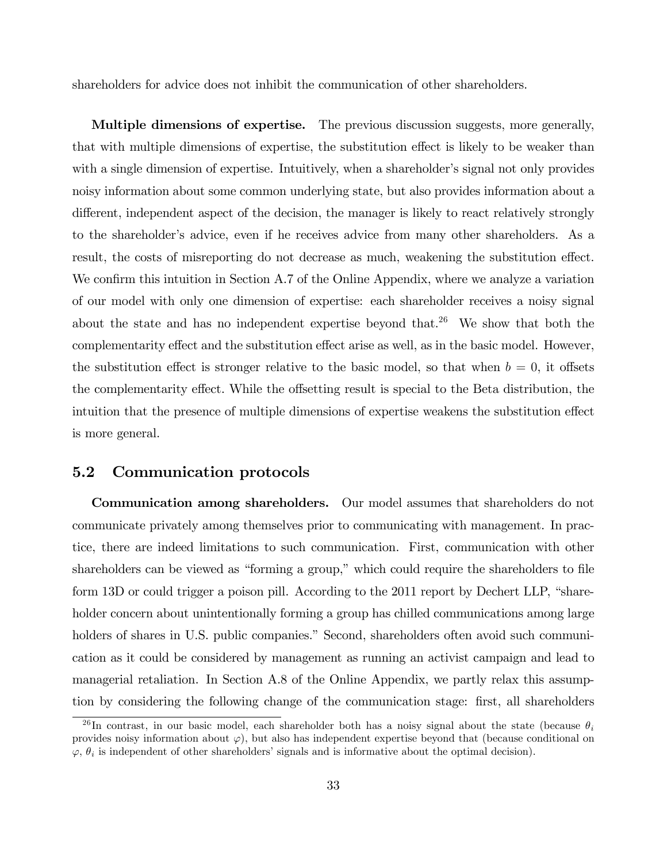shareholders for advice does not inhibit the communication of other shareholders.

Multiple dimensions of expertise. The previous discussion suggests, more generally, that with multiple dimensions of expertise, the substitution effect is likely to be weaker than with a single dimension of expertise. Intuitively, when a shareholder's signal not only provides noisy information about some common underlying state, but also provides information about a different, independent aspect of the decision, the manager is likely to react relatively strongly to the shareholder's advice, even if he receives advice from many other shareholders. As a result, the costs of misreporting do not decrease as much, weakening the substitution effect. We confirm this intuition in Section A.7 of the Online Appendix, where we analyze a variation of our model with only one dimension of expertise: each shareholder receives a noisy signal about the state and has no independent expertise beyond that.<sup>26</sup> We show that both the complementarity effect and the substitution effect arise as well, as in the basic model. However, the substitution effect is stronger relative to the basic model, so that when  $b = 0$ , it offsets the complementarity effect. While the offsetting result is special to the Beta distribution, the intuition that the presence of multiple dimensions of expertise weakens the substitution effect is more general.

#### 5.2 Communication protocols

Communication among shareholders. Our model assumes that shareholders do not communicate privately among themselves prior to communicating with management. In practice, there are indeed limitations to such communication. First, communication with other shareholders can be viewed as "forming a group," which could require the shareholders to file form 13D or could trigger a poison pill. According to the 2011 report by Dechert LLP, "shareholder concern about unintentionally forming a group has chilled communications among large holders of shares in U.S. public companies." Second, shareholders often avoid such communication as it could be considered by management as running an activist campaign and lead to managerial retaliation. In Section A.8 of the Online Appendix, we partly relax this assumption by considering the following change of the communication stage: first, all shareholders

 $^{26}$ In contrast, in our basic model, each shareholder both has a noisy signal about the state (because  $\theta_i$ provides noisy information about  $\varphi$ ), but also has independent expertise beyond that (because conditional on  $\varphi$ ,  $\theta_i$  is independent of other shareholders' signals and is informative about the optimal decision).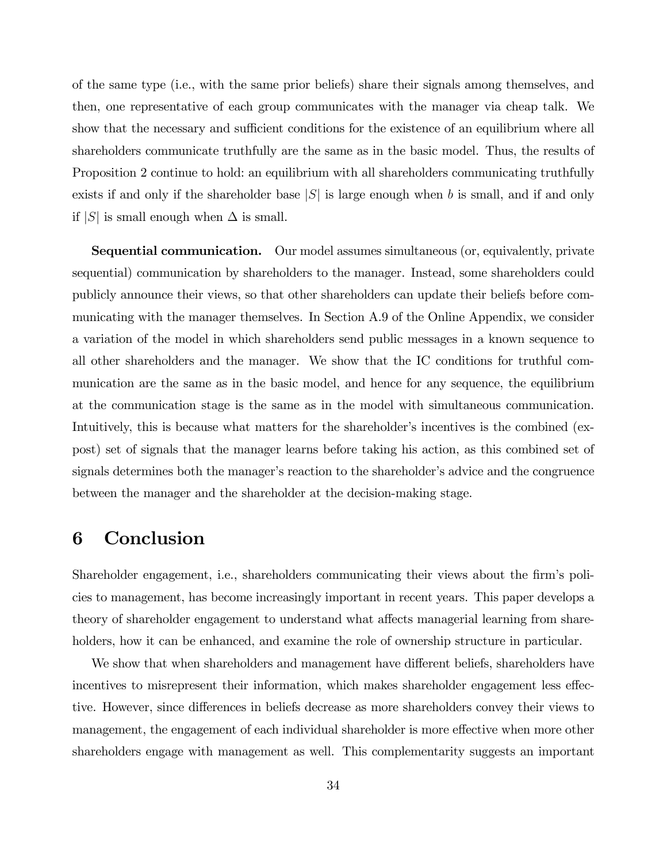of the same type (i.e., with the same prior beliefs) share their signals among themselves, and then, one representative of each group communicates with the manager via cheap talk. We show that the necessary and sufficient conditions for the existence of an equilibrium where all shareholders communicate truthfully are the same as in the basic model. Thus, the results of Proposition 2 continue to hold: an equilibrium with all shareholders communicating truthfully exists if and only if the shareholder base |*S*| is large enough when *b* is small, and if and only if  $|S|$  is small enough when  $\Delta$  is small.

Sequential communication. Our model assumes simultaneous (or, equivalently, private sequential) communication by shareholders to the manager. Instead, some shareholders could publicly announce their views, so that other shareholders can update their beliefs before communicating with the manager themselves. In Section A.9 of the Online Appendix, we consider a variation of the model in which shareholders send public messages in a known sequence to all other shareholders and the manager. We show that the IC conditions for truthful communication are the same as in the basic model, and hence for any sequence, the equilibrium at the communication stage is the same as in the model with simultaneous communication. Intuitively, this is because what matters for the shareholder's incentives is the combined (expost) set of signals that the manager learns before taking his action, as this combined set of signals determines both the manager's reaction to the shareholder's advice and the congruence between the manager and the shareholder at the decision-making stage.

# 6 Conclusion

Shareholder engagement, i.e., shareholders communicating their views about the firm's policies to management, has become increasingly important in recent years. This paper develops a theory of shareholder engagement to understand what affects managerial learning from shareholders, how it can be enhanced, and examine the role of ownership structure in particular.

We show that when shareholders and management have different beliefs, shareholders have incentives to misrepresent their information, which makes shareholder engagement less effective. However, since differences in beliefs decrease as more shareholders convey their views to management, the engagement of each individual shareholder is more effective when more other shareholders engage with management as well. This complementarity suggests an important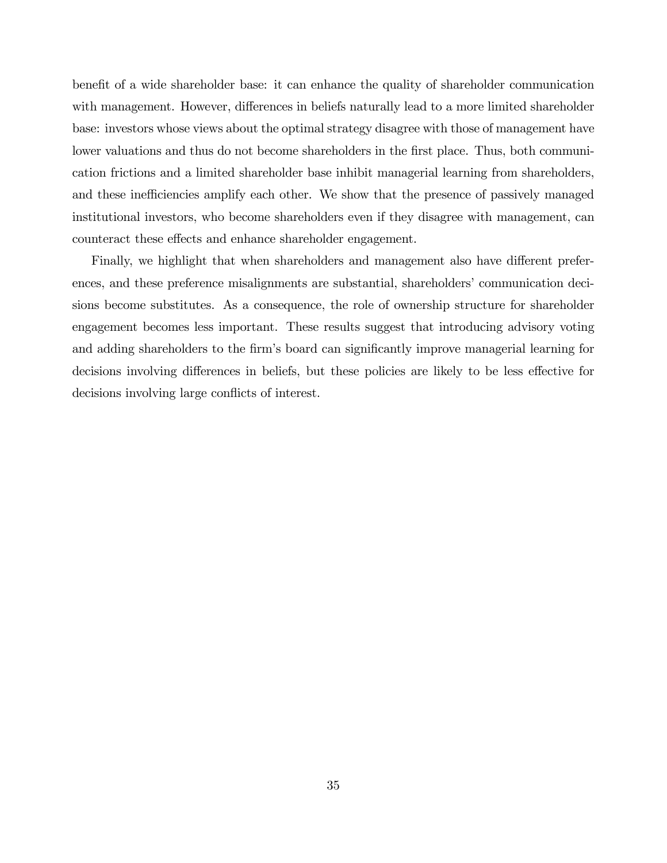benefit of a wide shareholder base: it can enhance the quality of shareholder communication with management. However, differences in beliefs naturally lead to a more limited shareholder base: investors whose views about the optimal strategy disagree with those of management have lower valuations and thus do not become shareholders in the first place. Thus, both communication frictions and a limited shareholder base inhibit managerial learning from shareholders, and these inefficiencies amplify each other. We show that the presence of passively managed institutional investors, who become shareholders even if they disagree with management, can counteract these effects and enhance shareholder engagement.

Finally, we highlight that when shareholders and management also have different preferences, and these preference misalignments are substantial, shareholders' communication decisions become substitutes. As a consequence, the role of ownership structure for shareholder engagement becomes less important. These results suggest that introducing advisory voting and adding shareholders to the firm's board can significantly improve managerial learning for decisions involving differences in beliefs, but these policies are likely to be less effective for decisions involving large conflicts of interest.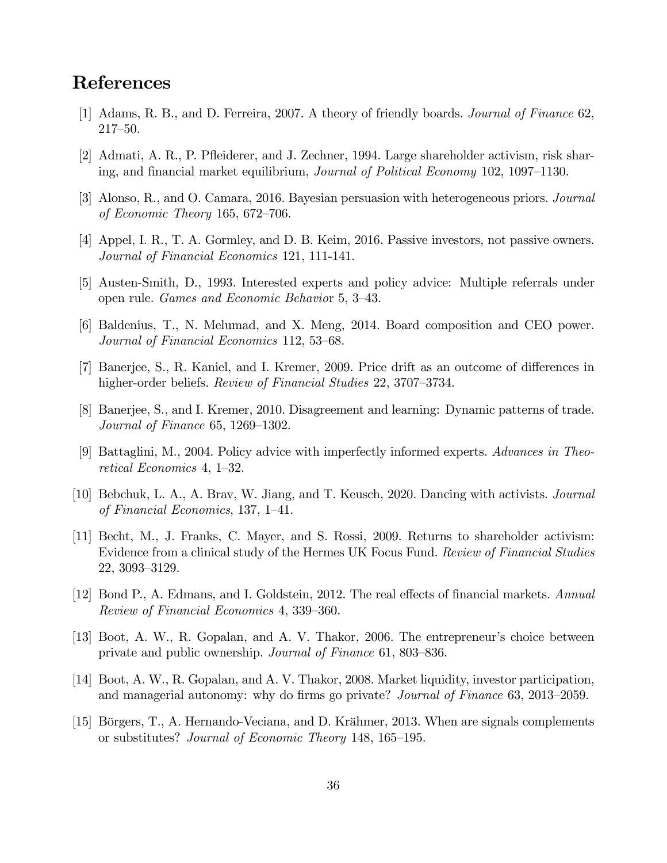# References

- [1] Adams, R. B., and D. Ferreira, 2007. A theory of friendly boards. *Journal of Finance* 62, 217—50.
- [2] Admati, A. R., P. Pfleiderer, and J. Zechner, 1994. Large shareholder activism, risk sharing, and financial market equilibrium, *Journal of Political Economy* 102, 1097—1130.
- [3] Alonso, R., and O. Camara, 2016. Bayesian persuasion with heterogeneous priors. *Journal of Economic Theory* 165, 672—706.
- [4] Appel, I. R., T. A. Gormley, and D. B. Keim, 2016. Passive investors, not passive owners. *Journal of Financial Economics* 121, 111-141.
- [5] Austen-Smith, D., 1993. Interested experts and policy advice: Multiple referrals under open rule. *Games and Economic Behavio*r 5, 3—43.
- [6] Baldenius, T., N. Melumad, and X. Meng, 2014. Board composition and CEO power. *Journal of Financial Economics* 112, 53—68.
- [7] Banerjee, S., R. Kaniel, and I. Kremer, 2009. Price drift as an outcome of differences in higher-order beliefs. *Review of Financial Studies* 22, 3707—3734.
- [8] Banerjee, S., and I. Kremer, 2010. Disagreement and learning: Dynamic patterns of trade. *Journal of Finance* 65, 1269—1302.
- [9] Battaglini, M., 2004. Policy advice with imperfectly informed experts. *Advances in Theoretical Economics* 4, 1—32.
- [10] Bebchuk, L. A., A. Brav, W. Jiang, and T. Keusch, 2020. Dancing with activists. *Journal of Financial Economics*, 137, 1—41.
- [11] Becht, M., J. Franks, C. Mayer, and S. Rossi, 2009. Returns to shareholder activism: Evidence from a clinical study of the Hermes UK Focus Fund. *Review of Financial Studies* 22, 3093—3129.
- [12] Bond P., A. Edmans, and I. Goldstein, 2012. The real effects of financial markets. *Annual Review of Financial Economics* 4, 339—360.
- [13] Boot, A. W., R. Gopalan, and A. V. Thakor, 2006. The entrepreneur's choice between private and public ownership. *Journal of Finance* 61, 803—836.
- [14] Boot, A. W., R. Gopalan, and A. V. Thakor, 2008. Market liquidity, investor participation, and managerial autonomy: why do firms go private? *Journal of Finance* 63, 2013—2059.
- [15] Börgers, T., A. Hernando-Veciana, and D. Krähmer, 2013. When are signals complements or substitutes? *Journal of Economic Theory* 148, 165—195.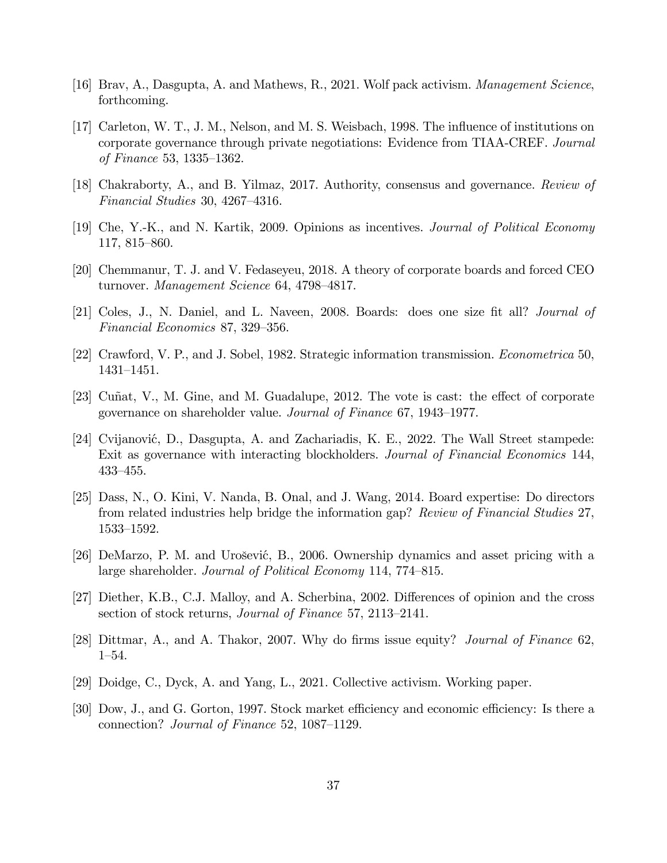- [16] Brav, A., Dasgupta, A. and Mathews, R., 2021. Wolf pack activism. *Management Science*, forthcoming.
- [17] Carleton, W. T., J. M., Nelson, and M. S. Weisbach, 1998. The influence of institutions on corporate governance through private negotiations: Evidence from TIAA-CREF. *Journal of Finance* 53, 1335—1362.
- [18] Chakraborty, A., and B. Yilmaz, 2017. Authority, consensus and governance. *Review of Financial Studies* 30, 4267—4316.
- [19] Che, Y.-K., and N. Kartik, 2009. Opinions as incentives. *Journal of Political Economy* 117, 815—860.
- [20] Chemmanur, T. J. and V. Fedaseyeu, 2018. A theory of corporate boards and forced CEO turnover. *Management Science* 64, 4798—4817.
- [21] Coles, J., N. Daniel, and L. Naveen, 2008. Boards: does one size fit all? *Journal of Financial Economics* 87, 329—356.
- [22] Crawford, V. P., and J. Sobel, 1982. Strategic information transmission. *Econometrica* 50, 1431—1451.
- [23] Cuñat, V., M. Gine, and M. Guadalupe, 2012. The vote is cast: the effect of corporate governance on shareholder value. *Journal of Finance* 67, 1943—1977.
- [24] Cvijanović, D., Dasgupta, A. and Zachariadis, K. E., 2022. The Wall Street stampede: Exit as governance with interacting blockholders. *Journal of Financial Economics* 144, 433—455.
- [25] Dass, N., O. Kini, V. Nanda, B. Onal, and J. Wang, 2014. Board expertise: Do directors from related industries help bridge the information gap? *Review of Financial Studies* 27, 1533—1592.
- [26] DeMarzo, P. M. and Urošević, B., 2006. Ownership dynamics and asset pricing with a large shareholder. *Journal of Political Economy* 114, 774—815.
- [27] Diether, K.B., C.J. Malloy, and A. Scherbina, 2002. Differences of opinion and the cross section of stock returns, *Journal of Finance* 57, 2113—2141.
- [28] Dittmar, A., and A. Thakor, 2007. Why do firms issue equity? *Journal of Finance* 62, 1—54.
- [29] Doidge, C., Dyck, A. and Yang, L., 2021. Collective activism. Working paper.
- [30] Dow, J., and G. Gorton, 1997. Stock market efficiency and economic efficiency: Is there a connection? *Journal of Finance* 52, 1087—1129.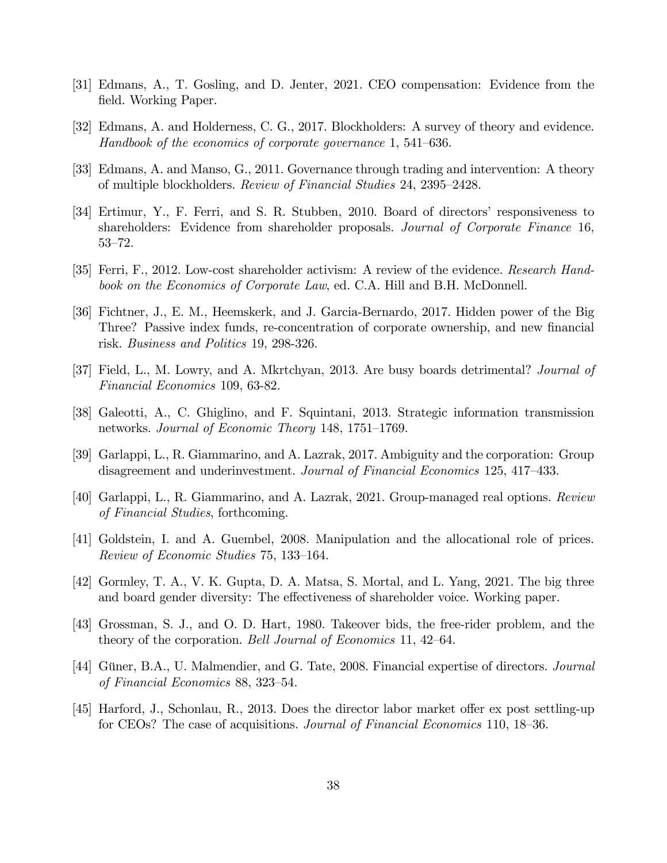- [31] Edmans, A., T. Gosling, and D. Jenter, 2021. CEO compensation: Evidence from the field. Working Paper.
- [32] Edmans, A. and Holderness, C. G., 2017. Blockholders: A survey of theory and evidence. *Handbook of the economics of corporate governance* 1, 541—636.
- [33] Edmans, A. and Manso, G., 2011. Governance through trading and intervention: A theory of multiple blockholders. *Review of Financial Studies* 24, 2395—2428.
- [34] Ertimur, Y., F. Ferri, and S. R. Stubben, 2010. Board of directors' responsiveness to shareholders: Evidence from shareholder proposals. *Journal of Corporate Finance* 16, 53—72.
- [35] Ferri, F., 2012. Low-cost shareholder activism: A review of the evidence. *Research Handbook on the Economics of Corporate Law*, ed. C.A. Hill and B.H. McDonnell.
- [36] Fichtner, J., E. M., Heemskerk, and J. Garcia-Bernardo, 2017. Hidden power of the Big Three? Passive index funds, re-concentration of corporate ownership, and new financial risk. *Business and Politics* 19, 298-326.
- [37] Field, L., M. Lowry, and A. Mkrtchyan, 2013. Are busy boards detrimental? *Journal of Financial Economics* 109, 63-82.
- [38] Galeotti, A., C. Ghiglino, and F. Squintani, 2013. Strategic information transmission networks. *Journal of Economic Theory* 148, 1751—1769.
- [39] Garlappi, L., R. Giammarino, and A. Lazrak, 2017. Ambiguity and the corporation: Group disagreement and underinvestment. *Journal of Financial Economics* 125, 417—433.
- [40] Garlappi, L., R. Giammarino, and A. Lazrak, 2021. Group-managed real options. *Review of Financial Studies*, forthcoming.
- [41] Goldstein, I. and A. Guembel, 2008. Manipulation and the allocational role of prices. *Review of Economic Studies* 75, 133—164.
- [42] Gormley, T. A., V. K. Gupta, D. A. Matsa, S. Mortal, and L. Yang, 2021. The big three and board gender diversity: The effectiveness of shareholder voice. Working paper.
- [43] Grossman, S. J., and O. D. Hart, 1980. Takeover bids, the free-rider problem, and the theory of the corporation. *Bell Journal of Economics* 11, 42—64.
- [44] Güner, B.A., U. Malmendier, and G. Tate, 2008. Financial expertise of directors. *Journal of Financial Economics* 88, 323—54.
- [45] Harford, J., Schonlau, R., 2013. Does the director labor market offer ex post settling-up for CEOs? The case of acquisitions. *Journal of Financial Economics* 110, 18—36.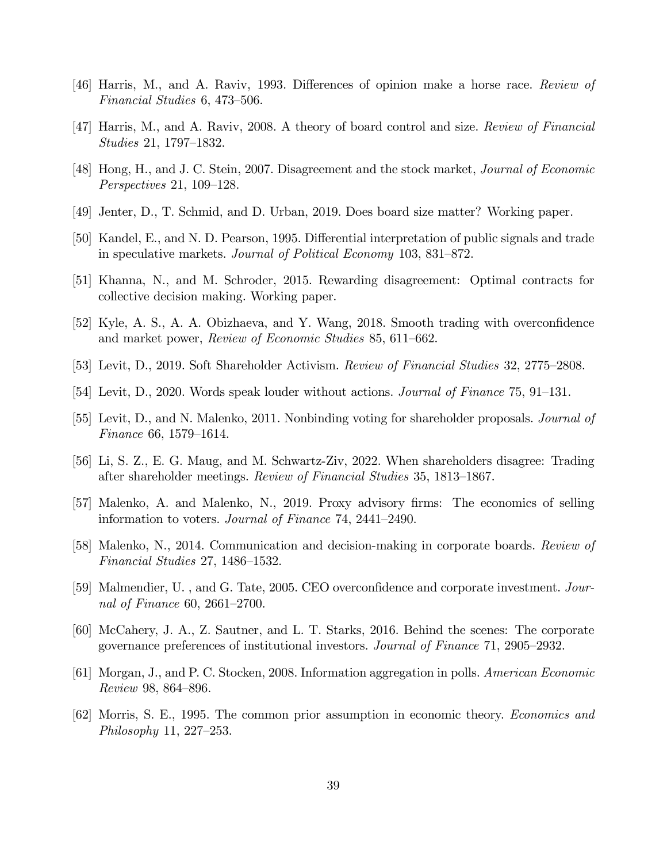- [46] Harris, M., and A. Raviv, 1993. Differences of opinion make a horse race. *Review of Financial Studies* 6, 473—506.
- [47] Harris, M., and A. Raviv, 2008. A theory of board control and size. *Review of Financial Studies* 21, 1797—1832.
- [48] Hong, H., and J. C. Stein, 2007. Disagreement and the stock market, *Journal of Economic Perspectives* 21, 109—128.
- [49] Jenter, D., T. Schmid, and D. Urban, 2019. Does board size matter? Working paper.
- [50] Kandel, E., and N. D. Pearson, 1995. Differential interpretation of public signals and trade in speculative markets. *Journal of Political Economy* 103, 831—872.
- [51] Khanna, N., and M. Schroder, 2015. Rewarding disagreement: Optimal contracts for collective decision making. Working paper.
- [52] Kyle, A. S., A. A. Obizhaeva, and Y. Wang, 2018. Smooth trading with overconfidence and market power, *Review of Economic Studies* 85, 611—662.
- [53] Levit, D., 2019. Soft Shareholder Activism. *Review of Financial Studies* 32, 2775—2808.
- [54] Levit, D., 2020. Words speak louder without actions. *Journal of Finance* 75, 91—131.
- [55] Levit, D., and N. Malenko, 2011. Nonbinding voting for shareholder proposals. *Journal of Finance* 66, 1579—1614.
- [56] Li, S. Z., E. G. Maug, and M. Schwartz-Ziv, 2022. When shareholders disagree: Trading after shareholder meetings. *Review of Financial Studies* 35, 1813—1867.
- [57] Malenko, A. and Malenko, N., 2019. Proxy advisory firms: The economics of selling information to voters. *Journal of Finance* 74, 2441—2490.
- [58] Malenko, N., 2014. Communication and decision-making in corporate boards. *Review of Financial Studies* 27, 1486—1532.
- [59] Malmendier, U. , and G. Tate, 2005. CEO overconfidence and corporate investment. *Journal of Finance* 60, 2661—2700.
- [60] McCahery, J. A., Z. Sautner, and L. T. Starks, 2016. Behind the scenes: The corporate governance preferences of institutional investors. *Journal of Finance* 71, 2905—2932.
- [61] Morgan, J., and P. C. Stocken, 2008. Information aggregation in polls. *American Economic Review* 98, 864—896.
- [62] Morris, S. E., 1995. The common prior assumption in economic theory. *Economics and Philosophy* 11, 227—253.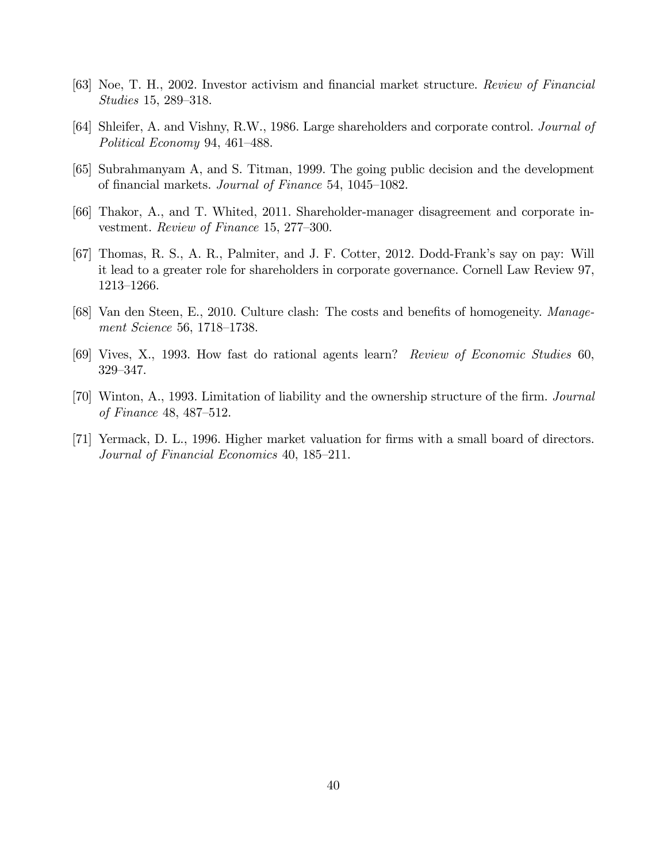- [63] Noe, T. H., 2002. Investor activism and financial market structure. *Review of Financial Studies* 15, 289—318.
- [64] Shleifer, A. and Vishny, R.W., 1986. Large shareholders and corporate control. *Journal of Political Economy* 94, 461—488.
- [65] Subrahmanyam A, and S. Titman, 1999. The going public decision and the development of financial markets. *Journal of Finance* 54, 1045—1082.
- [66] Thakor, A., and T. Whited, 2011. Shareholder-manager disagreement and corporate investment. *Review of Finance* 15, 277—300.
- [67] Thomas, R. S., A. R., Palmiter, and J. F. Cotter, 2012. Dodd-Frank's say on pay: Will it lead to a greater role for shareholders in corporate governance. Cornell Law Review 97, 1213—1266.
- [68] Van den Steen, E., 2010. Culture clash: The costs and benefits of homogeneity. *Management Science* 56, 1718—1738.
- [69] Vives, X., 1993. How fast do rational agents learn? *Review of Economic Studies* 60, 329—347.
- [70] Winton, A., 1993. Limitation of liability and the ownership structure of the firm. *Journal of Finance* 48, 487—512.
- [71] Yermack, D. L., 1996. Higher market valuation for firms with a small board of directors. *Journal of Financial Economics* 40, 185—211.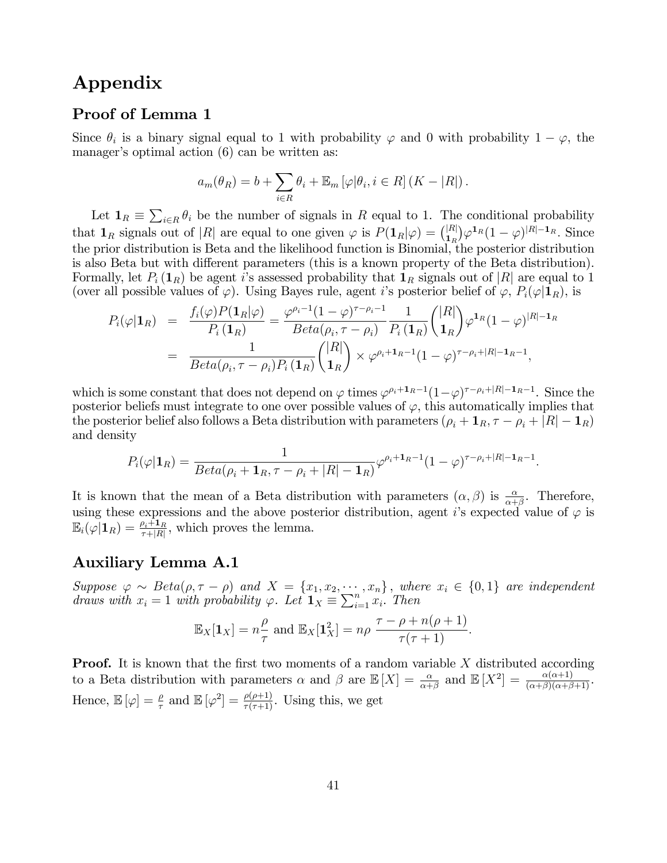## Appendix

## Proof of Lemma 1

Since  $\theta_i$  is a binary signal equal to 1 with probability  $\varphi$  and 0 with probability  $1 - \varphi$ , the manager's optimal action (6) can be written as:

$$
a_m(\theta_R) = b + \sum_{i \in R} \theta_i + \mathbb{E}_m \left[ \varphi | \theta_i, i \in R \right] (K - |R|).
$$

Let  $\mathbf{1}_R \equiv \sum_{i \in R} \theta_i$  be the number of signals in *R* equal to 1. The conditional probability that  $\mathbf{1}_R$  signals out of |*R*| are equal to one given  $\varphi$  is  $P(\mathbf{1}_R|\varphi) = {(|R| \choose 1_R} \varphi^{\mathbf{1}_R} (1 - \varphi)^{|R|- \mathbf{1}_R}$ . Since the prior distribution is Beta and the likelihood function is Binomial, the posterior distribution is also Beta but with different parameters (this is a known property of the Beta distribution). Formally, let  $P_i(\mathbf{1}_R)$  be agent *i*'s assessed probability that  $\mathbf{1}_R$  signals out of  $|R|$  are equal to 1 (over all possible values of  $\varphi$ ). Using Bayes rule, agent *i*'s posterior belief of  $\varphi$ ,  $P_i(\varphi|\mathbf{1}_R)$ , is

$$
P_i(\varphi|\mathbf{1}_R) = \frac{f_i(\varphi)P(\mathbf{1}_R|\varphi)}{P_i(\mathbf{1}_R)} = \frac{\varphi^{\rho_i-1}(1-\varphi)^{\tau-\rho_i-1}}{Beta(\rho_i, \tau-\rho_i)} \frac{1}{P_i(\mathbf{1}_R)} \binom{|R|}{\mathbf{1}_R} \varphi^{\mathbf{1}_R}(1-\varphi)^{|R|-1_R}
$$
  
= 
$$
\frac{1}{Beta(\rho_i, \tau-\rho_i)P_i(\mathbf{1}_R)} \binom{|R|}{\mathbf{1}_R} \times \varphi^{\rho_i+\mathbf{1}_R-1}(1-\varphi)^{\tau-\rho_i+|R|-1_R-1},
$$

which is some constant that does not depend on  $\varphi$  times  $\varphi^{\rho_i+1}R^{-1}(1-\varphi)^{\tau-\rho_i+|R|-1}R^{-1}$ . Since the posterior beliefs must integrate to one over possible values of  $\varphi$ , this automatically implies that the posterior belief also follows a Beta distribution with parameters  $(\rho_i + \mathbf{1}_R, \tau - \rho_i + |R| - \mathbf{1}_R)$ and density

$$
P_i(\varphi|\mathbf{1}_R) = \frac{1}{Beta(\rho_i+\mathbf{1}_R,\tau-\rho_i+|R|-\mathbf{1}_R)}\varphi^{\rho_i+\mathbf{1}_R-1}(1-\varphi)^{\tau-\rho_i+|R|-\mathbf{1}_R-1}.
$$

It is known that the mean of a Beta distribution with parameters  $(\alpha, \beta)$  is  $\frac{\alpha}{\alpha+\beta}$ . Therefore, using these expressions and the above posterior distribution, agent *i*'s expected value of  $\varphi$  is  $\mathbb{E}_i(\varphi|\mathbf{1}_R) = \frac{\rho_i+1_R}{\tau+|R|}$ , which proves the lemma.

#### Auxiliary Lemma A.1

 $Suppose \varphi \sim Beta(\rho, \tau - \rho)$  and  $X = \{x_1, x_2, \dots, x_n\}$ , where  $x_i \in \{0, 1\}$  are independent *draws with*  $x_i = 1$  *with probability*  $\varphi$ *. Let*  $\mathbf{1}_X = \sum_{i=1}^n x_i$ *. Then* 

$$
\mathbb{E}_X[\mathbf{1}_X] = n\frac{\rho}{\tau} \text{ and } \mathbb{E}_X[\mathbf{1}_X^2] = n\rho \frac{\tau - \rho + n(\rho + 1)}{\tau(\tau + 1)}.
$$

Proof. It is known that the first two moments of a random variable *X* distributed according to a Beta distribution with parameters  $\alpha$  and  $\beta$  are  $\mathbb{E}[X] = \frac{\alpha}{\alpha+\beta}$  and  $\mathbb{E}[X^2] = \frac{\alpha(\alpha+1)}{(\alpha+\beta)(\alpha+\beta+1)}$ . Hence,  $\mathbb{E}[\varphi] = \frac{\rho}{\tau}$  and  $\mathbb{E}[\varphi^2] = \frac{\rho(\rho+1)}{\tau(\tau+1)}$ . Using this, we get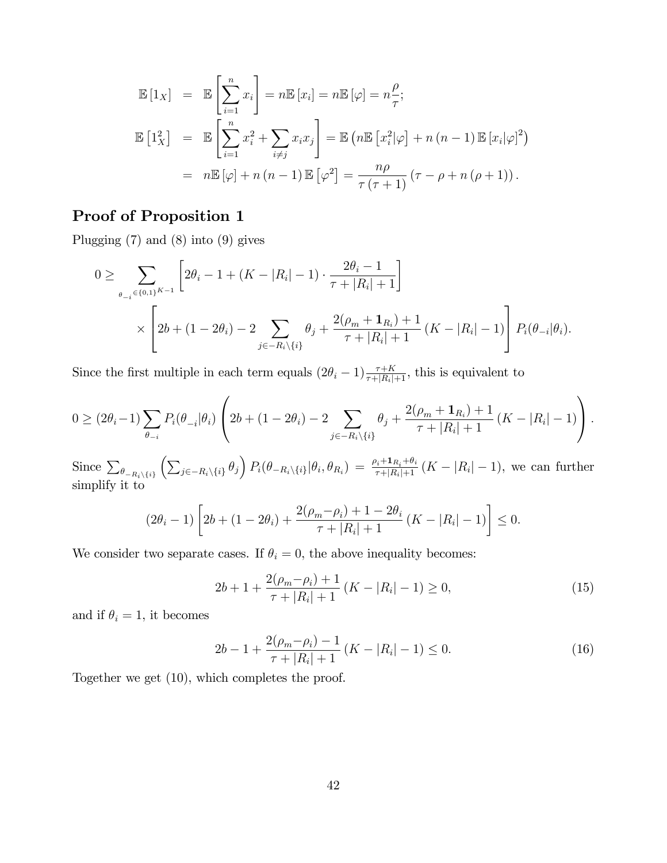$$
\mathbb{E}\left[1_X\right] = \mathbb{E}\left[\sum_{i=1}^n x_i\right] = n\mathbb{E}\left[x_i\right] = n\mathbb{E}\left[\varphi\right] = n\frac{\rho}{\tau};
$$
\n
$$
\mathbb{E}\left[1_X^2\right] = \mathbb{E}\left[\sum_{i=1}^n x_i^2 + \sum_{i\neq j} x_i x_j\right] = \mathbb{E}\left(n\mathbb{E}\left[x_i^2|\varphi\right] + n\left(n-1\right)\mathbb{E}\left[x_i|\varphi\right]^2\right)
$$
\n
$$
= n\mathbb{E}\left[\varphi\right] + n\left(n-1\right)\mathbb{E}\left[\varphi^2\right] = \frac{n\rho}{\tau\left(\tau+1\right)}\left(\tau-\rho+n\left(\rho+1\right)\right).
$$

## Proof of Proposition 1

Plugging (7) and (8) into (9) gives

$$
0 \geq \sum_{\theta_{-i} \in \{0,1\}^{K-1}} \left[ 2\theta_i - 1 + (K - |R_i| - 1) \cdot \frac{2\theta_i - 1}{\tau + |R_i| + 1} \right]
$$
  
 
$$
\times \left[ 2b + (1 - 2\theta_i) - 2 \sum_{j \in -R_i \setminus \{i\}} \theta_j + \frac{2(\rho_m + \mathbf{1}_{R_i}) + 1}{\tau + |R_i| + 1} (K - |R_i| - 1) \right] P_i(\theta_{-i}|\theta_i).
$$

Since the first multiple in each term equals  $(2\theta_i - 1) \frac{\tau + K}{\tau + |R_i| + 1}$ , this is equivalent to

$$
0 \geq (2\theta_i - 1) \sum_{\theta_{-i}} P_i(\theta_{-i} | \theta_i) \left( 2b + (1 - 2\theta_i) - 2 \sum_{j \in -R_i \setminus \{i\}} \theta_j + \frac{2(\rho_m + \mathbf{1}_{R_i}) + 1}{\tau + |R_i| + 1} (K - |R_i| - 1) \right).
$$

Since  $\sum_{\theta_{-R_i\setminus\{i\}}}$  $\left(\sum_{j\in-R_i\setminus\{i\}}\theta_j\right)P_i(\theta_{-R_i\setminus\{i\}}|\theta_i,\theta_{R_i}) = \frac{\rho_i+1_{R_i}+\theta_i}{\tau+|R_i|+1} (K-|R_i|-1)$ , we can further simplify it to

$$
(2\theta_i - 1) \left[ 2b + (1 - 2\theta_i) + \frac{2(\rho_m - \rho_i) + 1 - 2\theta_i}{\tau + |R_i| + 1} (K - |R_i| - 1) \right] \le 0.
$$

We consider two separate cases. If  $\theta_i = 0$ , the above inequality becomes:

$$
2b + 1 + \frac{2(\rho_m - \rho_i) + 1}{\tau + |R_i| + 1} (K - |R_i| - 1) \ge 0,
$$
\n(15)

and if  $\theta_i = 1$ , it becomes

$$
2b - 1 + \frac{2(\rho_m - \rho_i) - 1}{\tau + |R_i| + 1} (K - |R_i| - 1) \le 0.
$$
 (16)

Together we get (10), which completes the proof.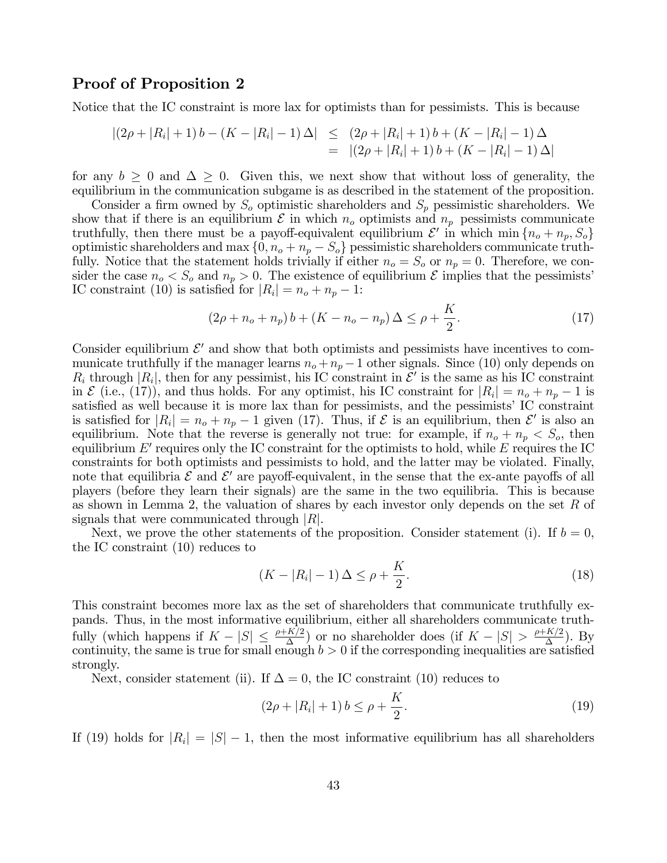## Proof of Proposition 2

Notice that the IC constraint is more lax for optimists than for pessimists. This is because

$$
\begin{array}{rcl} \left| (2\rho + |R_i| + 1) b - (K - |R_i| - 1) \Delta \right| & \leq & (2\rho + |R_i| + 1) b + (K - |R_i| - 1) \Delta \\ & = & \left| (2\rho + |R_i| + 1) b + (K - |R_i| - 1) \Delta \right| \end{array}
$$

for any  $b \geq 0$  and  $\Delta \geq 0$ . Given this, we next show that without loss of generality, the equilibrium in the communication subgame is as described in the statement of the proposition.

Consider a firm owned by *S<sup>o</sup>* optimistic shareholders and *S<sup>p</sup>* pessimistic shareholders. We show that if there is an equilibrium  $\mathcal E$  in which  $n_o$  optimists and  $n_p$  pessimists communicate truthfully, then there must be a payoff-equivalent equilibrium  $\mathcal{E}'$  in which min  $\{n_o + n_p, S_o\}$ optimistic shareholders and max  $\{0, n_o + n_p - S_o\}$  pessimistic shareholders communicate truthfully. Notice that the statement holds trivially if either  $n_o = S_o$  or  $n_p = 0$ . Therefore, we consider the case  $n_o < S_o$  and  $n_p > 0$ . The existence of equilibrium  $\mathcal E$  implies that the pessimists' IC constraint (10) is satisfied for  $|R_i| = n_o + n_p - 1$ :

$$
(2\rho + n_o + n_p) b + (K - n_o - n_p) \Delta \le \rho + \frac{K}{2}.
$$
 (17)

Consider equilibrium  $\mathcal{E}'$  and show that both optimists and pessimists have incentives to communicate truthfully if the manager learns  $n_o + n_p - 1$  other signals. Since (10) only depends on  $R_i$  through  $|R_i|$ , then for any pessimist, his IC constraint in  $\mathcal{E}'$  is the same as his IC constraint in  $\mathcal{E}$  (i.e., (17)), and thus holds. For any optimist, his IC constraint for  $|R_i| = n_o + n_p - 1$  is satisfied as well because it is more lax than for pessimists, and the pessimists' IC constraint is satisfied for  $|R_i| = n_o + n_p - 1$  given (17). Thus, if  $\mathcal E$  is an equilibrium, then  $\mathcal E'$  is also an equilibrium. Note that the reverse is generally not true: for example, if  $n_o + n_p < S_o$ , then equilibrium  $E'$  requires only the IC constraint for the optimists to hold, while  $E$  requires the IC constraints for both optimists and pessimists to hold, and the latter may be violated. Finally, note that equilibria  $\mathcal E$  and  $\mathcal E'$  are payoff-equivalent, in the sense that the ex-ante payoffs of all players (before they learn their signals) are the same in the two equilibria. This is because as shown in Lemma 2, the valuation of shares by each investor only depends on the set *R* of signals that were communicated through |*R*|.

Next, we prove the other statements of the proposition. Consider statement (i). If  $b = 0$ , the IC constraint (10) reduces to

$$
(K - |R_i| - 1) \Delta \le \rho + \frac{K}{2}.
$$
\n(18)

This constraint becomes more lax as the set of shareholders that communicate truthfully expands. Thus, in the most informative equilibrium, either all shareholders communicate truthfully (which happens if  $K - |S| \leq \frac{\rho + K/2}{\Delta}$ ) or no shareholder does (if  $K - |S| > \frac{\rho + K/2}{\Delta}$ ). By continuity, the same is true for small enough  $b > 0$  if the corresponding inequalities are satisfied strongly.

Next, consider statement (ii). If  $\Delta = 0$ , the IC constraint (10) reduces to

$$
(2\rho + |R_i| + 1) b \le \rho + \frac{K}{2}.
$$
\n(19)

If (19) holds for  $|R_i| = |S| - 1$ , then the most informative equilibrium has all shareholders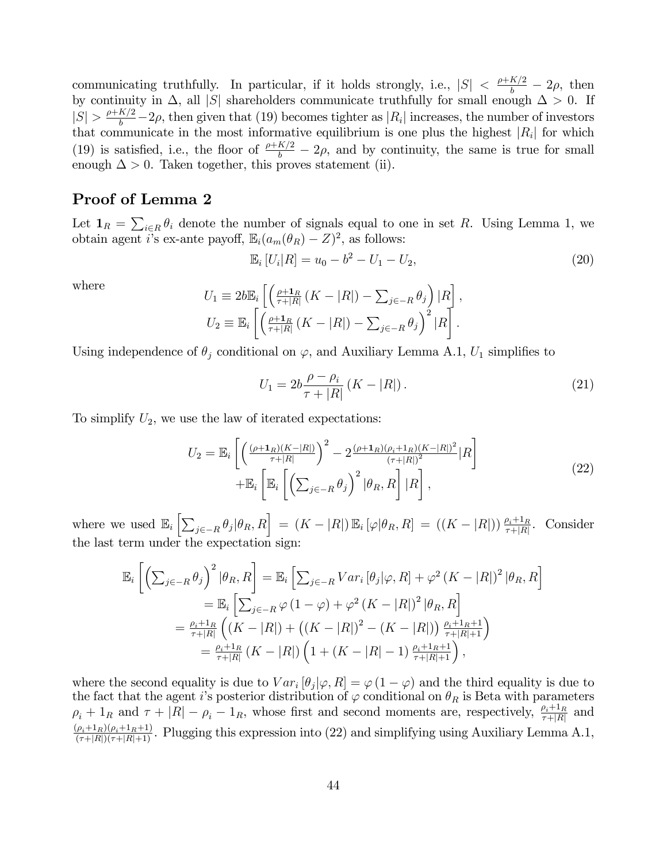communicating truthfully. In particular, if it holds strongly, i.e.,  $|S| < \frac{\rho + K/2}{b} - 2\rho$ , then by continuity in  $\Delta$ , all |*S*| shareholders communicate truthfully for small enough  $\Delta > 0$ . If  $|S| > \frac{\rho + K/2}{b} - 2\rho$ , then given that (19) becomes tighter as  $|R_i|$  increases, the number of investors that communicate in the most informative equilibrium is one plus the highest  $|R_i|$  for which (19) is satisfied, i.e., the floor of  $\frac{\rho + K/2}{b} - 2\rho$ , and by continuity, the same is true for small enough  $\Delta > 0$ . Taken together, this proves statement (ii).

## Proof of Lemma 2

Let  $\mathbf{1}_R = \sum_{i \in R} \theta_i$  denote the number of signals equal to one in set *R*. Using Lemma 1, we obtain agent *i*'s ex-ante payoff,  $\mathbb{E}_i(a_m(\theta_R) - Z)^2$ , as follows:

$$
\mathbb{E}_i[U_i|R] = u_0 - b^2 - U_1 - U_2,\tag{20}
$$

where

$$
U_1 \equiv 2b \mathbb{E}_i \left[ \left( \frac{\rho + \mathbf{1}_R}{\tau + |R|} \left( K - |R| \right) - \sum_{j \in -R} \theta_j \right) | R \right],
$$
  
\n
$$
U_2 \equiv \mathbb{E}_i \left[ \left( \frac{\rho + \mathbf{1}_R}{\tau + |R|} \left( K - |R| \right) - \sum_{j \in -R} \theta_j \right)^2 | R \right].
$$

Using independence of  $\theta_j$  conditional on  $\varphi$ , and Auxiliary Lemma A.1,  $U_1$  simplifies to

$$
U_1 = 2b \frac{\rho - \rho_i}{\tau + |R|} (K - |R|).
$$
 (21)

To simplify  $U_2$ , we use the law of iterated expectations:

$$
U_2 = \mathbb{E}_i \left[ \left( \frac{(\rho + \mathbf{1}_R)(K - |R|)}{\tau + |R|} \right)^2 - 2 \frac{(\rho + \mathbf{1}_R)(\rho_i + \mathbf{1}_R)(K - |R|)^2}{(\tau + |R|)^2} |R \right] + \mathbb{E}_i \left[ \mathbb{E}_i \left[ \left( \sum_{j \in -R} \theta_j \right)^2 | \theta_R, R \right] |R \right],
$$
\n(22)

where we used  $\mathbb{E}_i\left[\sum_{j\in-R}\theta_j|\theta_R,R\right] = (K - |R|)\mathbb{E}_i\left[\varphi|\theta_R,R\right] = ((K - |R|))\frac{\rho_i+1_R}{\tau+|R|}$ . Consider the last term under the expectation sign:

$$
\mathbb{E}_{i}\left[\left(\sum_{j\in-R}\theta_{j}\right)^{2}|\theta_{R},R\right] = \mathbb{E}_{i}\left[\sum_{j\in-R}Var_{i}[\theta_{j}|\varphi,R]+\varphi^{2}\left(K-|R|\right)^{2}|\theta_{R},R\right] \n= \mathbb{E}_{i}\left[\sum_{j\in-R}\varphi\left(1-\varphi\right)+\varphi^{2}\left(K-|R|\right)^{2}|\theta_{R},R\right] \n= \frac{\rho_{i}+1_{R}}{\tau+|R|}\left(\left(K-|R|\right)+\left(\left(K-|R|\right)^{2}-\left(K-|R|\right)\right)\frac{\rho_{i}+1_{R}+1}{\tau+|R|+1}}\right) \n= \frac{\rho_{i}+1_{R}}{\tau+|R|}\left(K-|R|\right)\left(1+\left(K-|R|-1)\frac{\rho_{i}+1_{R}+1}{\tau+|R|+1}\right),
$$

where the second equality is due to  $Var_i [\theta_i | \varphi, R] = \varphi (1 - \varphi)$  and the third equality is due to the fact that the agent *i*'s posterior distribution of  $\varphi$  conditional on  $\theta_R$  is Beta with parameters  $\rho_i + 1_R$  and  $\tau + |R| - \rho_i - 1_R$ , whose first and second moments are, respectively,  $\frac{\rho_i + 1_R}{\tau + |R|}$  and  $\frac{(\rho_i+1_R)(\rho_i+1_R+1)}{(\tau+|R|)(\tau+|R|+1)}$ . Plugging this expression into (22) and simplifying using Auxiliary Lemma A.1,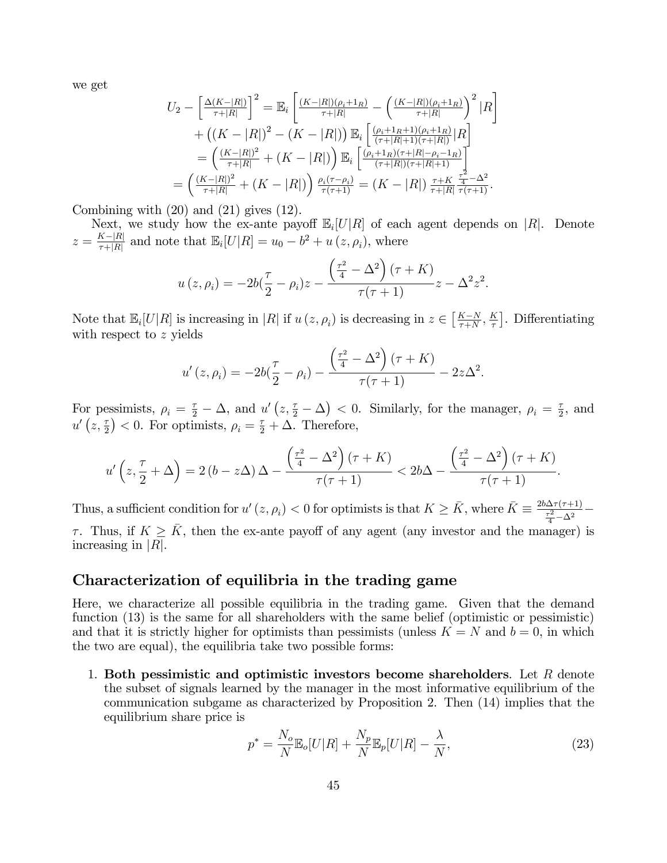we get

$$
U_2 - \left[\frac{\Delta(K-|R|)}{\tau+|R|}\right]^2 = \mathbb{E}_i \left[\frac{(K-|R|)(\rho_i+1_R)}{\tau+|R|} - \left(\frac{(K-|R|)(\rho_i+1_R)}{\tau+|R|}\right)^2 |R\right] + \left((K-|R|)^2 - (K-|R|)\right) \mathbb{E}_i \left[\frac{(\rho_i+1_R+1)(\rho_i+1_R)}{(\tau+|R|+1)(\tau+|R|)}|R\right] = \left(\frac{(K-|R|)^2}{\tau+|R|} + (K-|R|)\right) \mathbb{E}_i \left[\frac{(\rho_i+1_R)(\tau+|R|-\rho_i-1_R)}{(\tau+|R|)(\tau+|R|+1)}\right] = \left(\frac{(K-|R|)^2}{\tau+|R|} + (K-|R|)\right) \frac{\rho_i(\tau-\rho_i)}{\tau(\tau+1)} = (K-|R|) \frac{\tau+K}{\tau+|R|} \frac{\tau^2}{\tau(\tau+1)}.
$$

Combining with (20) and (21) gives (12).

Next, we study how the ex-ante payoff  $\mathbb{E}_i[U|R]$  of each agent depends on |R|. Denote  $z = \frac{K - |R|}{\tau + |R|}$  and note that  $\mathbb{E}_i[U|R] = u_0 - b^2 + u(z, \rho_i)$ , where

$$
u(z, \rho_i) = -2b(\frac{\tau}{2} - \rho_i)z - \frac{\left(\frac{\tau^2}{4} - \Delta^2\right)(\tau + K)}{\tau(\tau + 1)}z - \Delta^2 z^2.
$$

Note that  $\mathbb{E}_i[U|R]$  is increasing in |*R*| if  $u(z, \rho_i)$  is decreasing in  $z \in \left[\frac{K-N}{\tau+N}, \frac{K}{\tau}\right]$ . Differentiating with respect to *z* yields

$$
u'(z,\rho_i) = -2b(\frac{\tau}{2} - \rho_i) - \frac{\left(\frac{\tau^2}{4} - \Delta^2\right)(\tau + K)}{\tau(\tau + 1)} - 2z\Delta^2.
$$

For pessimists,  $\rho_i = \frac{\tau}{2} - \Delta$ , and  $u'(z, \frac{\tau}{2} - \Delta) < 0$ . Similarly, for the manager,  $\rho_i = \frac{\tau}{2}$ , and  $u'\left(z,\frac{\tau}{2}\right) < 0$ . For optimists,  $\rho_i = \frac{\tau}{2} + \Delta$ . Therefore,

$$
u'\left(z,\frac{\tau}{2}+\Delta\right)=2\left(b-z\Delta\right)\Delta-\frac{\left(\frac{\tau^2}{4}-\Delta^2\right)(\tau+K)}{\tau(\tau+1)}<2b\Delta-\frac{\left(\frac{\tau^2}{4}-\Delta^2\right)(\tau+K)}{\tau(\tau+1)}.
$$

Thus, a sufficient condition for  $u'(z, \rho_i) < 0$  for optimists is that  $K \ge \bar{K}$ , where  $\bar{K} \equiv \frac{2b\Delta\tau(\tau+1)}{\tau^2 - \Delta^2}$  $\frac{\tau^2}{4} - \Delta^2$  $\tau$ . Thus, if  $K \geq \bar{K}$ , then the ex-ante payoff of any agent (any investor and the manager) is increasing in |*R*|.

#### Characterization of equilibria in the trading game

Here, we characterize all possible equilibria in the trading game. Given that the demand function (13) is the same for all shareholders with the same belief (optimistic or pessimistic) and that it is strictly higher for optimists than pessimists (unless  $K = N$  and  $b = 0$ , in which the two are equal), the equilibria take two possible forms:

1. Both pessimistic and optimistic investors become shareholders. Let *R* denote the subset of signals learned by the manager in the most informative equilibrium of the communication subgame as characterized by Proposition 2. Then (14) implies that the equilibrium share price is

$$
p^* = \frac{N_o}{N} \mathbb{E}_o[U|R] + \frac{N_p}{N} \mathbb{E}_p[U|R] - \frac{\lambda}{N},\tag{23}
$$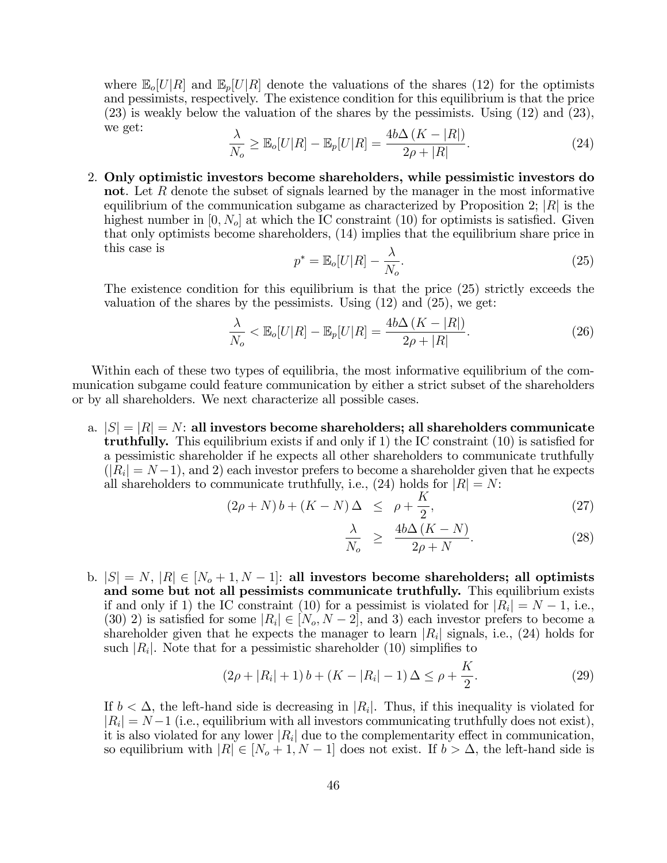where  $\mathbb{E}_{o}[U|R]$  and  $\mathbb{E}_{p}[U|R]$  denote the valuations of the shares (12) for the optimists and pessimists, respectively. The existence condition for this equilibrium is that the price (23) is weakly below the valuation of the shares by the pessimists. Using (12) and (23), we get:

$$
\frac{\lambda}{N_o} \ge \mathbb{E}_o[U|R] - \mathbb{E}_p[U|R] = \frac{4b\Delta\left(K - |R|\right)}{2\rho + |R|}.\tag{24}
$$

2. Only optimistic investors become shareholders, while pessimistic investors do not. Let R denote the subset of signals learned by the manager in the most informative equilibrium of the communication subgame as characterized by Proposition 2; |*R*| is the highest number in [0*, No*] at which the IC constraint (10) for optimists is satisfied. Given that only optimists become shareholders, (14) implies that the equilibrium share price in this case is

$$
p^* = \mathbb{E}_o[U|R] - \frac{\lambda}{N_o}.\tag{25}
$$

The existence condition for this equilibrium is that the price (25) strictly exceeds the valuation of the shares by the pessimists. Using  $(12)$  and  $(25)$ , we get:

$$
\frac{\lambda}{N_o} < \mathbb{E}_o[U|R] - \mathbb{E}_p[U|R] = \frac{4b\Delta\left(K - |R|\right)}{2\rho + |R|}.\tag{26}
$$

Within each of these two types of equilibria, the most informative equilibrium of the communication subgame could feature communication by either a strict subset of the shareholders or by all shareholders. We next characterize all possible cases.

a.  $|S| = |R| = N$ : all investors become shareholders; all shareholders communicate truthfully. This equilibrium exists if and only if 1) the IC constraint (10) is satisfied for a pessimistic shareholder if he expects all other shareholders to communicate truthfully  $(|R_i| = N - 1)$ , and 2) each investor prefers to become a shareholder given that he expects all shareholders to communicate truthfully, i.e.,  $(24)$  holds for  $|R| = N$ :

$$
(2\rho + N) b + (K - N) \Delta \le \rho + \frac{K}{2}, \tag{27}
$$

$$
\frac{\lambda}{N_o} \ge \frac{4b\Delta\left(K - N\right)}{2\rho + N}.\tag{28}
$$

b.  $|S| = N$ ,  $|R| ∈ [N<sub>o</sub> + 1, N − 1]$ : all investors become shareholders; all optimists and some but not all pessimists communicate truthfully. This equilibrium exists if and only if 1) the IC constraint (10) for a pessimist is violated for  $|R_i| = N - 1$ , i.e., (30) 2) is satisfied for some  $|R_i| \in [N_o, N-2]$ , and 3) each investor prefers to become a shareholder given that he expects the manager to learn  $|R_i|$  signals, i.e., (24) holds for such  $|R_i|$ . Note that for a pessimistic shareholder (10) simplifies to

$$
(2\rho + |R_i| + 1) b + (K - |R_i| - 1) \Delta \le \rho + \frac{K}{2}.
$$
 (29)

If  $b < \Delta$ , the left-hand side is decreasing in  $|R_i|$ . Thus, if this inequality is violated for  $|R_i| = N-1$  (i.e., equilibrium with all investors communicating truthfully does not exist), it is also violated for any lower  $|R_i|$  due to the complementarity effect in communication, so equilibrium with  $|R| \in [N_o + 1, N - 1]$  does not exist. If  $b > \Delta$ , the left-hand side is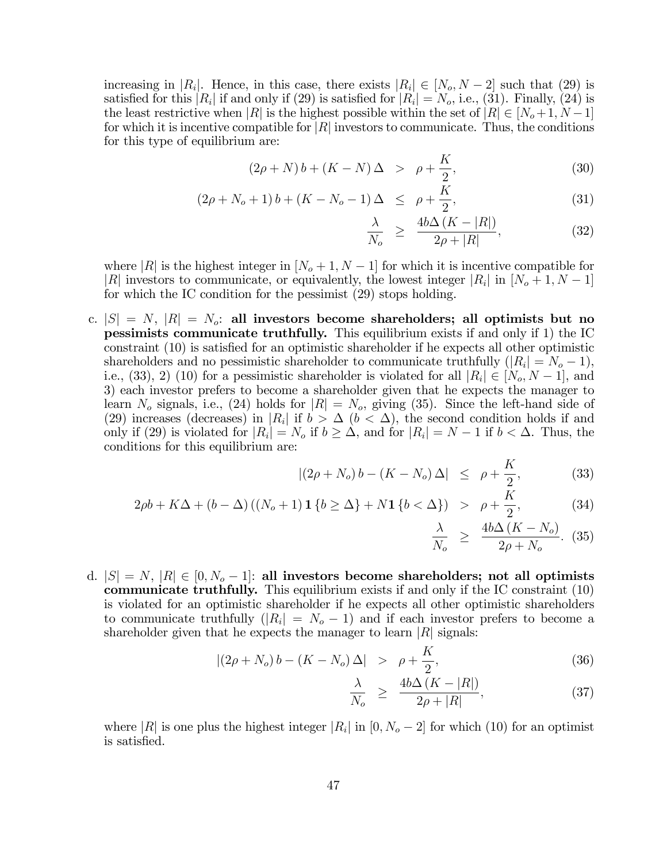increasing in  $|R_i|$ . Hence, in this case, there exists  $|R_i| \in [N_o, N-2]$  such that (29) is satisfied for this  $|R_i|$  if and only if (29) is satisfied for  $|R_i| = N_o$ , i.e., (31). Finally, (24) is the least restrictive when |*R*| is the highest possible within the set of  $|R| \in [N_o+1, N-1]$ for which it is incentive compatible for |*R*| investors to communicate. Thus, the conditions for this type of equilibrium are:

$$
(2\rho + N) b + (K - N) \Delta > \rho + \frac{K}{2}, \tag{30}
$$

$$
(2\rho + N_o + 1) b + (K - N_o - 1) \Delta \le \rho + \frac{K}{2}, \tag{31}
$$

$$
\frac{\lambda}{N_o} \ge \frac{4b\Delta\left(K - |R|\right)}{2\rho + |R|},\tag{32}
$$

where |*R*| is the highest integer in  $[N_o + 1, N - 1]$  for which it is incentive compatible for |*R*| investors to communicate, or equivalently, the lowest integer  $|R_i|$  in  $[N_o+1, N-1]$ for which the IC condition for the pessimist (29) stops holding.

c.  $|S| = N$ ,  $|R| = N_o$ : all investors become shareholders; all optimists but no pessimists communicate truthfully. This equilibrium exists if and only if 1) the IC constraint (10) is satisfied for an optimistic shareholder if he expects all other optimistic shareholders and no pessimistic shareholder to communicate truthfully  $(|R_i| = N_o - 1)$ , i.e., (33), 2) (10) for a pessimistic shareholder is violated for all  $|R_i| \in [N_o, N-1]$ , and 3) each investor prefers to become a shareholder given that he expects the manager to learn  $N_o$  signals, i.e., (24) holds for  $|R| = N_o$ , giving (35). Since the left-hand side of (29) increases (decreases) in  $|R_i|$  if  $b > \Delta$  ( $b < \Delta$ ), the second condition holds if and only if (29) is violated for  $|R_i| = N_o$  if  $b \geq \Delta$ , and for  $|R_i| = N - 1$  if  $b < \Delta$ . Thus, the conditions for this equilibrium are:

$$
|(2\rho + N_o) b - (K - N_o) \Delta| \le \rho + \frac{K}{2}, \tag{33}
$$

$$
2\rho b + K\Delta + (b - \Delta) ((N_o + 1) \mathbf{1} \{ b \ge \Delta \} + N \mathbf{1} \{ b < \Delta \}) > \rho + \frac{K}{2},
$$
 (34)

$$
\frac{\lambda}{N_o} \ge \frac{4b\Delta (K - N_o)}{2\rho + N_o}.
$$
 (35)

d.  $|S| = N$ ,  $|R| \in [0, N_o - 1]$ : all investors become shareholders; not all optimists communicate truthfully. This equilibrium exists if and only if the IC constraint (10) is violated for an optimistic shareholder if he expects all other optimistic shareholders to communicate truthfully  $(|R_i| = N_o - 1)$  and if each investor prefers to become a shareholder given that he expects the manager to learn  $|R|$  signals:

$$
|(2\rho + N_o) b - (K - N_o) \Delta| > \rho + \frac{K}{2}, \tag{36}
$$

$$
\frac{\lambda}{N_o} \ge \frac{4b\Delta\left(K - |R|\right)}{2\rho + |R|},\tag{37}
$$

where  $|R|$  is one plus the highest integer  $|R_i|$  in  $[0, N_o - 2]$  for which (10) for an optimist is satisfied.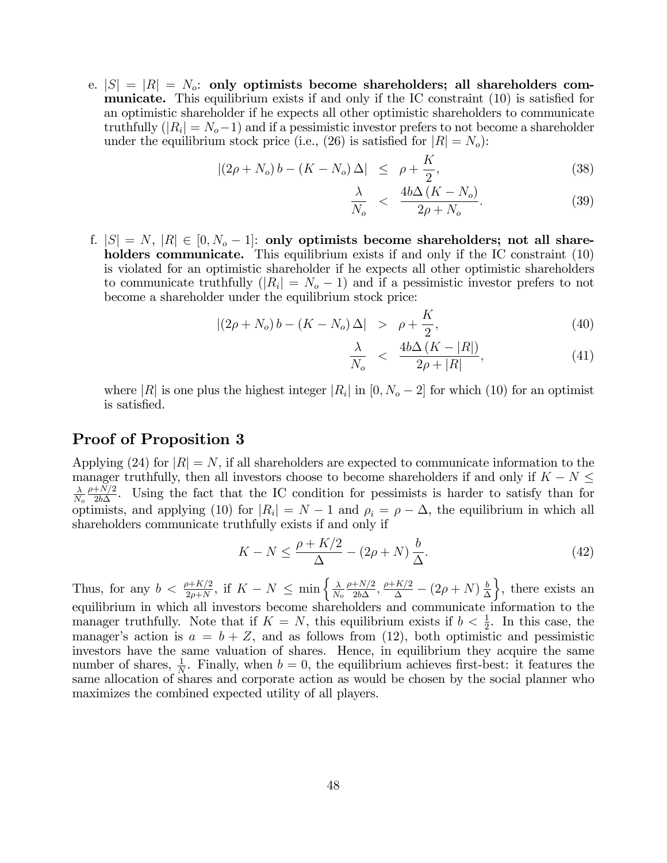e.  $|S| = |R| = N_o$ : only optimists become shareholders; all shareholders communicate. This equilibrium exists if and only if the IC constraint (10) is satisfied for an optimistic shareholder if he expects all other optimistic shareholders to communicate truthfully  $(|R_i| = N_o - 1)$  and if a pessimistic investor prefers to not become a shareholder under the equilibrium stock price (i.e.,  $(26)$  is satisfied for  $|R| = N_o$ ):

$$
|(2\rho + N_o) b - (K - N_o) \Delta| \le \rho + \frac{K}{2}, \tag{38}
$$

$$
\frac{\lambda}{N_o} < \frac{4b\Delta\left(K - N_o\right)}{2\rho + N_o}.\tag{39}
$$

f.  $|S| = N$ ,  $|R| \in [0, N_o - 1]$ : only optimists become shareholders; not all shareholders communicate. This equilibrium exists if and only if the IC constraint (10) is violated for an optimistic shareholder if he expects all other optimistic shareholders to communicate truthfully  $(|R_i| = N_o - 1)$  and if a pessimistic investor prefers to not become a shareholder under the equilibrium stock price:

$$
|(2\rho + N_o) b - (K - N_o) \Delta| > \rho + \frac{K}{2}, \qquad (40)
$$

$$
\frac{\lambda}{N_o} < \frac{4b\Delta\left(K - |R|\right)}{2\rho + |R|},\tag{41}
$$

where |*R*| is one plus the highest integer  $|R_i|$  in  $[0, N_o - 2]$  for which (10) for an optimist is satisfied.

## Proof of Proposition 3

Applying (24) for  $|R| = N$ , if all shareholders are expected to communicate information to the manager truthfully, then all investors choose to become shareholders if and only if  $K - N \leq$  $\lambda$ *No*  $\frac{\rho+N/2}{2b\Delta}$ . Using the fact that the IC condition for pessimists is harder to satisfy than for optimists, and applying (10) for  $|R_i| = N - 1$  and  $\rho_i = \rho - \Delta$ , the equilibrium in which all shareholders communicate truthfully exists if and only if

$$
K - N \le \frac{\rho + K/2}{\Delta} - (2\rho + N) \frac{b}{\Delta}.\tag{42}
$$

Thus, for any  $b < \frac{\rho + K/2}{2\rho + N}$ , if  $K - N \le \min \left\{ \frac{\lambda}{N_o} \right\}$  $\frac{\rho+N/2}{2b\Delta}$ ,  $\frac{\rho+K/2}{\Delta}$  –  $(2\rho+N)\frac{b}{\Delta}$  $\}$ , there exists an equilibrium in which all investors become shareholders and communicate information to the manager truthfully. Note that if  $K = N$ , this equilibrium exists if  $b < \frac{1}{2}$ . In this case, the manager's action is  $a = b + Z$ , and as follows from (12), both optimistic and pessimistic investors have the same valuation of shares. Hence, in equilibrium they acquire the same number of shares,  $\frac{1}{N}$ . Finally, when  $b = 0$ , the equilibrium achieves first-best: it features the same allocation of shares and corporate action as would be chosen by the social planner who maximizes the combined expected utility of all players.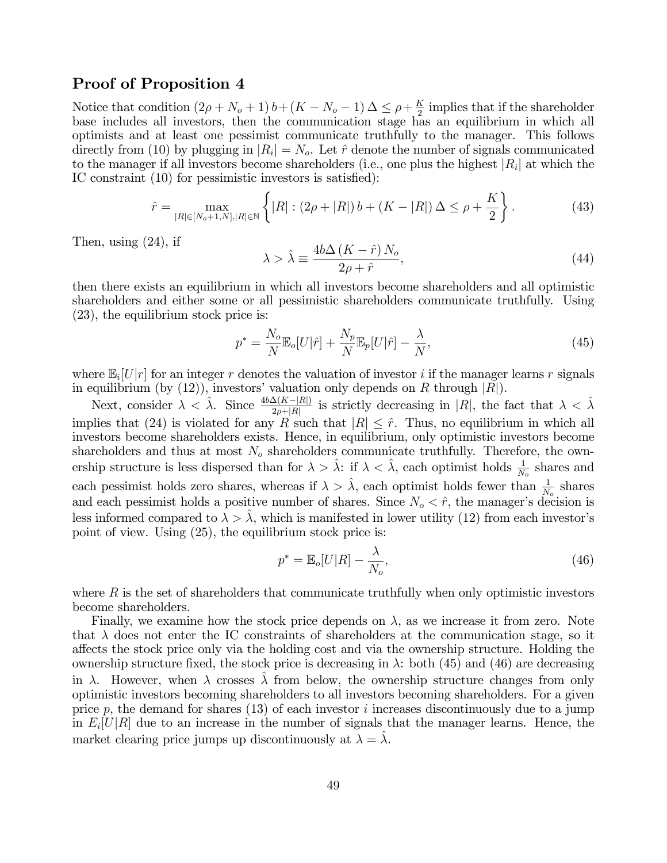#### Proof of Proposition 4

Notice that condition  $(2\rho + N_o + 1) b + (K - N_o - 1) \Delta \leq \rho + \frac{K}{2}$  implies that if the shareholder base includes all investors, then the communication stage has an equilibrium in which all optimists and at least one pessimist communicate truthfully to the manager. This follows directly from (10) by plugging in  $|R_i| = N_o$ . Let  $\hat{r}$  denote the number of signals communicated to the manager if all investors become shareholders (i.e., one plus the highest |*Ri*| at which the IC constraint (10) for pessimistic investors is satisfied):

$$
\hat{r} = \max_{|R| \in [N_o + 1, N], |R| \in \mathbb{N}} \left\{ |R| : (2\rho + |R|) b + (K - |R|) \Delta \le \rho + \frac{K}{2} \right\}.
$$
 (43)

Then, using (24), if

$$
\lambda > \hat{\lambda} \equiv \frac{4b\Delta\left(K - \hat{r}\right)N_o}{2\rho + \hat{r}},\tag{44}
$$

then there exists an equilibrium in which all investors become shareholders and all optimistic shareholders and either some or all pessimistic shareholders communicate truthfully. Using (23), the equilibrium stock price is:

$$
p^* = \frac{N_o}{N} \mathbb{E}_o[U|\hat{r}] + \frac{N_p}{N} \mathbb{E}_p[U|\hat{r}] - \frac{\lambda}{N},\tag{45}
$$

where  $\mathbb{E}_i[U|r]$  for an integer r denotes the valuation of investor *i* if the manager learns r signals in equilibrium (by (12)), investors' valuation only depends on *R* through |*R*|).

Next, consider  $\lambda < \hat{\lambda}$ . Since  $\frac{4b\Delta(K-|R|)}{2\rho+|R|}$  is strictly decreasing in |*R*|, the fact that  $\lambda < \hat{\lambda}$ implies that (24) is violated for any *R* such that  $|R| \leq \hat{r}$ . Thus, no equilibrium in which all investors become shareholders exists. Hence, in equilibrium, only optimistic investors become shareholders and thus at most  $N<sub>o</sub>$  shareholders communicate truthfully. Therefore, the ownership structure is less dispersed than for  $\lambda > \hat{\lambda}$ : if  $\lambda < \hat{\lambda}$ , each optimist holds  $\frac{1}{N_o}$  shares and each pessimist holds zero shares, whereas if  $\lambda > \hat{\lambda}$ , each optimist holds fewer than  $\frac{1}{N_o}$  shares and each pessimist holds a positive number of shares. Since  $N_o < \hat{r}$ , the manager's decision is less informed compared to  $\lambda > \hat{\lambda}$ , which is manifested in lower utility (12) from each investor's point of view. Using (25), the equilibrium stock price is:

$$
p^* = \mathbb{E}_o[U|R] - \frac{\lambda}{N_o},\tag{46}
$$

where R is the set of shareholders that communicate truthfully when only optimistic investors become shareholders.

Finally, we examine how the stock price depends on  $\lambda$ , as we increase it from zero. Note that  $\lambda$  does not enter the IC constraints of shareholders at the communication stage, so it a§ects the stock price only via the holding cost and via the ownership structure. Holding the ownership structure fixed, the stock price is decreasing in  $\lambda$ : both (45) and (46) are decreasing in  $\lambda$ . However, when  $\lambda$  crosses  $\lambda$  from below, the ownership structure changes from only optimistic investors becoming shareholders to all investors becoming shareholders. For a given price *p*, the demand for shares (13) of each investor *i* increases discontinuously due to a jump in  $E_i[U|R]$  due to an increase in the number of signals that the manager learns. Hence, the market clearing price jumps up discontinuously at  $\lambda = \hat{\lambda}$ .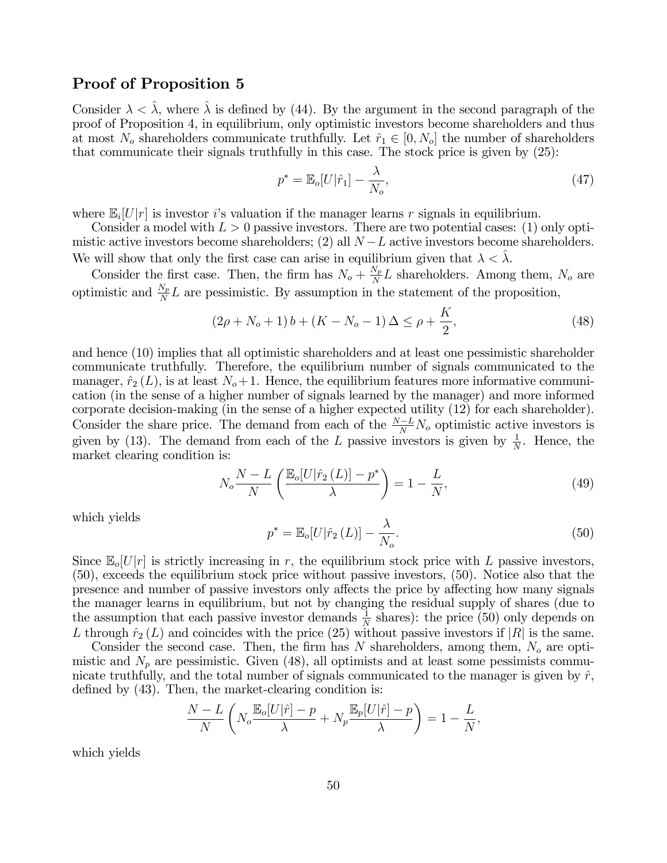#### Proof of Proposition 5

Consider  $\lambda < \lambda$ , where  $\lambda$  is defined by (44). By the argument in the second paragraph of the proof of Proposition 4, in equilibrium, only optimistic investors become shareholders and thus at most  $N_o$  shareholders communicate truthfully. Let  $\hat{r}_1 \in [0, N_o]$  the number of shareholders that communicate their signals truthfully in this case. The stock price is given by (25):

$$
p^* = \mathbb{E}_o[U|\hat{r}_1] - \frac{\lambda}{N_o},\tag{47}
$$

where  $\mathbb{E}_i[U|r]$  is investor *i*'s valuation if the manager learns *r* signals in equilibrium.

Consider a model with  $L > 0$  passive investors. There are two potential cases: (1) only optimistic active investors become shareholders; (2) all *N* −*L* active investors become shareholders. We will show that only the first case can arise in equilibrium given that  $\lambda < \lambda$ .

Consider the first case. Then, the firm has  $N_o + \frac{N_p}{N}L$  shareholders. Among them,  $N_o$  are optimistic and  $\frac{N_p}{N}L$  are pessimistic. By assumption in the statement of the proposition,

$$
(2\rho + N_o + 1)b + (K - N_o - 1)\Delta \le \rho + \frac{K}{2},\tag{48}
$$

and hence (10) implies that all optimistic shareholders and at least one pessimistic shareholder communicate truthfully. Therefore, the equilibrium number of signals communicated to the manager,  $\hat{r}_2(L)$ , is at least  $N_o+1$ . Hence, the equilibrium features more informative communication (in the sense of a higher number of signals learned by the manager) and more informed corporate decision-making (in the sense of a higher expected utility (12) for each shareholder). Consider the share price. The demand from each of the  $\frac{N-L}{N}N_o$  optimistic active investors is given by (13). The demand from each of the *L* passive investors is given by  $\frac{1}{N}$ . Hence, the market clearing condition is:

$$
N_o \frac{N - L}{N} \left( \frac{\mathbb{E}_o[U|\hat{r}_2\left(L\right)] - p^*}{\lambda} \right) = 1 - \frac{L}{N},\tag{49}
$$

which yields

$$
p^* = \mathbb{E}_o[U|\hat{r}_2(L)] - \frac{\lambda}{N_o}.\tag{50}
$$

Since  $\mathbb{E}_{o}[U|r]$  is strictly increasing in r, the equilibrium stock price with *L* passive investors, (50), exceeds the equilibrium stock price without passive investors, (50). Notice also that the presence and number of passive investors only affects the price by affecting how many signals the manager learns in equilibrium, but not by changing the residual supply of shares (due to the assumption that each passive investor demands  $\frac{1}{N}$  shares): the price (50) only depends on *L* through  $\hat{r}_2(L)$  and coincides with the price (25) without passive investors if |*R*| is the same.

Consider the second case. Then, the firm has *N* shareholders, among them, *N<sup>o</sup>* are optimistic and  $N_p$  are pessimistic. Given (48), all optimists and at least some pessimists communicate truthfully, and the total number of signals communicated to the manager is given by  $\hat{r}$ , defined by (43). Then, the market-clearing condition is:

$$
\frac{N-L}{N}\left(N_o\frac{\mathbb{E}_o[U|\hat{r}]-p}{\lambda}+N_p\frac{\mathbb{E}_p[U|\hat{r}]-p}{\lambda}\right)=1-\frac{L}{N},
$$

which yields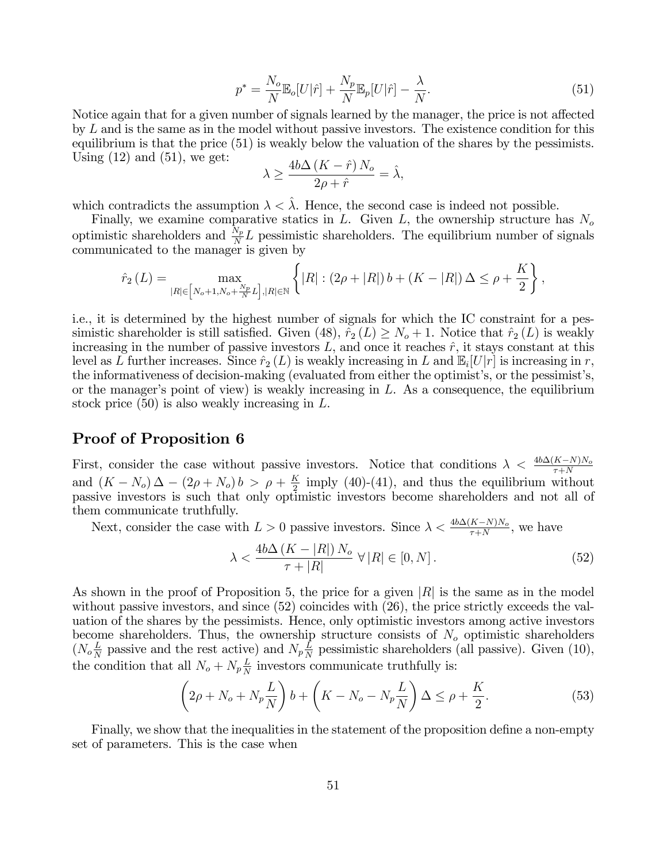$$
p^* = \frac{N_o}{N} \mathbb{E}_o[U|\hat{r}] + \frac{N_p}{N} \mathbb{E}_p[U|\hat{r}] - \frac{\lambda}{N}.
$$
\n(51)

Notice again that for a given number of signals learned by the manager, the price is not affected by *L* and is the same as in the model without passive investors. The existence condition for this equilibrium is that the price (51) is weakly below the valuation of the shares by the pessimists. Using  $(12)$  and  $(51)$ , we get:

$$
\lambda \ge \frac{4b\Delta\left(K - \hat{r}\right)N_o}{2\rho + \hat{r}} = \hat{\lambda},
$$

which contradicts the assumption  $\lambda < \hat{\lambda}$ . Hence, the second case is indeed not possible.

Finally, we examine comparative statics in *L*. Given *L*, the ownership structure has *N<sup>o</sup>* optimistic shareholders and  $\frac{N_p}{N}L$  pessimistic shareholders. The equilibrium number of signals communicated to the manager is given by

$$
\hat{r}_2(L) = \max_{|R| \in [N_o + 1, N_o + \frac{N_p}{N}L], |R| \in \mathbb{N}} \left\{ |R| : (2\rho + |R|) b + (K - |R|) \Delta \le \rho + \frac{K}{2} \right\},\
$$

i.e., it is determined by the highest number of signals for which the IC constraint for a pessimistic shareholder is still satisfied. Given (48),  $\hat{r}_2(L) \geq N_o + 1$ . Notice that  $\hat{r}_2(L)$  is weakly increasing in the number of passive investors  $L$ , and once it reaches  $\hat{r}$ , it stays constant at this level as *L* further increases. Since  $\hat{r}_2(L)$  is weakly increasing in *L* and  $\mathbb{E}_i[U|r]$  is increasing in *r*, the informativeness of decision-making (evaluated from either the optimist's, or the pessimist's, or the manager's point of view) is weakly increasing in *L*. As a consequence, the equilibrium stock price (50) is also weakly increasing in *L*.

## Proof of Proposition 6

First, consider the case without passive investors. Notice that conditions  $\lambda < \frac{4b\Delta(K-N)N_o}{\tau+N}$ and  $(K - N_o) \Delta - (2\rho + N_o) b > \rho + \frac{K}{2}$  imply (40)-(41), and thus the equilibrium without passive investors is such that only optimistic investors become shareholders and not all of them communicate truthfully.

Next, consider the case with  $L > 0$  passive investors. Since  $\lambda < \frac{4b\Delta(K-N)N_o}{\tau+N}$ , we have

$$
\lambda < \frac{4b\Delta\left(K - |R|\right)N_o}{\tau + |R|} \,\forall \, |R| \in [0, N] \,. \tag{52}
$$

As shown in the proof of Proposition 5, the price for a given |*R*| is the same as in the model without passive investors, and since  $(52)$  coincides with  $(26)$ , the price strictly exceeds the valuation of the shares by the pessimists. Hence, only optimistic investors among active investors become shareholders. Thus, the ownership structure consists of *N<sup>o</sup>* optimistic shareholders  $(N_o \frac{L}{N}$  passive and the rest active) and  $N_p \frac{L}{N}$  pessimistic shareholders (all passive). Given (10), the condition that all  $N_o + N_p \frac{L}{N}$  investors communicate truthfully is:

$$
\left(2\rho + N_o + N_p \frac{L}{N}\right)b + \left(K - N_o - N_p \frac{L}{N}\right)\Delta \le \rho + \frac{K}{2}.\tag{53}
$$

Finally, we show that the inequalities in the statement of the proposition define a non-empty set of parameters. This is the case when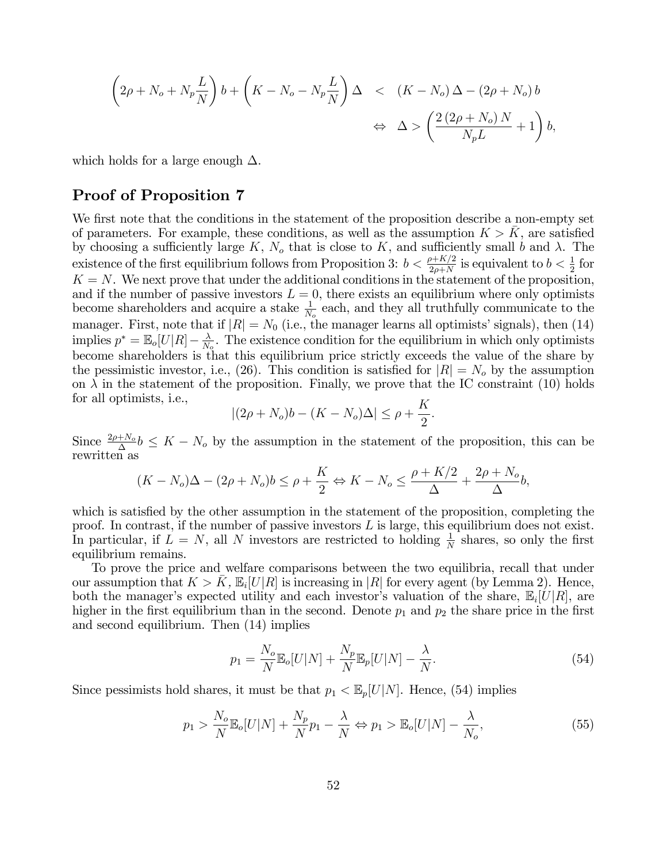$$
\left(2\rho + N_o + N_p \frac{L}{N}\right)b + \left(K - N_o - N_p \frac{L}{N}\right)\Delta \quad < \quad (K - N_o)\,\Delta - (2\rho + N_o)\,b
$$
\n
$$
\Leftrightarrow \quad \Delta > \left(\frac{2\,(2\rho + N_o)\,N}{N_p L} + 1\right)b,
$$

which holds for a large enough  $\Delta$ .

## Proof of Proposition 7

We first note that the conditions in the statement of the proposition describe a non-empty set of parameters. For example, these conditions, as well as the assumption  $K > K$ , are satisfied by choosing a sufficiently large  $K$ ,  $N<sub>o</sub>$  that is close to  $K$ , and sufficiently small *b* and  $\lambda$ . The existence of the first equilibrium follows from Proposition 3:  $b < \frac{\rho + K/2}{2\rho + N}$  is equivalent to  $b < \frac{1}{2}$  for  $K = N$ . We next prove that under the additional conditions in the statement of the proposition, and if the number of passive investors  $L = 0$ , there exists an equilibrium where only optimists become shareholders and acquire a stake  $\frac{1}{N_o}$  each, and they all truthfully communicate to the manager. First, note that if  $|R| = N_0$  (i.e., the manager learns all optimists' signals), then (14) implies  $p^* = \mathbb{E}_o[U|R] - \frac{\lambda}{N_o}$ . The existence condition for the equilibrium in which only optimists become shareholders is that this equilibrium price strictly exceeds the value of the share by the pessimistic investor, i.e., (26). This condition is satisfied for  $|R| = N<sub>o</sub>$  by the assumption on  $\lambda$  in the statement of the proposition. Finally, we prove that the IC constraint (10) holds for all optimists, i.e.,

$$
|(2\rho + N_o)b - (K - N_o)\Delta| \le \rho + \frac{K}{2}.
$$

Since  $\frac{2\rho+N_o}{\Delta}b \leq K-N_o$  by the assumption in the statement of the proposition, this can be rewritten as

$$
(K - N_o)\Delta - (2\rho + N_o)b \le \rho + \frac{K}{2} \Leftrightarrow K - N_o \le \frac{\rho + K/2}{\Delta} + \frac{2\rho + N_o}{\Delta}b,
$$

which is satisfied by the other assumption in the statement of the proposition, completing the proof. In contrast, if the number of passive investors *L* is large, this equilibrium does not exist. In particular, if  $L = N$ , all *N* investors are restricted to holding  $\frac{1}{N}$  shares, so only the first equilibrium remains.

To prove the price and welfare comparisons between the two equilibria, recall that under our assumption that  $K > K$ ,  $\mathbb{E}_i[U|R]$  is increasing in |*R*| for every agent (by Lemma 2). Hence, both the manager's expected utility and each investor's valuation of the share,  $\mathbb{E}_i[U|R]$ , are higher in the first equilibrium than in the second. Denote  $p_1$  and  $p_2$  the share price in the first and second equilibrium. Then (14) implies

$$
p_1 = \frac{N_o}{N} \mathbb{E}_o[U|N] + \frac{N_p}{N} \mathbb{E}_p[U|N] - \frac{\lambda}{N}.
$$
\n(54)

Since pessimists hold shares, it must be that  $p_1 < \mathbb{E}_p[U|N]$ . Hence, (54) implies

$$
p_1 > \frac{N_o}{N} \mathbb{E}_o[U|N] + \frac{N_p}{N} p_1 - \frac{\lambda}{N} \Leftrightarrow p_1 > \mathbb{E}_o[U|N] - \frac{\lambda}{N_o},\tag{55}
$$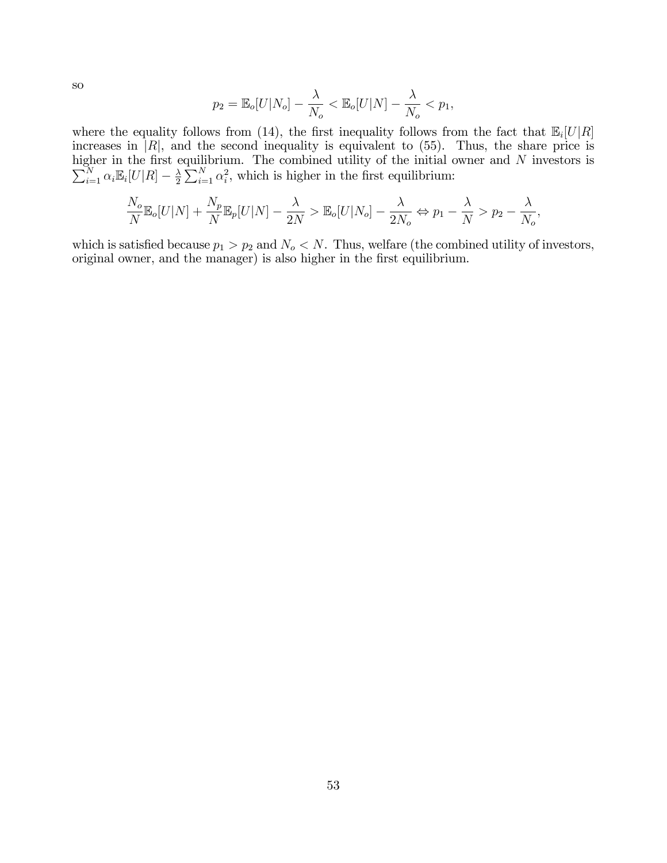so

$$
p_2 = \mathbb{E}_o[U|N_o] - \frac{\lambda}{N_o} < \mathbb{E}_o[U|N] - \frac{\lambda}{N_o} < p_1,
$$

where the equality follows from (14), the first inequality follows from the fact that  $\mathbb{E}_i[U|R]$ increases in  $|R|$ , and the second inequality is equivalent to  $(55)$ . Thus, the share price is higher in the first equilibrium. The combined utility of the initial owner and  $\sum$ gher in the first equilibrium. The combined utility of the initial owner and N investors is  $\sum_{i=1}^{N} \alpha_i \mathbb{E}_i[U|R] - \frac{\lambda}{2} \sum_{i=1}^{N} \alpha_i^2$ , which is higher in the first equilibrium:

$$
\frac{N_o}{N} \mathbb{E}_o[U|N] + \frac{N_p}{N} \mathbb{E}_p[U|N] - \frac{\lambda}{2N} > \mathbb{E}_o[U|N_o] - \frac{\lambda}{2N_o} \Leftrightarrow p_1 - \frac{\lambda}{N} > p_2 - \frac{\lambda}{N_o},
$$

which is satisfied because  $p_1 > p_2$  and  $N_o < N$ . Thus, welfare (the combined utility of investors, original owner, and the manager) is also higher in the first equilibrium.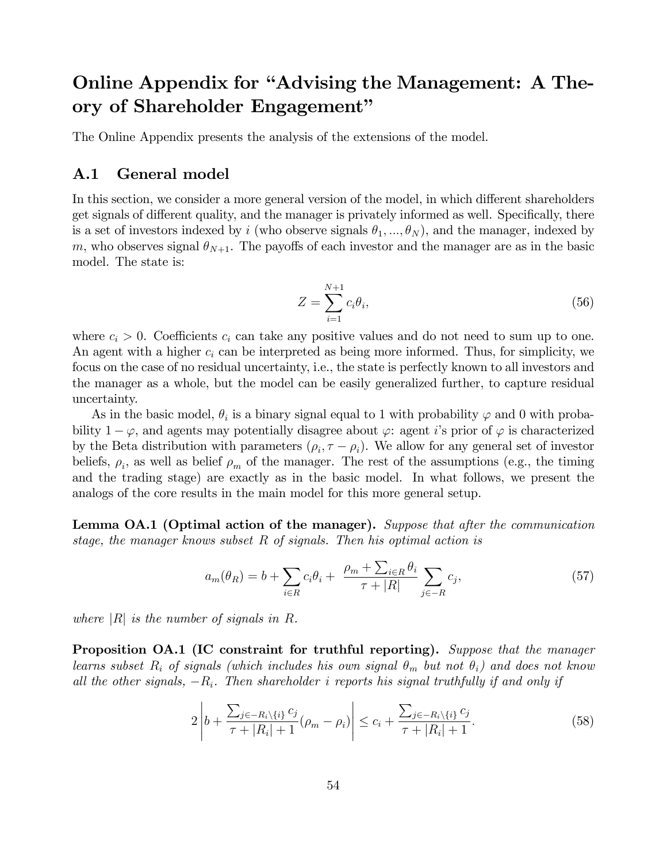# Online Appendix for "Advising the Management: A Theory of Shareholder Engagement"

The Online Appendix presents the analysis of the extensions of the model.

#### A.1 General model

In this section, we consider a more general version of the model, in which different shareholders get signals of different quality, and the manager is privately informed as well. Specifically, there is a set of investors indexed by *i* (who observe signals  $\theta_1, ..., \theta_N$ ), and the manager, indexed by *m*, who observes signal  $\theta_{N+1}$ . The payoffs of each investor and the manager are as in the basic model. The state is:

$$
Z = \sum_{i=1}^{N+1} c_i \theta_i,\tag{56}
$$

where  $c_i > 0$ . Coefficients  $c_i$  can take any positive values and do not need to sum up to one. An agent with a higher *c<sup>i</sup>* can be interpreted as being more informed. Thus, for simplicity, we focus on the case of no residual uncertainty, i.e., the state is perfectly known to all investors and the manager as a whole, but the model can be easily generalized further, to capture residual uncertainty.

As in the basic model,  $\theta_i$  is a binary signal equal to 1 with probability  $\varphi$  and 0 with probability  $1 - \varphi$ , and agents may potentially disagree about  $\varphi$ : agent *i*'s prior of  $\varphi$  is characterized by the Beta distribution with parameters  $(\rho_i, \tau - \rho_i)$ . We allow for any general set of investor beliefs,  $\rho_i$ , as well as belief  $\rho_m$  of the manager. The rest of the assumptions (e.g., the timing and the trading stage) are exactly as in the basic model. In what follows, we present the analogs of the core results in the main model for this more general setup.

Lemma OA.1 (Optimal action of the manager). *Suppose that after the communication stage, the manager knows subset R of signals. Then his optimal action is*

$$
a_m(\theta_R) = b + \sum_{i \in R} c_i \theta_i + \frac{\rho_m + \sum_{i \in R} \theta_i}{\tau + |R|} \sum_{j \in -R} c_j,\tag{57}
$$

*where* |*R*| *is the number of signals in R.*

Proposition OA.1 (IC constraint for truthful reporting). *Suppose that the manager learns subset*  $R_i$  *of signals (which includes his own signal*  $\theta_m$  *but not*  $\theta_i$ *) and does not know all the other signals,* −*Ri. Then shareholder i reports his signal truthfully if and only if*

$$
2\left|b + \frac{\sum_{j\in -R_i\backslash\{i\}}c_j}{\tau + |R_i| + 1}(\rho_m - \rho_i)\right| \le c_i + \frac{\sum_{j\in -R_i\backslash\{i\}}c_j}{\tau + |R_i| + 1}.\tag{58}
$$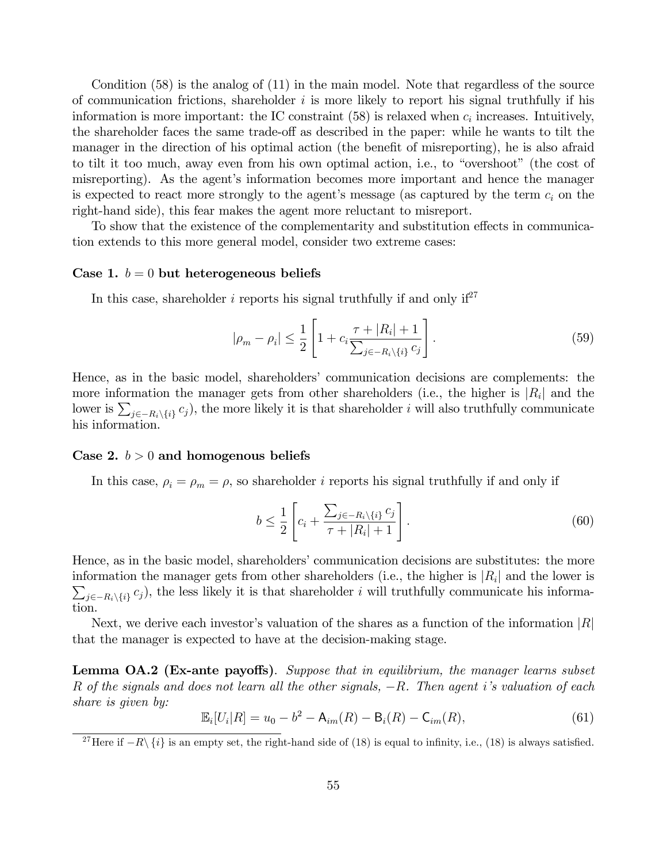Condition (58) is the analog of (11) in the main model. Note that regardless of the source of communication frictions, shareholder *i* is more likely to report his signal truthfully if his information is more important: the IC constraint  $(58)$  is relaxed when  $c_i$  increases. Intuitively, the shareholder faces the same trade-off as described in the paper: while he wants to tilt the manager in the direction of his optimal action (the benefit of misreporting), he is also afraid to tilt it too much, away even from his own optimal action, i.e., to "overshoot" (the cost of misreporting). As the agent's information becomes more important and hence the manager is expected to react more strongly to the agent's message (as captured by the term *c<sup>i</sup>* on the right-hand side), this fear makes the agent more reluctant to misreport.

To show that the existence of the complementarity and substitution effects in communication extends to this more general model, consider two extreme cases:

#### Case 1.  $b = 0$  but heterogeneous beliefs

In this case, shareholder  $i$  reports his signal truthfully if and only  $if^{27}$ 

$$
|\rho_m - \rho_i| \le \frac{1}{2} \left[ 1 + c_i \frac{\tau + |R_i| + 1}{\sum_{j \in -R_i \setminus \{i\}} c_j} \right].
$$
\n(59)

Hence, as in the basic model, shareholders' communication decisions are complements: the more information the manager gets from other shareholders (i.e., the higher is  $|R_i|$  and the lower is  $\sum_{j\in-R_i\setminus\{i\}} c_j$ , the more likely it is that shareholder *i* will also truthfully communicate his information.

#### Case 2.  $b > 0$  and homogenous beliefs

In this case,  $\rho_i = \rho_m = \rho$ , so shareholder *i* reports his signal truthfully if and only if

$$
b \le \frac{1}{2} \left[ c_i + \frac{\sum_{j \in -R_i \setminus \{i\}} c_j}{\tau + |R_i| + 1} \right].
$$
 (60)

Hence, as in the basic model, shareholders' communication decisions are substitutes: the more information the manager gets from other shareholders (i.e., the higher is  $|R_i|$  and the lower is  $\sum_{j\in-R_i\setminus\{i\}} c_j$ , the less likely it is that shareholder *i* will truthfully communicate his information.

Next, we derive each investor's valuation of the shares as a function of the information |*R*| that the manager is expected to have at the decision-making stage.

**Lemma OA.2 (Ex-ante payoffs)**. Suppose that in equilibrium, the manager learns subset *R of the signals and does not learn all the other signals,* −*R. Then agent i's valuation of each share is given by:*

$$
\mathbb{E}_i[U_i|R] = u_0 - b^2 - A_{im}(R) - B_i(R) - C_{im}(R), \qquad (61)
$$

<sup>&</sup>lt;sup>27</sup>Here if  $-R\setminus\{i\}$  is an empty set, the right-hand side of (18) is equal to infinity, i.e., (18) is always satisfied.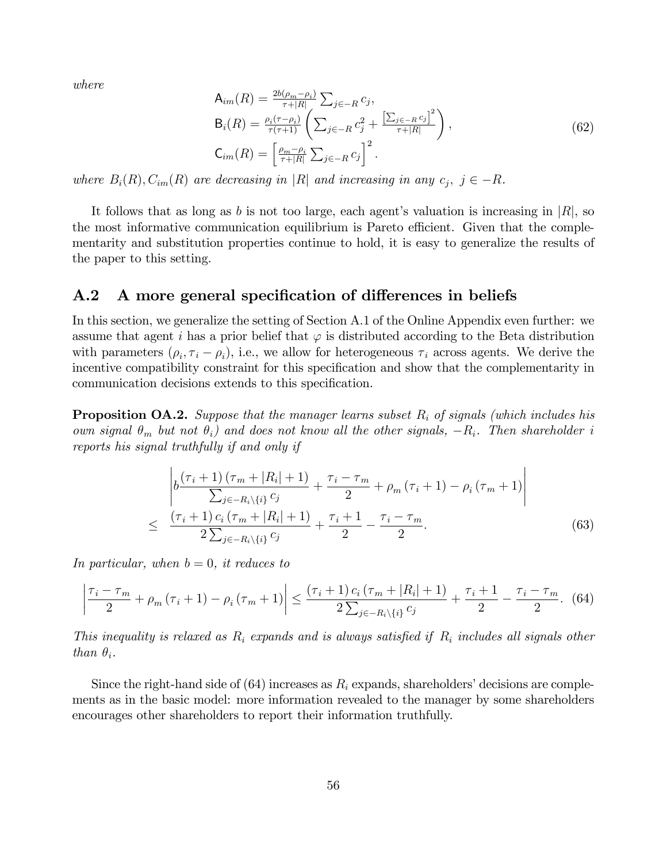*where*

$$
A_{im}(R) = \frac{2b(\rho_m - \rho_i)}{\tau + |R|} \sum_{j \in -R} c_j,
$$
  
\n
$$
B_i(R) = \frac{\rho_i(\tau - \rho_i)}{\tau(\tau + 1)} \left( \sum_{j \in -R} c_j^2 + \frac{\left[ \sum_{j \in -R} c_j \right]^2}{\tau + |R|} \right),
$$
  
\n
$$
C_{im}(R) = \left[ \frac{\rho_m - \rho_i}{\tau + |R|} \sum_{j \in -R} c_j \right]^2.
$$
\n(62)

*where*  $B_i(R), C_{im}(R)$  *are decreasing in* |*R*| *and increasing in any*  $c_j, j \in -R$ *.* 

It follows that as long as *b* is not too large, each agent's valuation is increasing in |*R*|, so the most informative communication equilibrium is Pareto efficient. Given that the complementarity and substitution properties continue to hold, it is easy to generalize the results of the paper to this setting.

## A.2 A more general specification of differences in beliefs

In this section, we generalize the setting of Section A.1 of the Online Appendix even further: we assume that agent *i* has a prior belief that  $\varphi$  is distributed according to the Beta distribution with parameters  $(\rho_i, \tau_i - \rho_i)$ , i.e., we allow for heterogeneous  $\tau_i$  across agents. We derive the incentive compatibility constraint for this specification and show that the complementarity in communication decisions extends to this specification.

Proposition OA.2. *Suppose that the manager learns subset R<sup>i</sup> of signals (which includes his own signal*  $\theta_m$  *but not*  $\theta_i$ *) and does not know all the other signals,*  $-R_i$ *. Then shareholder i reports his signal truthfully if and only if*

$$
\begin{aligned}\n&\left| b \frac{(\tau_i + 1) (\tau_m + |R_i| + 1)}{\sum_{j \in -R_i \setminus \{i\}} c_j} + \frac{\tau_i - \tau_m}{2} + \rho_m (\tau_i + 1) - \rho_i (\tau_m + 1) \right| \\
&\leq \frac{(\tau_i + 1) c_i (\tau_m + |R_i| + 1)}{2 \sum_{j \in -R_i \setminus \{i\}} c_j} + \frac{\tau_i + 1}{2} - \frac{\tau_i - \tau_m}{2}.\n\end{aligned} \tag{63}
$$

*In particular, when*  $b = 0$ *, it reduces to* 

$$
\left|\frac{\tau_{i}-\tau_{m}}{2}+\rho_{m}\left(\tau_{i}+1\right)-\rho_{i}\left(\tau_{m}+1\right)\right| \leq \frac{\left(\tau_{i}+1\right)c_{i}\left(\tau_{m}+|R_{i}|+1\right)}{2\sum_{j\in-R_{i}\backslash\{i\}}c_{j}}+\frac{\tau_{i}+1}{2}-\frac{\tau_{i}-\tau_{m}}{2}.\tag{64}
$$

*This inequality is relaxed as R<sup>i</sup> expands and is always satisfied if R<sup>i</sup> includes all signals other than*  $\theta_i$ *.* 

Since the right-hand side of  $(64)$  increases as  $R_i$  expands, shareholders' decisions are complements as in the basic model: more information revealed to the manager by some shareholders encourages other shareholders to report their information truthfully.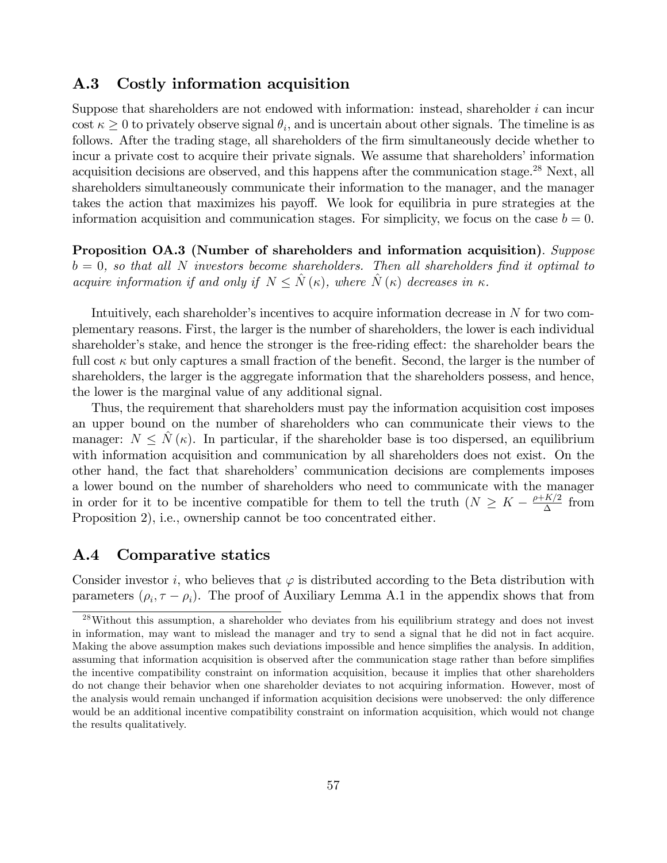#### A.3 Costly information acquisition

Suppose that shareholders are not endowed with information: instead, shareholder *i* can incur cost  $\kappa \geq 0$  to privately observe signal  $\theta_i$ , and is uncertain about other signals. The timeline is as follows. After the trading stage, all shareholders of the firm simultaneously decide whether to incur a private cost to acquire their private signals. We assume that shareholders' information acquisition decisions are observed, and this happens after the communication stage.<sup>28</sup> Next, all shareholders simultaneously communicate their information to the manager, and the manager takes the action that maximizes his payoff. We look for equilibria in pure strategies at the information acquisition and communication stages. For simplicity, we focus on the case  $b = 0$ .

Proposition OA.3 (Number of shareholders and information acquisition). *Suppose b* = 0*, so that all N investors become shareholders. Then all shareholders find it optimal to acquire information if and only if*  $N \leq \hat{N}(\kappa)$ , where  $\hat{N}(\kappa)$  decreases in  $\kappa$ .

Intuitively, each shareholder's incentives to acquire information decrease in *N* for two complementary reasons. First, the larger is the number of shareholders, the lower is each individual shareholder's stake, and hence the stronger is the free-riding effect: the shareholder bears the full cost  $\kappa$  but only captures a small fraction of the benefit. Second, the larger is the number of shareholders, the larger is the aggregate information that the shareholders possess, and hence, the lower is the marginal value of any additional signal.

Thus, the requirement that shareholders must pay the information acquisition cost imposes an upper bound on the number of shareholders who can communicate their views to the manager:  $N \leq \hat{N}(\kappa)$ . In particular, if the shareholder base is too dispersed, an equilibrium with information acquisition and communication by all shareholders does not exist. On the other hand, the fact that shareholders' communication decisions are complements imposes a lower bound on the number of shareholders who need to communicate with the manager in order for it to be incentive compatible for them to tell the truth  $(N \geq K - \frac{\rho + K/2}{\Delta}$  from Proposition 2), i.e., ownership cannot be too concentrated either.

## A.4 Comparative statics

Consider investor *i*, who believes that  $\varphi$  is distributed according to the Beta distribution with parameters  $(\rho_i, \tau - \rho_i)$ . The proof of Auxiliary Lemma A.1 in the appendix shows that from

<sup>&</sup>lt;sup>28</sup>Without this assumption, a shareholder who deviates from his equilibrium strategy and does not invest in information, may want to mislead the manager and try to send a signal that he did not in fact acquire. Making the above assumption makes such deviations impossible and hence simplifies the analysis. In addition, assuming that information acquisition is observed after the communication stage rather than before simplifies the incentive compatibility constraint on information acquisition, because it implies that other shareholders do not change their behavior when one shareholder deviates to not acquiring information. However, most of the analysis would remain unchanged if information acquisition decisions were unobserved: the only difference would be an additional incentive compatibility constraint on information acquisition, which would not change the results qualitatively.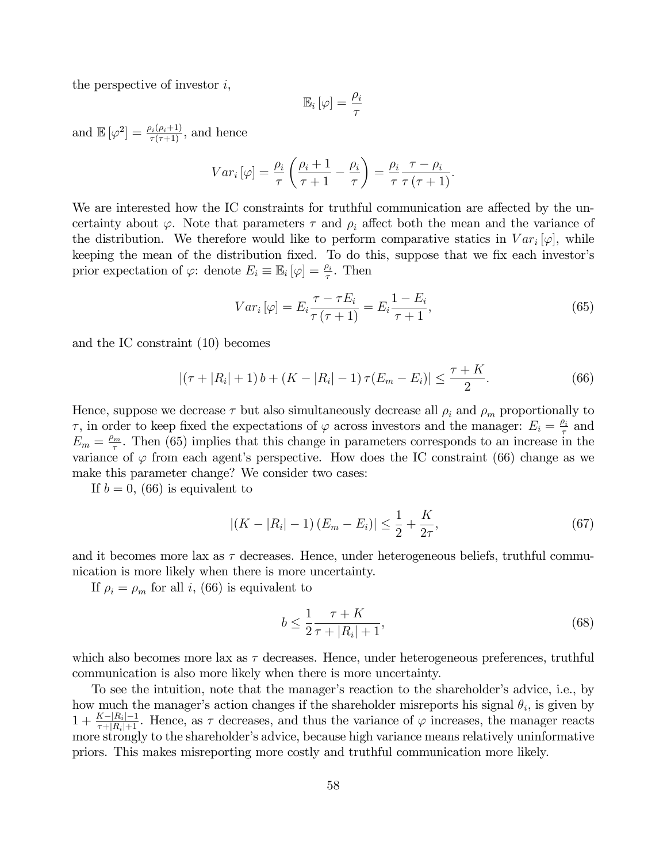the perspective of investor *i*,

$$
\mathbb{E}_i\left[\varphi\right] = \frac{\rho_i}{\tau}
$$

and  $\mathbb{E}[\varphi^2] = \frac{\rho_i(\rho_i+1)}{\tau(\tau+1)}$ , and hence

$$
Var_i\left[\varphi\right] = \frac{\rho_i}{\tau} \left(\frac{\rho_i + 1}{\tau + 1} - \frac{\rho_i}{\tau}\right) = \frac{\rho_i}{\tau} \frac{\tau - \rho_i}{\tau(\tau + 1)}.
$$

We are interested how the IC constraints for truthful communication are affected by the uncertainty about  $\varphi$ . Note that parameters  $\tau$  and  $\rho_i$  affect both the mean and the variance of the distribution. We therefore would like to perform comparative statics in  $Var_i[\varphi]$ , while keeping the mean of the distribution fixed. To do this, suppose that we fix each investor's prior expectation of  $\varphi$ : denote  $E_i \equiv \mathbb{E}_i [\varphi] = \frac{\rho_i}{\tau}$ . Then

$$
Var_i\left[\varphi\right] = E_i \frac{\tau - \tau E_i}{\tau(\tau + 1)} = E_i \frac{1 - E_i}{\tau + 1},\tag{65}
$$

and the IC constraint (10) becomes

$$
| (\tau + |R_i| + 1) b + (K - |R_i| - 1) \tau (E_m - E_i) | \leq \frac{\tau + K}{2}.
$$
 (66)

Hence, suppose we decrease  $\tau$  but also simultaneously decrease all  $\rho_i$  and  $\rho_m$  proportionally to τ, in order to keep fixed the expectations of  $\varphi$  across investors and the manager:  $E_i = \frac{\rho_i}{\tau}$  and  $E_m = \frac{\rho_m}{\tau}$ . Then (65) implies that this change in parameters corresponds to an increase in the variance of  $\varphi$  from each agent's perspective. How does the IC constraint (66) change as we make this parameter change? We consider two cases:

If  $b = 0$ , (66) is equivalent to

$$
|(K - |R_i| - 1)(E_m - E_i)| \le \frac{1}{2} + \frac{K}{2\tau},\tag{67}
$$

and it becomes more lax as  $\tau$  decreases. Hence, under heterogeneous beliefs, truthful communication is more likely when there is more uncertainty.

If  $\rho_i = \rho_m$  for all *i*, (66) is equivalent to

$$
b \le \frac{1}{2} \frac{\tau + K}{\tau + |R_i| + 1},\tag{68}
$$

which also becomes more lax as  $\tau$  decreases. Hence, under heterogeneous preferences, truthful communication is also more likely when there is more uncertainty.

To see the intuition, note that the manager's reaction to the shareholder's advice, i.e., by how much the manager's action changes if the shareholder misreports his signal  $\theta_i$ , is given by  $1 + \frac{K - |R_i| - 1}{\tau + |R_i| + 1}$ . Hence, as  $\tau$  decreases, and thus the variance of  $\varphi$  increases, the manager reacts more strongly to the shareholder's advice, because high variance means relatively uninformative priors. This makes misreporting more costly and truthful communication more likely.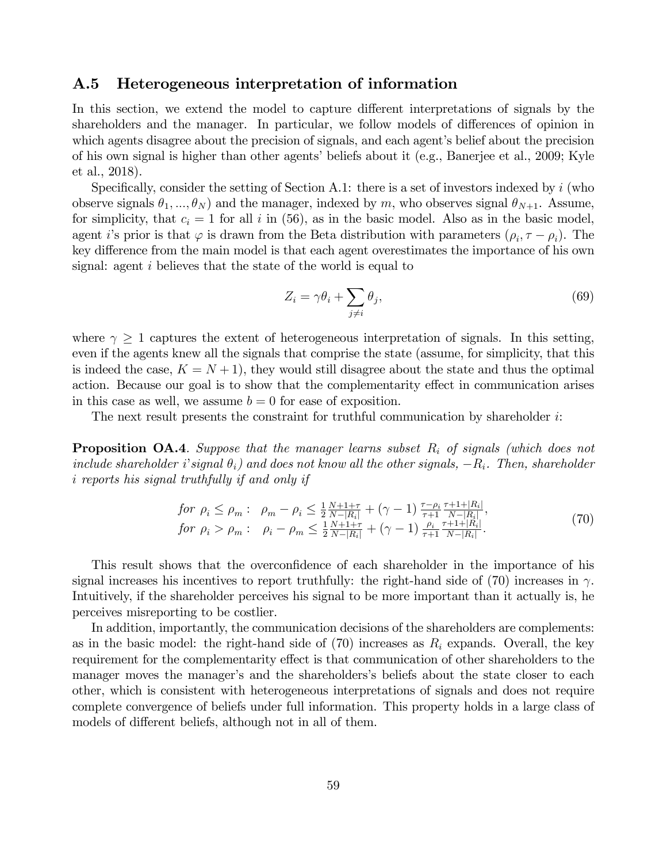#### A.5 Heterogeneous interpretation of information

In this section, we extend the model to capture different interpretations of signals by the shareholders and the manager. In particular, we follow models of differences of opinion in which agents disagree about the precision of signals, and each agent's belief about the precision of his own signal is higher than other agents' beliefs about it (e.g., Banerjee et al., 2009; Kyle et al., 2018).

Specifically, consider the setting of Section A.1: there is a set of investors indexed by *i* (who observe signals  $\theta_1, ..., \theta_N$  and the manager, indexed by *m*, who observes signal  $\theta_{N+1}$ . Assume, for simplicity, that  $c_i = 1$  for all  $i$  in (56), as in the basic model. Also as in the basic model, agent *i*'s prior is that  $\varphi$  is drawn from the Beta distribution with parameters  $(\rho_i, \tau - \rho_i)$ . The key difference from the main model is that each agent overestimates the importance of his own signal: agent *i* believes that the state of the world is equal to

$$
Z_i = \gamma \theta_i + \sum_{j \neq i} \theta_j,\tag{69}
$$

where  $\gamma \geq 1$  captures the extent of heterogeneous interpretation of signals. In this setting, even if the agents knew all the signals that comprise the state (assume, for simplicity, that this is indeed the case,  $K = N + 1$ , they would still disagree about the state and thus the optimal action. Because our goal is to show that the complementarity effect in communication arises in this case as well, we assume  $b = 0$  for ease of exposition.

The next result presents the constraint for truthful communication by shareholder *i*:

Proposition OA.4*. Suppose that the manager learns subset R<sup>i</sup> of signals (which does not include shareholder i*'*signal* θ*i) and does not know all the other signals,* −*Ri. Then, shareholder i reports his signal truthfully if and only if*

$$
\begin{array}{ll}\nfor \ \rho_i \le \rho_m: & \rho_m - \rho_i \le \frac{1}{2} \frac{N+1+\tau}{N-|R_i|} + (\gamma - 1) \frac{\tau - \rho_i}{\tau + 1} \frac{\tau + 1 + |R_i|}{N - |R_i|}, \\
for \ \rho_i > \rho_m: & \rho_i - \rho_m \le \frac{1}{2} \frac{N+1+\tau}{N-|R_i|} + (\gamma - 1) \frac{\rho_i}{\tau + 1} \frac{\tau + 1 + |R_i|}{N - |R_i|}.\n\end{array}\n\tag{70}
$$

This result shows that the overconfidence of each shareholder in the importance of his signal increases his incentives to report truthfully: the right-hand side of (70) increases in  $\gamma$ . Intuitively, if the shareholder perceives his signal to be more important than it actually is, he perceives misreporting to be costlier.

In addition, importantly, the communication decisions of the shareholders are complements: as in the basic model: the right-hand side of  $(70)$  increases as  $R_i$  expands. Overall, the key requirement for the complementarity effect is that communication of other shareholders to the manager moves the manager's and the shareholders's beliefs about the state closer to each other, which is consistent with heterogeneous interpretations of signals and does not require complete convergence of beliefs under full information. This property holds in a large class of models of different beliefs, although not in all of them.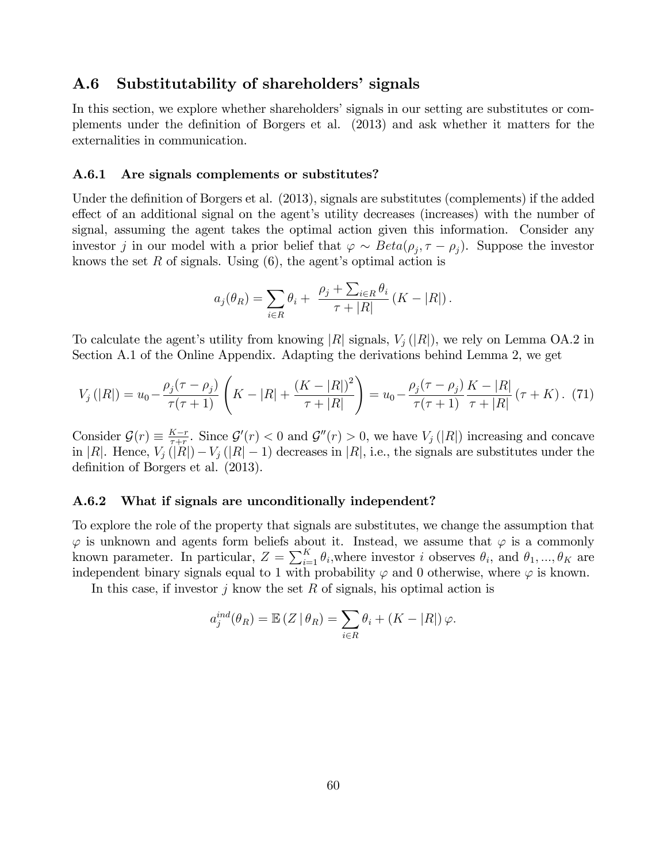#### A.6 Substitutability of shareholders' signals

In this section, we explore whether shareholders' signals in our setting are substitutes or complements under the definition of Borgers et al. (2013) and ask whether it matters for the externalities in communication.

#### A.6.1 Are signals complements or substitutes?

Under the definition of Borgers et al. (2013), signals are substitutes (complements) if the added effect of an additional signal on the agent's utility decreases (increases) with the number of signal, assuming the agent takes the optimal action given this information. Consider any investor *j* in our model with a prior belief that  $\varphi \sim Beta(\rho_i, \tau - \rho_i)$ . Suppose the investor knows the set *R* of signals. Using (6), the agent's optimal action is

$$
a_j(\theta_R) = \sum_{i \in R} \theta_i + \frac{\rho_j + \sum_{i \in R} \theta_i}{\tau + |R|} (K - |R|).
$$

To calculate the agent's utility from knowing |*R*| signals, *V<sup>j</sup>* (|*R*|), we rely on Lemma OA.2 in Section A.1 of the Online Appendix. Adapting the derivations behind Lemma 2, we get

$$
V_j(|R|) = u_0 - \frac{\rho_j(\tau - \rho_j)}{\tau(\tau + 1)} \left( K - |R| + \frac{(K - |R|)^2}{\tau + |R|} \right) = u_0 - \frac{\rho_j(\tau - \rho_j)}{\tau(\tau + 1)} \frac{K - |R|}{\tau + |R|} (\tau + K). \tag{71}
$$

Consider  $\mathcal{G}(r) \equiv \frac{K-r}{\tau+r}$ . Since  $\mathcal{G}'(r) < 0$  and  $\mathcal{G}''(r) > 0$ , we have  $V_j(|R|)$  increasing and concave in  $|R|$ . Hence,  $V_j(|R|) - V_j(|R|-1)$  decreases in  $|R|$ , i.e., the signals are substitutes under the definition of Borgers et al. (2013).

#### A.6.2 What if signals are unconditionally independent?

To explore the role of the property that signals are substitutes, we change the assumption that  $\varphi$  is unknown and agents form beliefs about it. Instead, we assume that  $\varphi$  is a commonly known parameter. In particular,  $Z = \sum_{i=1}^{K} \theta_i$ , where investor *i* observes  $\theta_i$ , and  $\theta_1, ..., \theta_K$  are independent binary signals equal to 1 with probability  $\varphi$  and 0 otherwise, where  $\varphi$  is known.

In this case, if investor *j* know the set *R* of signals, his optimal action is

$$
a_j^{ind}(\theta_R) = \mathbb{E}\left(Z \mid \theta_R\right) = \sum_{i \in R} \theta_i + \left(K - |R|\right)\varphi.
$$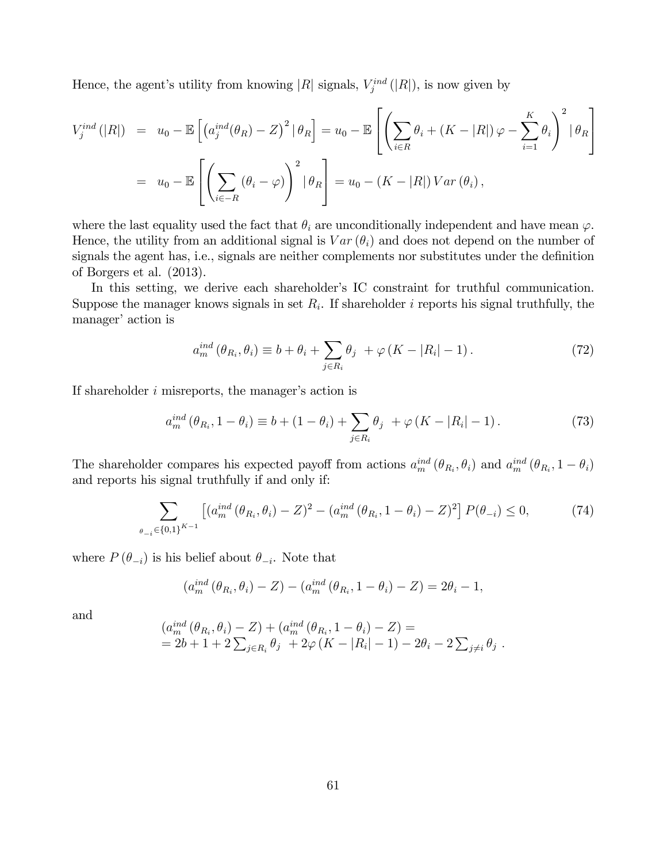Hence, the agent's utility from knowing  $|R|$  signals,  $V_j^{ind}(|R|)$ , is now given by

$$
V_j^{ind}(|R|) = u_0 - \mathbb{E}\left[\left(a_j^{ind}(\theta_R) - Z\right)^2 | \theta_R\right] = u_0 - \mathbb{E}\left[\left(\sum_{i \in R} \theta_i + (K - |R|) \varphi - \sum_{i=1}^K \theta_i\right)^2 | \theta_R\right]
$$

$$
= u_0 - \mathbb{E}\left[\left(\sum_{i \in -R} (\theta_i - \varphi)\right)^2 | \theta_R\right] = u_0 - (K - |R|) \operatorname{Var}(\theta_i),
$$

where the last equality used the fact that  $\theta_i$  are unconditionally independent and have mean  $\varphi$ . Hence, the utility from an additional signal is  $Var(\theta_i)$  and does not depend on the number of signals the agent has, i.e., signals are neither complements nor substitutes under the definition of Borgers et al. (2013).

In this setting, we derive each shareholder's IC constraint for truthful communication. Suppose the manager knows signals in set  $R_i$ . If shareholder  $i$  reports his signal truthfully, the manager' action is

$$
a_m^{ind}(\theta_{R_i}, \theta_i) \equiv b + \theta_i + \sum_{j \in R_i} \theta_j + \varphi(K - |R_i| - 1). \tag{72}
$$

If shareholder *i* misreports, the manager's action is

$$
a_m^{ind} (\theta_{R_i}, 1 - \theta_i) \equiv b + (1 - \theta_i) + \sum_{j \in R_i} \theta_j + \varphi (K - |R_i| - 1).
$$
 (73)

The shareholder compares his expected payoff from actions  $a_m^{ind}(\theta_{R_i}, \theta_i)$  and  $a_m^{ind}(\theta_{R_i}, 1 - \theta_i)$ and reports his signal truthfully if and only if:

$$
\sum_{\theta_{-i}\in\{0,1\}^{K-1}} \left[ (a_m^{ind} \left(\theta_{R_i}, \theta_i\right) - Z)^2 - (a_m^{ind} \left(\theta_{R_i}, 1 - \theta_i\right) - Z)^2 \right] P(\theta_{-i}) \le 0, \tag{74}
$$

where  $P(\theta_{-i})$  is his belief about  $\theta_{-i}$ . Note that

$$
(a_m^{ind}(\theta_{R_i}, \theta_i) - Z) - (a_m^{ind}(\theta_{R_i}, 1 - \theta_i) - Z) = 2\theta_i - 1,
$$

and

$$
(a_m^{ind} (\theta_{R_i}, \theta_i) - Z) + (a_m^{ind} (\theta_{R_i}, 1 - \theta_i) - Z) =
$$
  
= 2b + 1 + 2  $\sum_{j \in R_i} \theta_j$  + 2 $\varphi$  (K - |R<sub>i</sub>| - 1) - 2 $\theta_i$  - 2  $\sum_{j \neq i} \theta_j$ .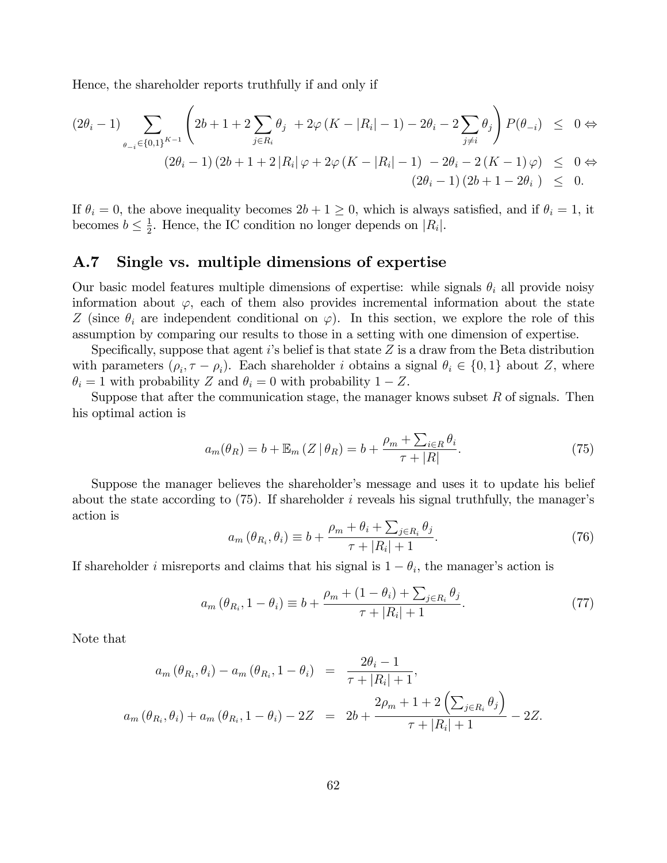Hence, the shareholder reports truthfully if and only if

$$
(2\theta_{i} - 1) \sum_{\theta_{-i} \in \{0,1\}^{K-1}} \left( 2b + 1 + 2 \sum_{j \in R_{i}} \theta_{j} + 2\varphi (K - |R_{i}| - 1) - 2\theta_{i} - 2 \sum_{j \neq i} \theta_{j} \right) P(\theta_{-i}) \leq 0 \Leftrightarrow
$$
  

$$
(2\theta_{i} - 1) (2b + 1 + 2|R_{i}| \varphi + 2\varphi (K - |R_{i}| - 1) - 2\theta_{i} - 2(K - 1)\varphi) \leq 0 \Leftrightarrow
$$
  

$$
(2\theta_{i} - 1) (2b + 1 - 2\theta_{i}) \leq 0.
$$

If  $\theta_i = 0$ , the above inequality becomes  $2b + 1 \ge 0$ , which is always satisfied, and if  $\theta_i = 1$ , it becomes  $b \leq \frac{1}{2}$ . Hence, the IC condition no longer depends on  $|R_i|$ .

## A.7 Single vs. multiple dimensions of expertise

Our basic model features multiple dimensions of expertise: while signals  $\theta_i$  all provide noisy information about  $\varphi$ , each of them also provides incremental information about the state *Z* (since  $\theta_i$  are independent conditional on  $\varphi$ ). In this section, we explore the role of this assumption by comparing our results to those in a setting with one dimension of expertise.

Specifically, suppose that agent *i*'s belief is that state *Z* is a draw from the Beta distribution with parameters  $(\rho_i, \tau - \rho_i)$ . Each shareholder *i* obtains a signal  $\theta_i \in \{0, 1\}$  about *Z*, where  $\theta_i = 1$  with probability *Z* and  $\theta_i = 0$  with probability  $1 - Z$ .

Suppose that after the communication stage, the manager knows subset *R* of signals. Then his optimal action is

$$
a_m(\theta_R) = b + \mathbb{E}_m(Z \mid \theta_R) = b + \frac{\rho_m + \sum_{i \in R} \theta_i}{\tau + |R|}.
$$
\n(75)

Suppose the manager believes the shareholder's message and uses it to update his belief about the state according to (75). If shareholder *i* reveals his signal truthfully, the manager's action is

$$
a_m(\theta_{R_i}, \theta_i) \equiv b + \frac{\rho_m + \theta_i + \sum_{j \in R_i} \theta_j}{\tau + |R_i| + 1}.
$$
\n(76)

If shareholder *i* misreports and claims that his signal is  $1 - \theta_i$ , the manager's action is

$$
a_m(\theta_{R_i}, 1 - \theta_i) \equiv b + \frac{\rho_m + (1 - \theta_i) + \sum_{j \in R_i} \theta_j}{\tau + |R_i| + 1}.
$$
 (77)

Note that

$$
a_m(\theta_{R_i}, \theta_i) - a_m(\theta_{R_i}, 1 - \theta_i) = \frac{2\theta_i - 1}{\tau + |R_i| + 1},
$$
  

$$
a_m(\theta_{R_i}, \theta_i) + a_m(\theta_{R_i}, 1 - \theta_i) - 2Z = 2b + \frac{2\rho_m + 1 + 2\left(\sum_{j \in R_i} \theta_j\right)}{\tau + |R_i| + 1} - 2Z.
$$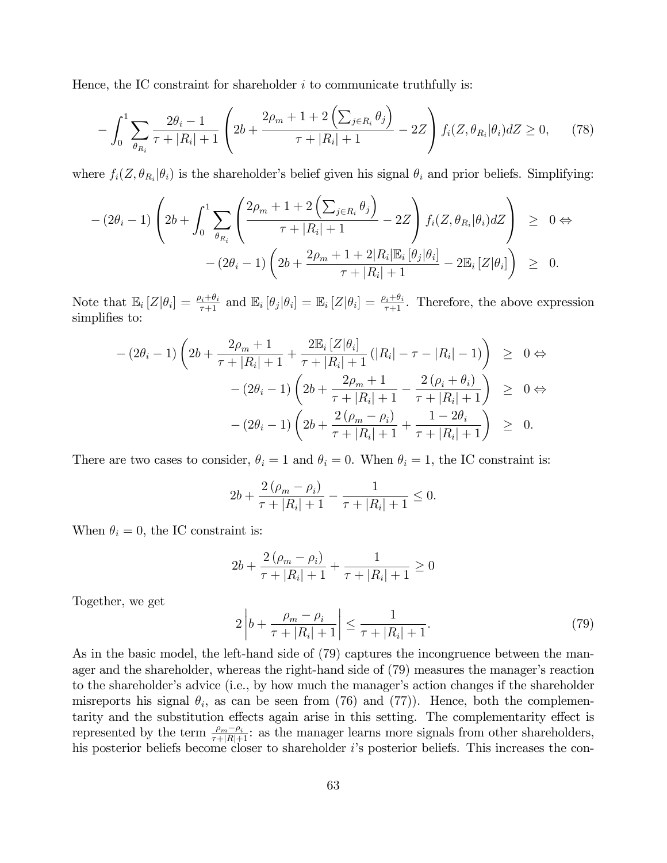Hence, the IC constraint for shareholder *i* to communicate truthfully is:

$$
-\int_0^1 \sum_{\theta_{R_i}} \frac{2\theta_i - 1}{\tau + |R_i| + 1} \left( 2b + \frac{2\rho_m + 1 + 2\left(\sum_{j \in R_i} \theta_j\right)}{\tau + |R_i| + 1} - 2Z \right) f_i(Z, \theta_{R_i} | \theta_i) dZ \ge 0, \tag{78}
$$

where  $f_i(Z, \theta_{R_i} | \theta_i)$  is the shareholder's belief given his signal  $\theta_i$  and prior beliefs. Simplifying:

$$
-(2\theta_i-1)\left(2b+\int_0^1\sum_{\theta_{R_i}}\left(\frac{2\rho_m+1+2\left(\sum_{j\in R_i}\theta_j\right)}{\tau+|R_i|+1}-2Z\right)f_i(Z,\theta_{R_i}|\theta_i)dZ\right) \geq 0 \Leftrightarrow -(2\theta_i-1)\left(2b+\frac{2\rho_m+1+2|R_i|\mathbb{E}_i\left[\theta_j|\theta_i\right]}{\tau+|R_i|+1}-2\mathbb{E}_i\left[Z|\theta_i\right]\right) \geq 0.
$$

Note that  $\mathbb{E}_i[Z|\theta_i] = \frac{\rho_i+\theta_i}{\tau+1}$  and  $\mathbb{E}_i[\theta_j|\theta_i] = \mathbb{E}_i[Z|\theta_i] = \frac{\rho_i+\theta_i}{\tau+1}$ . Therefore, the above expression simplifies to:

$$
-(2\theta_{i}-1)\left(2b+\frac{2\rho_{m}+1}{\tau+|R_{i}|+1}+\frac{2\mathbb{E}_{i}\left[Z|\theta_{i}\right]}{\tau+|R_{i}|+1}\left(|R_{i}|-\tau-|R_{i}|-1\right)\right) \geq 0 \Leftrightarrow -(2\theta_{i}-1)\left(2b+\frac{2\rho_{m}+1}{\tau+|R_{i}|+1}-\frac{2\left(\rho_{i}+\theta_{i}\right)}{\tau+|R_{i}|+1}\right) \geq 0 \Leftrightarrow -(2\theta_{i}-1)\left(2b+\frac{2\left(\rho_{m}-\rho_{i}\right)}{\tau+|R_{i}|+1}+\frac{1-2\theta_{i}}{\tau+|R_{i}|+1}\right) \geq 0.
$$

There are two cases to consider,  $\theta_i = 1$  and  $\theta_i = 0$ . When  $\theta_i = 1$ , the IC constraint is:

$$
2b + \frac{2(\rho_m - \rho_i)}{\tau + |R_i| + 1} - \frac{1}{\tau + |R_i| + 1} \le 0.
$$

When  $\theta_i = 0$ , the IC constraint is:

$$
2b + \frac{2(\rho_m - \rho_i)}{\tau + |R_i| + 1} + \frac{1}{\tau + |R_i| + 1} \ge 0
$$

Together, we get

$$
2\left|b + \frac{\rho_m - \rho_i}{\tau + |R_i| + 1}\right| \le \frac{1}{\tau + |R_i| + 1}.\tag{79}
$$

As in the basic model, the left-hand side of (79) captures the incongruence between the manager and the shareholder, whereas the right-hand side of (79) measures the manager's reaction to the shareholder's advice (i.e., by how much the manager's action changes if the shareholder misreports his signal  $\theta_i$ , as can be seen from (76) and (77)). Hence, both the complementarity and the substitution effects again arise in this setting. The complementarity effect is represented by the term  $\frac{\rho_m-\rho_i}{\tau+|R|+1}$ : as the manager learns more signals from other shareholders, his posterior beliefs become closer to shareholder *i*'s posterior beliefs. This increases the con-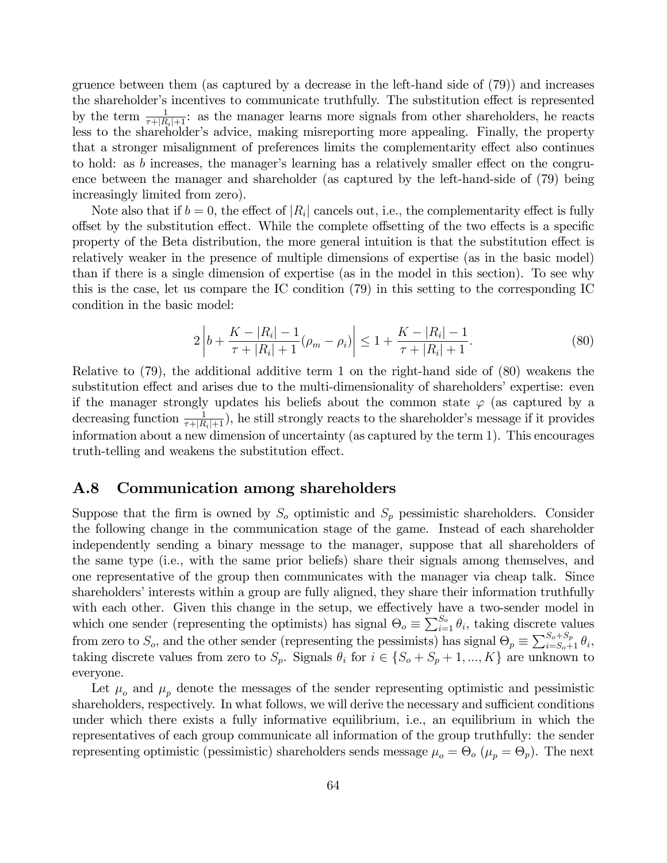gruence between them (as captured by a decrease in the left-hand side of (79)) and increases the shareholder's incentives to communicate truthfully. The substitution effect is represented by the term  $\frac{1}{\tau+|R_i|+1}$ : as the manager learns more signals from other shareholders, he reacts less to the shareholder's advice, making misreporting more appealing. Finally, the property that a stronger misalignment of preferences limits the complementarity effect also continues to hold: as  $b$  increases, the manager's learning has a relatively smaller effect on the congruence between the manager and shareholder (as captured by the left-hand-side of (79) being increasingly limited from zero).

Note also that if  $b = 0$ , the effect of  $|R_i|$  cancels out, i.e., the complementarity effect is fully offset by the substitution effect. While the complete offsetting of the two effects is a specific property of the Beta distribution, the more general intuition is that the substitution effect is relatively weaker in the presence of multiple dimensions of expertise (as in the basic model) than if there is a single dimension of expertise (as in the model in this section). To see why this is the case, let us compare the IC condition (79) in this setting to the corresponding IC condition in the basic model:

$$
2\left|b + \frac{K - |R_i| - 1}{\tau + |R_i| + 1}(\rho_m - \rho_i)\right| \le 1 + \frac{K - |R_i| - 1}{\tau + |R_i| + 1}.\tag{80}
$$

Relative to (79), the additional additive term 1 on the right-hand side of (80) weakens the substitution effect and arises due to the multi-dimensionality of shareholders' expertise: even if the manager strongly updates his beliefs about the common state  $\varphi$  (as captured by a decreasing function  $\frac{1}{\tau+|R_i|+1}$ , he still strongly reacts to the shareholder's message if it provides information about a new dimension of uncertainty (as captured by the term 1). This encourages truth-telling and weakens the substitution effect.

#### A.8 Communication among shareholders

Suppose that the firm is owned by  $S<sub>o</sub>$  optimistic and  $S<sub>p</sub>$  pessimistic shareholders. Consider the following change in the communication stage of the game. Instead of each shareholder independently sending a binary message to the manager, suppose that all shareholders of the same type (i.e., with the same prior beliefs) share their signals among themselves, and one representative of the group then communicates with the manager via cheap talk. Since shareholders' interests within a group are fully aligned, they share their information truthfully with each other. Given this change in the setup, we effectively have a two-sender model in which one sender (representing the optimists) has signal  $\Theta_o \equiv \sum_{i=1}^{S_o} \theta_i$ , taking discrete values from zero to  $S_o$ , and the other sender (representing the pessimists) has signal  $\Theta_p \equiv \sum_{i=S_o+1}^{S_o+S_p} \theta_i$ , taking discrete values from zero to  $S_p$ . Signals  $\theta_i$  for  $i \in \{S_o + S_p + 1, ..., K\}$  are unknown to everyone.

Let  $\mu_o$  and  $\mu_p$  denote the messages of the sender representing optimistic and pessimistic shareholders, respectively. In what follows, we will derive the necessary and sufficient conditions under which there exists a fully informative equilibrium, i.e., an equilibrium in which the representatives of each group communicate all information of the group truthfully: the sender representing optimistic (pessimistic) shareholders sends message  $\mu_o = \Theta_o$  ( $\mu_p = \Theta_p$ ). The next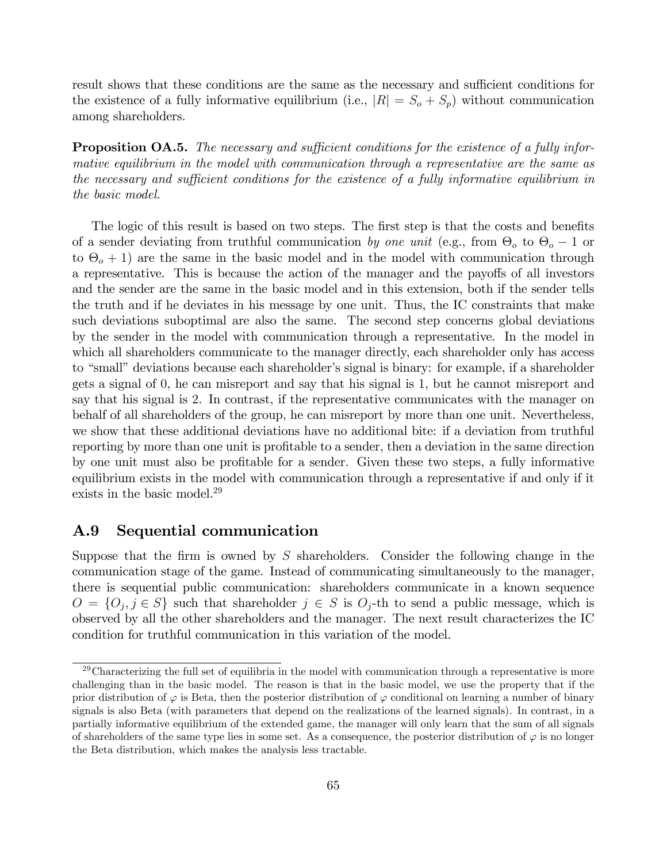result shows that these conditions are the same as the necessary and sufficient conditions for the existence of a fully informative equilibrium (i.e.,  $|R| = S_o + S_p$ ) without communication among shareholders.

**Proposition OA.5.** The necessary and sufficient conditions for the existence of a fully infor*mative equilibrium in the model with communication through a representative are the same as the necessary and su*¢*cient conditions for the existence of a fully informative equilibrium in the basic model.*

The logic of this result is based on two steps. The first step is that the costs and benefits of a sender deviating from truthful communication *by one unit* (e.g., from Θ*<sup>o</sup>* to Θ*<sup>o</sup>* − 1 or to  $\Theta$ <sub>o</sub> + 1) are the same in the basic model and in the model with communication through a representative. This is because the action of the manager and the payoffs of all investors and the sender are the same in the basic model and in this extension, both if the sender tells the truth and if he deviates in his message by one unit. Thus, the IC constraints that make such deviations suboptimal are also the same. The second step concerns global deviations by the sender in the model with communication through a representative. In the model in which all shareholders communicate to the manager directly, each shareholder only has access to "small" deviations because each shareholder's signal is binary: for example, if a shareholder gets a signal of 0, he can misreport and say that his signal is 1, but he cannot misreport and say that his signal is 2. In contrast, if the representative communicates with the manager on behalf of all shareholders of the group, he can misreport by more than one unit. Nevertheless, we show that these additional deviations have no additional bite: if a deviation from truthful reporting by more than one unit is profitable to a sender, then a deviation in the same direction by one unit must also be profitable for a sender. Given these two steps, a fully informative equilibrium exists in the model with communication through a representative if and only if it exists in the basic model.<sup>29</sup>

## A.9 Sequential communication

Suppose that the firm is owned by *S* shareholders. Consider the following change in the communication stage of the game. Instead of communicating simultaneously to the manager, there is sequential public communication: shareholders communicate in a known sequence  $O = \{O_i, j \in S\}$  such that shareholder  $j \in S$  is  $O_j$ -th to send a public message, which is observed by all the other shareholders and the manager. The next result characterizes the IC condition for truthful communication in this variation of the model.

 $29$ Characterizing the full set of equilibria in the model with communication through a representative is more challenging than in the basic model. The reason is that in the basic model, we use the property that if the prior distribution of  $\varphi$  is Beta, then the posterior distribution of  $\varphi$  conditional on learning a number of binary signals is also Beta (with parameters that depend on the realizations of the learned signals). In contrast, in a partially informative equilibrium of the extended game, the manager will only learn that the sum of all signals of shareholders of the same type lies in some set. As a consequence, the posterior distribution of  $\varphi$  is no longer the Beta distribution, which makes the analysis less tractable.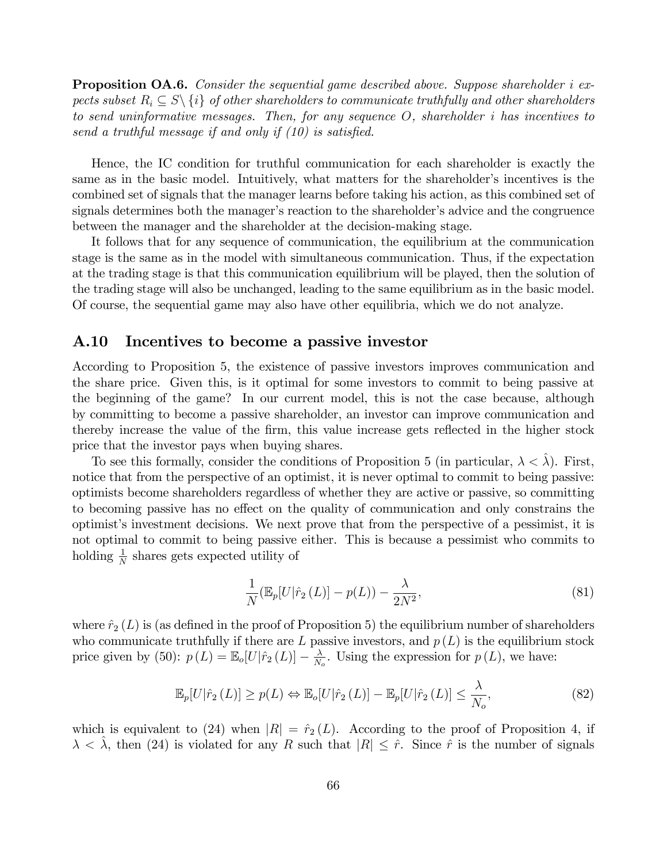**Proposition OA.6.** Consider the sequential game described above. Suppose shareholder *i* ex*pects subset*  $R_i \subseteq S \setminus \{i\}$  *of other shareholders to communicate truthfully and other shareholders to send uninformative messages. Then, for any sequence O, shareholder i has incentives to send a truthful message if and only if (10) is satisfied.*

Hence, the IC condition for truthful communication for each shareholder is exactly the same as in the basic model. Intuitively, what matters for the shareholder's incentives is the combined set of signals that the manager learns before taking his action, as this combined set of signals determines both the manager's reaction to the shareholder's advice and the congruence between the manager and the shareholder at the decision-making stage.

It follows that for any sequence of communication, the equilibrium at the communication stage is the same as in the model with simultaneous communication. Thus, if the expectation at the trading stage is that this communication equilibrium will be played, then the solution of the trading stage will also be unchanged, leading to the same equilibrium as in the basic model. Of course, the sequential game may also have other equilibria, which we do not analyze.

#### A.10 Incentives to become a passive investor

According to Proposition 5, the existence of passive investors improves communication and the share price. Given this, is it optimal for some investors to commit to being passive at the beginning of the game? In our current model, this is not the case because, although by committing to become a passive shareholder, an investor can improve communication and thereby increase the value of the firm, this value increase gets reflected in the higher stock price that the investor pays when buying shares.

To see this formally, consider the conditions of Proposition 5 (in particular,  $\lambda < \lambda$ ). First, notice that from the perspective of an optimist, it is never optimal to commit to being passive: optimists become shareholders regardless of whether they are active or passive, so committing to becoming passive has no effect on the quality of communication and only constrains the optimist's investment decisions. We next prove that from the perspective of a pessimist, it is not optimal to commit to being passive either. This is because a pessimist who commits to holding  $\frac{1}{N}$  shares gets expected utility of

$$
\frac{1}{N} \left( \mathbb{E}_p[U|\hat{r}_2\left(L\right)] - p(L) \right) - \frac{\lambda}{2N^2},\tag{81}
$$

where  $\hat{r}_2(L)$  is (as defined in the proof of Proposition 5) the equilibrium number of shareholders who communicate truthfully if there are  $L$  passive investors, and  $p(L)$  is the equilibrium stock price given by (50):  $p(L) = \mathbb{E}_{o}[U|\hat{r}_2(L)] - \frac{\lambda}{N_o}$ . Using the expression for  $p(L)$ , we have:

$$
\mathbb{E}_p[U|\hat{r}_2\left(L\right)] \ge p(L) \Leftrightarrow \mathbb{E}_o[U|\hat{r}_2\left(L\right)] - \mathbb{E}_p[U|\hat{r}_2\left(L\right)] \le \frac{\lambda}{N_o},\tag{82}
$$

which is equivalent to (24) when  $|R| = \hat{r}_2(L)$ . According to the proof of Proposition 4, if  $\lambda < \lambda$ , then (24) is violated for any *R* such that  $|R| \leq \hat{r}$ . Since  $\hat{r}$  is the number of signals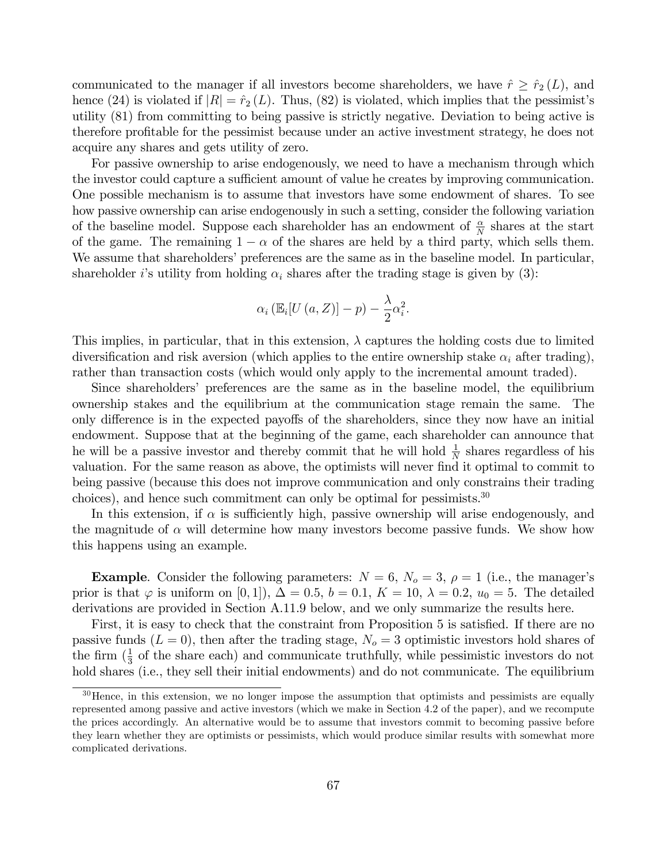communicated to the manager if all investors become shareholders, we have  $\hat{r} \geq \hat{r}_2(L)$ , and hence (24) is violated if  $|R| = \hat{r}_2(L)$ . Thus, (82) is violated, which implies that the pessimist's utility (81) from committing to being passive is strictly negative. Deviation to being active is therefore profitable for the pessimist because under an active investment strategy, he does not acquire any shares and gets utility of zero.

For passive ownership to arise endogenously, we need to have a mechanism through which the investor could capture a sufficient amount of value he creates by improving communication. One possible mechanism is to assume that investors have some endowment of shares. To see how passive ownership can arise endogenously in such a setting, consider the following variation of the baseline model. Suppose each shareholder has an endowment of  $\frac{\alpha}{N}$  shares at the start of the game. The remaining  $1 - \alpha$  of the shares are held by a third party, which sells them. We assume that shareholders' preferences are the same as in the baseline model. In particular, shareholder *i*'s utility from holding  $\alpha_i$  shares after the trading stage is given by (3):

$$
\alpha_i \left( \mathbb{E}_i[U\left( a, Z \right) \right] - p \right) - \frac{\lambda}{2} \alpha_i^2.
$$

This implies, in particular, that in this extension,  $\lambda$  captures the holding costs due to limited diversification and risk aversion (which applies to the entire ownership stake  $\alpha_i$  after trading), rather than transaction costs (which would only apply to the incremental amount traded).

Since shareholders' preferences are the same as in the baseline model, the equilibrium ownership stakes and the equilibrium at the communication stage remain the same. The only difference is in the expected payoffs of the shareholders, since they now have an initial endowment. Suppose that at the beginning of the game, each shareholder can announce that he will be a passive investor and thereby commit that he will hold  $\frac{1}{N}$  shares regardless of his valuation. For the same reason as above, the optimists will never find it optimal to commit to being passive (because this does not improve communication and only constrains their trading choices), and hence such commitment can only be optimal for pessimists.<sup>30</sup>

In this extension, if  $\alpha$  is sufficiently high, passive ownership will arise endogenously, and the magnitude of  $\alpha$  will determine how many investors become passive funds. We show how this happens using an example.

**Example.** Consider the following parameters:  $N = 6$ ,  $N<sub>o</sub> = 3$ ,  $\rho = 1$  (i.e., the manager's prior is that  $\varphi$  is uniform on [0, 1]),  $\Delta = 0.5$ ,  $b = 0.1$ ,  $K = 10$ ,  $\lambda = 0.2$ ,  $u_0 = 5$ . The detailed derivations are provided in Section A.11.9 below, and we only summarize the results here.

First, it is easy to check that the constraint from Proposition 5 is satisfied. If there are no passive funds  $(L = 0)$ , then after the trading stage,  $N<sub>o</sub> = 3$  optimistic investors hold shares of the firm  $(\frac{1}{3}$  of the share each) and communicate truthfully, while pessimistic investors do not hold shares (i.e., they sell their initial endowments) and do not communicate. The equilibrium

<sup>&</sup>lt;sup>30</sup>Hence, in this extension, we no longer impose the assumption that optimists and pessimists are equally represented among passive and active investors (which we make in Section 4.2 of the paper), and we recompute the prices accordingly. An alternative would be to assume that investors commit to becoming passive before they learn whether they are optimists or pessimists, which would produce similar results with somewhat more complicated derivations.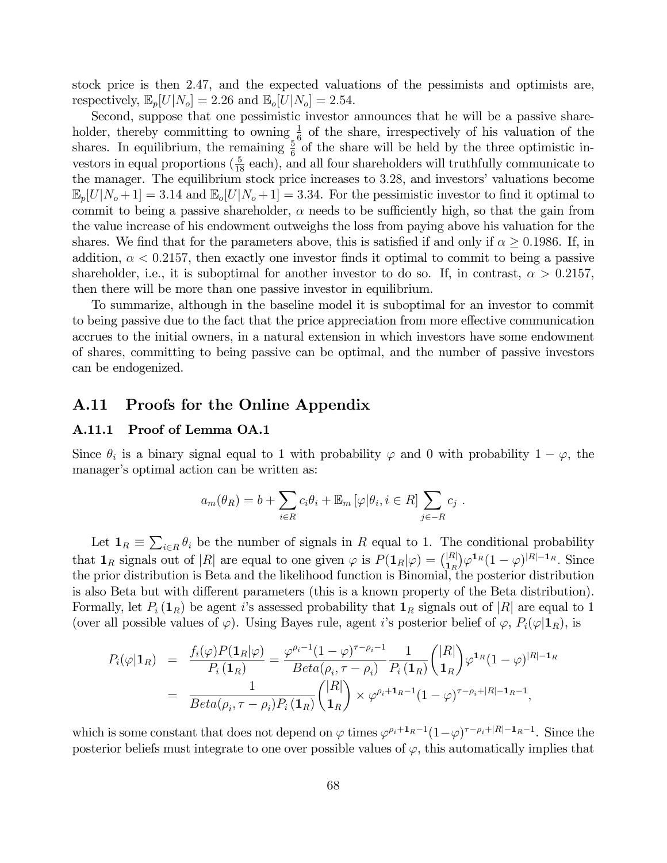stock price is then 2*.*47, and the expected valuations of the pessimists and optimists are, respectively,  $\mathbb{E}_p[U|N_o]=2.26$  and  $\mathbb{E}_o[U|N_o]=2.54$ .

Second, suppose that one pessimistic investor announces that he will be a passive shareholder, thereby committing to owning  $\frac{1}{6}$  of the share, irrespectively of his valuation of the shares. In equilibrium, the remaining  $\frac{5}{6}$  of the share will be held by the three optimistic investors in equal proportions  $(\frac{5}{18}$  each), and all four shareholders will truthfully communicate to the manager. The equilibrium stock price increases to 3*.*28, and investors' valuations become  $\mathbb{E}_p[U|N_o+1] = 3.14$  and  $\mathbb{E}_o[U|N_o+1] = 3.34$ . For the pessimistic investor to find it optimal to commit to being a passive shareholder,  $\alpha$  needs to be sufficiently high, so that the gain from the value increase of his endowment outweighs the loss from paying above his valuation for the shares. We find that for the parameters above, this is satisfied if and only if  $\alpha > 0.1986$ . If, in addition,  $\alpha$  < 0.2157, then exactly one investor finds it optimal to commit to being a passive shareholder, i.e., it is suboptimal for another investor to do so. If, in contrast,  $\alpha > 0.2157$ , then there will be more than one passive investor in equilibrium.

To summarize, although in the baseline model it is suboptimal for an investor to commit to being passive due to the fact that the price appreciation from more effective communication accrues to the initial owners, in a natural extension in which investors have some endowment of shares, committing to being passive can be optimal, and the number of passive investors can be endogenized.

#### A.11 Proofs for the Online Appendix

#### A.11.1 Proof of Lemma OA.1

Since  $\theta_i$  is a binary signal equal to 1 with probability  $\varphi$  and 0 with probability  $1 - \varphi$ , the manager's optimal action can be written as:

$$
a_m(\theta_R) = b + \sum_{i \in R} c_i \theta_i + \mathbb{E}_m \left[ \varphi | \theta_i, i \in R \right] \sum_{j \in -R} c_j.
$$

Let  $\mathbf{1}_R \equiv \sum_{i \in R} \theta_i$  be the number of signals in *R* equal to 1. The conditional probability that  $\mathbf{1}_R$  signals out of |*R*| are equal to one given  $\varphi$  is  $P(\mathbf{1}_R|\varphi) = {(|R| \choose 1_R} \varphi^{\mathbf{1}_R} (1 - \varphi)^{|R| - \mathbf{1}_R}$ . Since the prior distribution is Beta and the likelihood function is Binomial, the posterior distribution is also Beta but with different parameters (this is a known property of the Beta distribution). Formally, let  $P_i(\mathbf{1}_R)$  be agent *i*'s assessed probability that  $\mathbf{1}_R$  signals out of  $|R|$  are equal to 1 (over all possible values of  $\varphi$ ). Using Bayes rule, agent *i*'s posterior belief of  $\varphi$ ,  $P_i(\varphi|\mathbf{1}_R)$ , is

$$
P_i(\varphi|\mathbf{1}_R) = \frac{f_i(\varphi)P(\mathbf{1}_R|\varphi)}{P_i(\mathbf{1}_R)} = \frac{\varphi^{\rho_i-1}(1-\varphi)^{\tau-\rho_i-1}}{Beta(\rho_i, \tau-\rho_i)} \frac{1}{P_i(\mathbf{1}_R)} \binom{|R|}{\mathbf{1}_R} \varphi^{\mathbf{1}_R}(1-\varphi)^{|R|-1_R}
$$
  
= 
$$
\frac{1}{Beta(\rho_i, \tau-\rho_i)P_i(\mathbf{1}_R)} \binom{|R|}{\mathbf{1}_R} \times \varphi^{\rho_i+\mathbf{1}_R-1}(1-\varphi)^{\tau-\rho_i+|R|-1_R-1},
$$

which is some constant that does not depend on  $\varphi$  times  $\varphi^{\rho_i+1}R^{-1}(1-\varphi)^{\tau-\rho_i+|R|-1}R^{-1}$ . Since the posterior beliefs must integrate to one over possible values of  $\varphi$ , this automatically implies that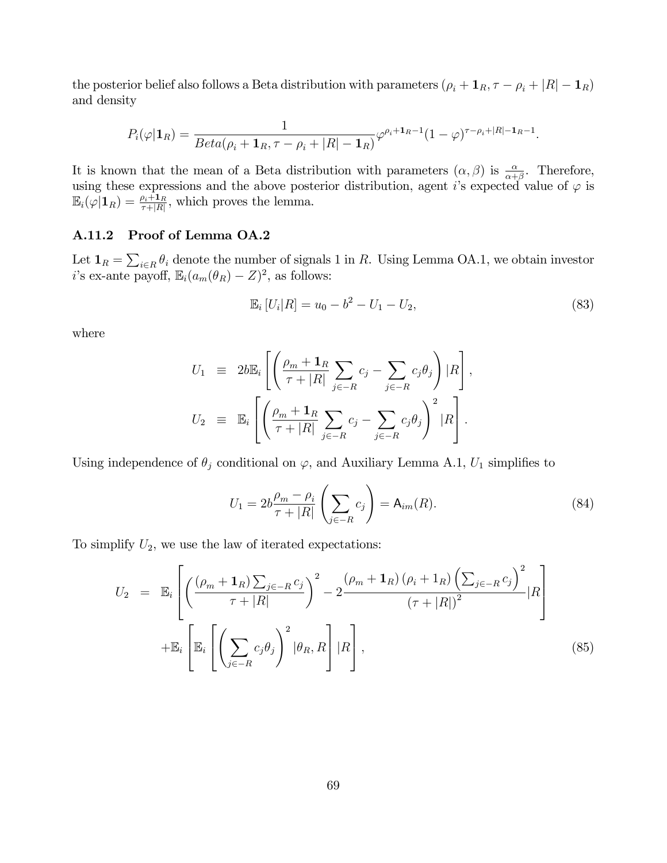the posterior belief also follows a Beta distribution with parameters  $(\rho_i + \mathbf{1}_R, \tau - \rho_i + |R| - \mathbf{1}_R)$ and density

$$
P_i(\varphi|\mathbf{1}_R) = \frac{1}{Beta(\rho_i + \mathbf{1}_R, \tau - \rho_i + |R| - \mathbf{1}_R)} \varphi^{\rho_i + \mathbf{1}_R - 1} (1 - \varphi)^{\tau - \rho_i + |R| - \mathbf{1}_R - 1}.
$$

It is known that the mean of a Beta distribution with parameters  $(\alpha, \beta)$  is  $\frac{\alpha}{\alpha+\beta}$ . Therefore, using these expressions and the above posterior distribution, agent *i*'s expected value of  $\varphi$  is  $\mathbb{E}_i(\varphi|\mathbf{1}_R) = \frac{\rho_i+1_R}{\tau+|R|}$ , which proves the lemma.

#### A.11.2 Proof of Lemma OA.2

Let  $\mathbf{1}_R = \sum_{i \in R} \theta_i$  denote the number of signals 1 in *R*. Using Lemma OA.1, we obtain investor *i*'s ex-ante payoff,  $\mathbb{E}_i(a_m(\theta_R) - Z)^2$ , as follows:

$$
\mathbb{E}_i [U_i | R] = u_0 - b^2 - U_1 - U_2, \tag{83}
$$

where

$$
U_1 \equiv 2b \mathbb{E}_i \left[ \left( \frac{\rho_m + \mathbf{1}_R}{\tau + |R|} \sum_{j \in -R} c_j - \sum_{j \in -R} c_j \theta_j \right) |R \right],
$$
  

$$
U_2 \equiv \mathbb{E}_i \left[ \left( \frac{\rho_m + \mathbf{1}_R}{\tau + |R|} \sum_{j \in -R} c_j - \sum_{j \in -R} c_j \theta_j \right)^2 |R \right].
$$

Using independence of  $\theta_j$  conditional on  $\varphi$ , and Auxiliary Lemma A.1,  $U_1$  simplifies to

$$
U_1 = 2b \frac{\rho_m - \rho_i}{\tau + |R|} \left( \sum_{j \in -R} c_j \right) = \mathsf{A}_{im}(R). \tag{84}
$$

To simplify  $U_2$ , we use the law of iterated expectations:

$$
U_2 = \mathbb{E}_i \left[ \left( \frac{(\rho_m + \mathbf{1}_R) \sum_{j \in -R} c_j}{\tau + |R|} \right)^2 - 2 \frac{(\rho_m + \mathbf{1}_R) (\rho_i + \mathbf{1}_R) \left( \sum_{j \in -R} c_j \right)^2}{(\tau + |R|)^2} |R \right] + \mathbb{E}_i \left[ \mathbb{E}_i \left[ \left( \sum_{j \in -R} c_j \theta_j \right)^2 | \theta_R, R \right] |R \right],
$$
\n(85)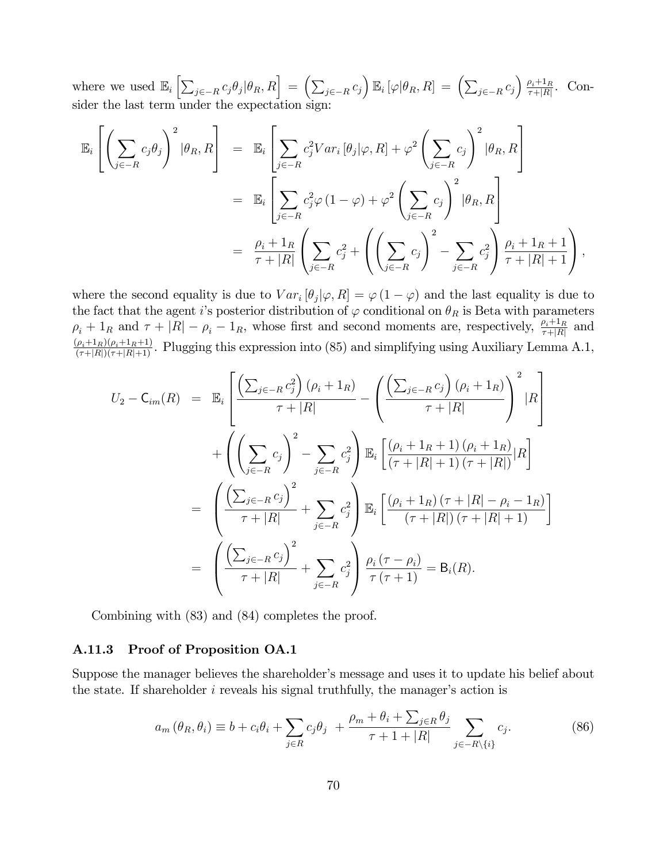where we used  $\mathbb{E}_i \left[ \sum_{j \in -R} c_j \theta_j | \theta_R, R \right] = \left( \sum_{j \in -R} c_j \right) \mathbb{E}_i \left[ \varphi | \theta_R, R \right] = \left( \sum_{j \in -R} c_j \right) \frac{\rho_i + 1_R}{\tau + |R|}.$  Consider the last term under the expectation sign:

$$
\mathbb{E}_{i}\left[\left(\sum_{j\in-R}c_{j}\theta_{j}\right)^{2}|\theta_{R},R\right] = \mathbb{E}_{i}\left[\sum_{j\in-R}c_{j}^{2}Var_{i}\left[\theta_{j}|\varphi,R\right]+\varphi^{2}\left(\sum_{j\in-R}c_{j}\right)^{2}|\theta_{R},R\right]
$$

$$
= \mathbb{E}_{i}\left[\sum_{j\in-R}c_{j}^{2}\varphi\left(1-\varphi\right)+\varphi^{2}\left(\sum_{j\in-R}c_{j}\right)^{2}|\theta_{R},R\right]
$$

$$
= \frac{\rho_{i}+1_{R}}{\tau+|R|}\left(\sum_{j\in-R}c_{j}^{2}+\left(\left(\sum_{j\in-R}c_{j}\right)^{2}-\sum_{j\in-R}c_{j}^{2}\right)\frac{\rho_{i}+1_{R}+1}{\tau+|R|+1}\right),
$$

where the second equality is due to  $Var_i[\theta_i|\varphi, R] = \varphi(1-\varphi)$  and the last equality is due to the fact that the agent *i*'s posterior distribution of  $\varphi$  conditional on  $\theta_R$  is Beta with parameters  $\rho_i + 1_R$  and  $\tau + |R| - \rho_i - 1_R$ , whose first and second moments are, respectively,  $\frac{\rho_i + 1_R}{\tau + |R|}$  and  $\frac{(\rho_i + 1_R)(\rho_i + 1_R + 1)}{(\tau + |R|)(\tau + |R| + 1)}$ . Plugging this expression into (85) and simplifying using Auxiliary Lemm

$$
U_2 - C_{im}(R) = \mathbb{E}_i \left[ \frac{\left( \sum_{j \in -R} c_j^2 \right) (\rho_i + 1_R)}{\tau + |R|} - \left( \frac{\left( \sum_{j \in -R} c_j \right) (\rho_i + 1_R)}{\tau + |R|} \right)^2 |R \right] + \left( \left( \sum_{j \in -R} c_j \right)^2 - \sum_{j \in -R} c_j^2 \right) \mathbb{E}_i \left[ \frac{(\rho_i + 1_R + 1) (\rho_i + 1_R)}{(\tau + |R| + 1) (\tau + |R|)} |R \right] = \left( \frac{\left( \sum_{j \in -R} c_j \right)^2}{\tau + |R|} + \sum_{j \in -R} c_j^2 \right) \mathbb{E}_i \left[ \frac{(\rho_i + 1_R) (\tau + |R| - \rho_i - 1_R)}{(\tau + |R|) (\tau + |R| + 1)} \right] = \left( \frac{\left( \sum_{j \in -R} c_j \right)^2}{\tau + |R|} + \sum_{j \in -R} c_j^2 \right) \frac{\rho_i (\tau - \rho_i)}{\tau (\tau + 1)} = \mathsf{B}_i(R).
$$

Combining with (83) and (84) completes the proof.

#### A.11.3 Proof of Proposition OA.1

Suppose the manager believes the shareholder's message and uses it to update his belief about the state. If shareholder *i* reveals his signal truthfully, the manager's action is

$$
a_m(\theta_R, \theta_i) \equiv b + c_i \theta_i + \sum_{j \in R} c_j \theta_j + \frac{\rho_m + \theta_i + \sum_{j \in R} \theta_j}{\tau + 1 + |R|} \sum_{j \in -R \setminus \{i\}} c_j.
$$
 (86)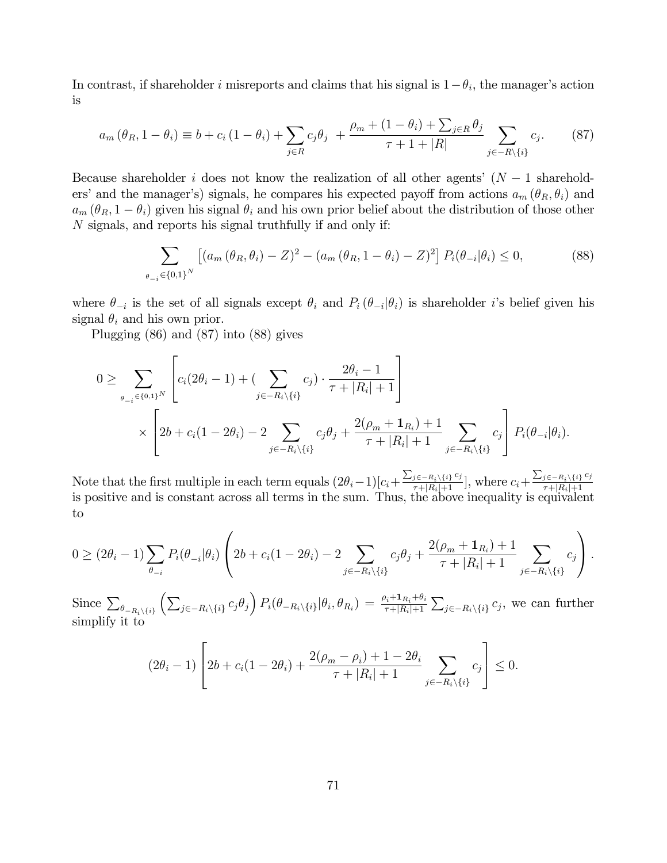In contrast, if shareholder *i* misreports and claims that his signal is  $1-\theta_i$ , the manager's action is

$$
a_m(\theta_R, 1 - \theta_i) \equiv b + c_i (1 - \theta_i) + \sum_{j \in R} c_j \theta_j + \frac{\rho_m + (1 - \theta_i) + \sum_{j \in R} \theta_j}{\tau + 1 + |R|} \sum_{j \in -R \setminus \{i\}} c_j.
$$
 (87)

Because shareholder *i* does not know the realization of all other agents' (*N* − 1 shareholders' and the manager's) signals, he compares his expected payoff from actions  $a_m$  ( $\theta_R$ ,  $\theta_i$ ) and  $a_m$  ( $\theta_R$ , 1 −  $\theta_i$ ) given his signal  $\theta_i$  and his own prior belief about the distribution of those other *N* signals, and reports his signal truthfully if and only if:

$$
\sum_{\theta_{-i}\in\{0,1\}^N} \left[ (a_m(\theta_R, \theta_i) - Z)^2 - (a_m(\theta_R, 1 - \theta_i) - Z)^2 \right] P_i(\theta_{-i}|\theta_i) \le 0,
$$
\n(88)

where  $\theta_{-i}$  is the set of all signals except  $\theta_i$  and  $P_i(\theta_{-i}|\theta_i)$  is shareholder *i*'s belief given his signal  $\theta_i$  and his own prior.

Plugging (86) and (87) into (88) gives

$$
0 \geq \sum_{\theta_{-i} \in \{0,1\}^N} \left[ c_i (2\theta_i - 1) + \left( \sum_{j \in -R_i \setminus \{i\}} c_j \right) \cdot \frac{2\theta_i - 1}{\tau + |R_i| + 1} \right] \times \left[ 2b + c_i (1 - 2\theta_i) - 2 \sum_{j \in -R_i \setminus \{i\}} c_j \theta_j + \frac{2(\rho_m + \mathbf{1}_{R_i}) + 1}{\tau + |R_i| + 1} \sum_{j \in -R_i \setminus \{i\}} c_j \right] P_i(\theta_{-i} | \theta_i).
$$

Note that the first multiple in each term equals  $(2\theta_i-1)[c_i+\frac{\sum_{j\in -R_i\setminus\{i\}}c_j}{\tau+|R_i|+1}]$ , where  $c_i+\frac{\sum_{j\in -R_i\setminus\{i\}}c_j}{\tau+|R_i|+1}$ Frote that the mst multiple in each term equals  $(2\sigma_i - 1)[c_i + \frac{\tau+|R_i|+1}{\tau+|R_i|+1}]$ , where  $c_i + \frac{\tau+|R_i|+1}{\tau+|R_i|+1}$  is positive and is constant across all terms in the sum. Thus, the above inequality is equivalent to

$$
0 \ge (2\theta_i - 1) \sum_{\theta_{-i}} P_i(\theta_{-i} | \theta_i) \left( 2b + c_i(1 - 2\theta_i) - 2 \sum_{j \in -R_i \setminus \{i\}} c_j \theta_j + \frac{2(\rho_m + \mathbf{1}_{R_i}) + 1}{\tau + |R_i| + 1} \sum_{j \in -R_i \setminus \{i\}} c_j \right).
$$

Since  $\sum_{\theta_{-R_i\setminus\{i\}}}$  $\left( \sum_{j \in -R_i \setminus \{i\}} c_j \theta_j \right) P_i(\theta_{-R_i \setminus \{i\}} | \theta_i, \theta_{R_i}) = \frac{\rho_i + \mathbf{1}_{R_i} + \theta_i}{\tau + |R_i| + 1}$  $\sum_{j \in -R_i \setminus \{i\}} c_j$ , we can further simplify it to

$$
(2\theta_i - 1) \left[ 2b + c_i(1 - 2\theta_i) + \frac{2(\rho_m - \rho_i) + 1 - 2\theta_i}{\tau + |R_i| + 1} \sum_{j \in -R_i \setminus \{i\}} c_j \right] \le 0.
$$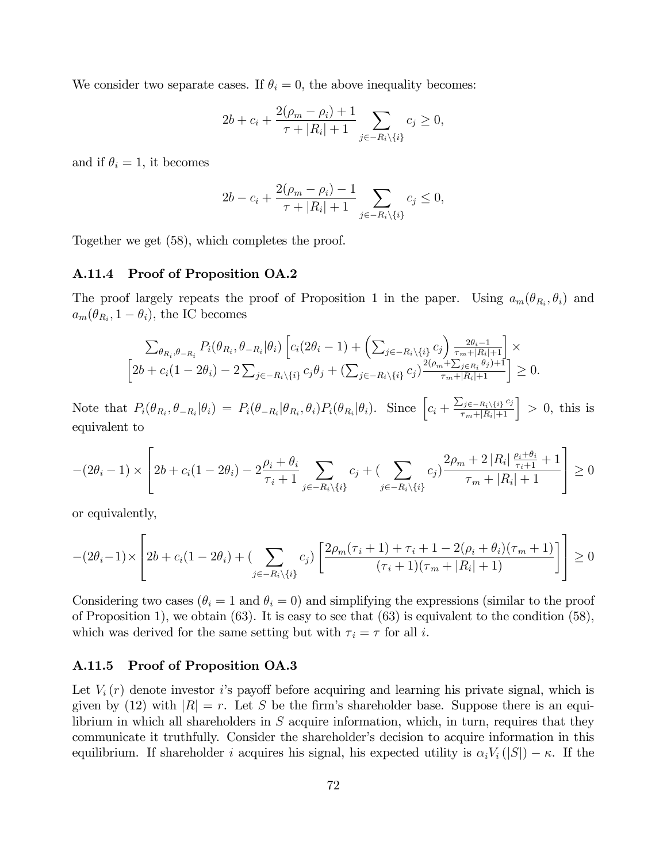We consider two separate cases. If  $\theta_i = 0$ , the above inequality becomes:

$$
2b + c_i + \frac{2(\rho_m - \rho_i) + 1}{\tau + |R_i| + 1} \sum_{j \in -R_i \setminus \{i\}} c_j \ge 0,
$$

and if  $\theta_i = 1$ , it becomes

$$
2b - c_i + \frac{2(\rho_m - \rho_i) - 1}{\tau + |R_i| + 1} \sum_{j \in -R_i \setminus \{i\}} c_j \le 0,
$$

Together we get (58), which completes the proof.

### A.11.4 Proof of Proposition OA.2

The proof largely repeats the proof of Proposition 1 in the paper. Using  $a_m(\theta_{R_i}, \theta_i)$  and  $a_m(\theta_{R_i}, 1 - \theta_i)$ , the IC becomes

$$
\sum_{\theta_{R_i}, \theta_{-R_i}} P_i(\theta_{R_i}, \theta_{-R_i} | \theta_i) \left[ c_i (2\theta_i - 1) + \left( \sum_{j \in -R_i \setminus \{i\}} c_j \right) \frac{2\theta_i - 1}{\tau_m + |R_i| + 1} \right] \times \left[ 2b + c_i (1 - 2\theta_i) - 2 \sum_{j \in -R_i \setminus \{i\}} c_j \theta_j + \left( \sum_{j \in -R_i \setminus \{i\}} c_j \right) \frac{2(\rho_m + \sum_{j \in R_i} \theta_j) + 1}{\tau_m + |R_i| + 1} \right] \ge 0.
$$

Note that  $P_i(\theta_{R_i}, \theta_{-R_i}|\theta_i) = P_i(\theta_{-R_i}|\theta_{R_i}, \theta_i)P_i(\theta_{R_i}|\theta_i)$ . Since  $\left[c_i + \frac{\sum_{j \in -R_i \setminus \{i\}} c_j}{\tau_m + |R_i| + 1}\right] > 0$ , this is equivalent to

$$
-(2\theta_i - 1) \times \left[2b + c_i(1 - 2\theta_i) - 2\frac{\rho_i + \theta_i}{\tau_i + 1} \sum_{j \in -R_i \setminus \{i\}} c_j + \left(\sum_{j \in -R_i \setminus \{i\}} c_j\right) \frac{2\rho_m + 2|R_i| \frac{\rho_i + \theta_i}{\tau_i + 1} + 1}{\tau_m + |R_i| + 1}\right] \ge 0
$$

or equivalently,

$$
-(2\theta_i - 1) \times \left[2b + c_i(1 - 2\theta_i) + \left(\sum_{j \in -R_i \setminus \{i\}} c_j\right) \left[\frac{2\rho_m(\tau_i + 1) + \tau_i + 1 - 2(\rho_i + \theta_i)(\tau_m + 1)}{(\tau_i + 1)(\tau_m + |R_i| + 1)}\right]\right] \ge 0
$$

Considering two cases  $(\theta_i = 1 \text{ and } \theta_i = 0)$  and simplifying the expressions (similar to the proof of Proposition 1), we obtain  $(63)$ . It is easy to see that  $(63)$  is equivalent to the condition  $(58)$ , which was derived for the same setting but with  $\tau_i = \tau$  for all *i*.

# A.11.5 Proof of Proposition OA.3

Let  $V_i(r)$  denote investor *i*'s payoff before acquiring and learning his private signal, which is given by (12) with  $|R| = r$ . Let *S* be the firm's shareholder base. Suppose there is an equilibrium in which all shareholders in *S* acquire information, which, in turn, requires that they communicate it truthfully. Consider the shareholder's decision to acquire information in this equilibrium. If shareholder *i* acquires his signal, his expected utility is  $\alpha_i V_i(|S|) - \kappa$ . If the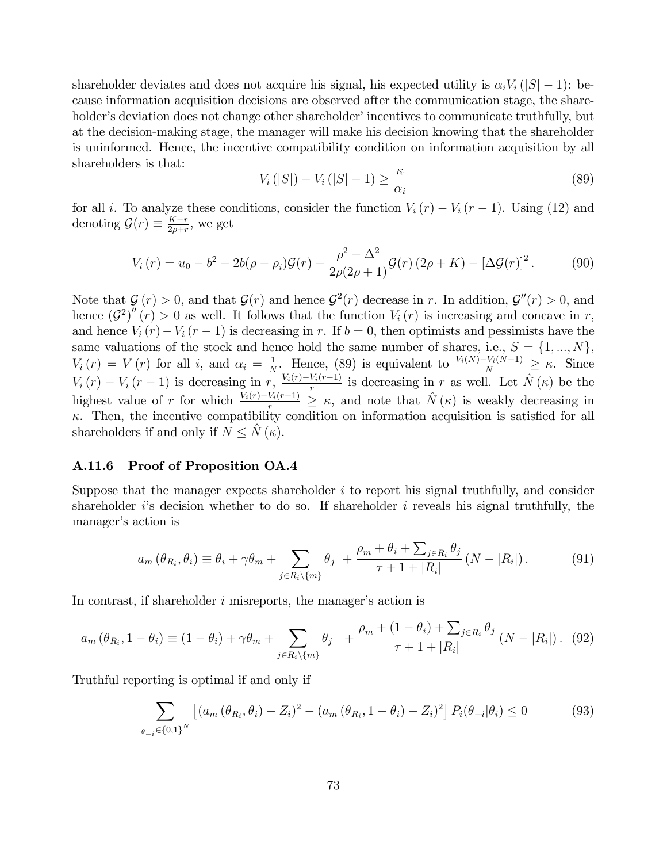shareholder deviates and does not acquire his signal, his expected utility is  $\alpha_i V_i$  (|S| − 1): because information acquisition decisions are observed after the communication stage, the shareholder's deviation does not change other shareholder' incentives to communicate truthfully, but at the decision-making stage, the manager will make his decision knowing that the shareholder is uninformed. Hence, the incentive compatibility condition on information acquisition by all shareholders is that:

$$
V_i(|S|) - V_i(|S| - 1) \ge \frac{\kappa}{\alpha_i} \tag{89}
$$

for all *i*. To analyze these conditions, consider the function  $V_i(r) - V_i(r-1)$ . Using (12) and denoting  $\mathcal{G}(r) \equiv \frac{K-r}{2\rho+r}$ , we get

$$
V_i(r) = u_0 - b^2 - 2b(\rho - \rho_i)\mathcal{G}(r) - \frac{\rho^2 - \Delta^2}{2\rho(2\rho + 1)}\mathcal{G}(r)(2\rho + K) - [\Delta \mathcal{G}(r)]^2.
$$
 (90)

Note that  $\mathcal{G}(r) > 0$ , and that  $\mathcal{G}(r)$  and hence  $\mathcal{G}^2(r)$  decrease in *r*. In addition,  $\mathcal{G}''(r) > 0$ , and hence  $(G^2)''(r) > 0$  as well. It follows that the function  $V_i(r)$  is increasing and concave in *r*, and hence  $V_i(r) - V_i(r-1)$  is decreasing in *r*. If  $b = 0$ , then optimists and pessimists have the same valuations of the stock and hence hold the same number of shares, i.e.,  $S = \{1, ..., N\}$ ,  $V_i(r) = V(r)$  for all *i*, and  $\alpha_i = \frac{1}{N}$ . Hence, (89) is equivalent to  $\frac{V_i(N)-V_i(N-1)}{N} \geq \kappa$ . Since  $V_i(r) - V_i(r-1)$  is decreasing in  $r$ ,  $\frac{V_i(r) - V_i(r-1)}{r}$  is decreasing in *r* as well. Let  $\hat{N}(\kappa)$  be the highest value of *r* for which  $\frac{V_i(r)-V_i(r-1)}{r} \geq \kappa$ , and note that  $\hat{N}(\kappa)$  is weakly decreasing in  $\kappa$ . Then, the incentive compatibility condition on information acquisition is satisfied for all shareholders if and only if  $N \leq N(\kappa)$ .

# A.11.6 Proof of Proposition OA.4

Suppose that the manager expects shareholder *i* to report his signal truthfully, and consider shareholder *i*'s decision whether to do so. If shareholder *i* reveals his signal truthfully, the manager's action is

$$
a_m(\theta_{R_i}, \theta_i) \equiv \theta_i + \gamma \theta_m + \sum_{j \in R_i \setminus \{m\}} \theta_j + \frac{\rho_m + \theta_i + \sum_{j \in R_i} \theta_j}{\tau + 1 + |R_i|} (N - |R_i|). \tag{91}
$$

In contrast, if shareholder *i* misreports, the manager's action is

$$
a_m(\theta_{R_i}, 1 - \theta_i) \equiv (1 - \theta_i) + \gamma \theta_m + \sum_{j \in R_i \setminus \{m\}} \theta_j + \frac{\rho_m + (1 - \theta_i) + \sum_{j \in R_i} \theta_j}{\tau + 1 + |R_i|} (N - |R_i|). \tag{92}
$$

Truthful reporting is optimal if and only if

$$
\sum_{\theta_{-i}\in\{0,1\}^N} \left[ (a_m(\theta_{R_i}, \theta_i) - Z_i)^2 - (a_m(\theta_{R_i}, 1 - \theta_i) - Z_i)^2 \right] P_i(\theta_{-i}|\theta_i) \le 0 \tag{93}
$$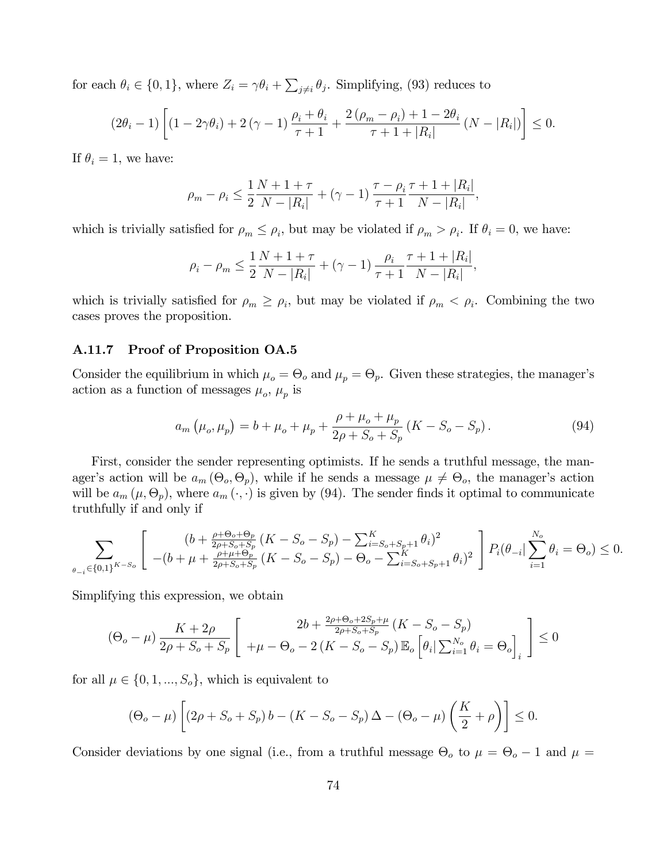for each  $\theta_i \in \{0, 1\}$ , where  $Z_i = \gamma \theta_i + \sum_{j \neq i} \theta_j$ . Simplifying, (93) reduces to

$$
(2\theta_i - 1) \left[ (1 - 2\gamma \theta_i) + 2(\gamma - 1) \frac{\rho_i + \theta_i}{\tau + 1} + \frac{2(\rho_m - \rho_i) + 1 - 2\theta_i}{\tau + 1 + |R_i|} (N - |R_i|) \right] \le 0.
$$

If  $\theta_i = 1$ , we have:

$$
\rho_m - \rho_i \le \frac{1}{2} \frac{N + 1 + \tau}{N - |R_i|} + (\gamma - 1) \frac{\tau - \rho_i}{\tau + 1} \frac{\tau + 1 + |R_i|}{N - |R_i|},
$$

which is trivially satisfied for  $\rho_m \leq \rho_i$ , but may be violated if  $\rho_m > \rho_i$ . If  $\theta_i = 0$ , we have:

$$
\rho_i - \rho_m \le \frac{1}{2} \frac{N + 1 + \tau}{N - |R_i|} + (\gamma - 1) \frac{\rho_i}{\tau + 1} \frac{\tau + 1 + |R_i|}{N - |R_i|},
$$

which is trivially satisfied for  $\rho_m \ge \rho_i$ , but may be violated if  $\rho_m < \rho_i$ . Combining the two cases proves the proposition.

### A.11.7 Proof of Proposition OA.5

Consider the equilibrium in which  $\mu_o = \Theta_o$  and  $\mu_p = \Theta_p$ . Given these strategies, the manager's action as a function of messages  $\mu_o$ ,  $\mu_p$  is

$$
a_m \left( \mu_o, \mu_p \right) = b + \mu_o + \mu_p + \frac{\rho + \mu_o + \mu_p}{2\rho + S_o + S_p} \left( K - S_o - S_p \right). \tag{94}
$$

First, consider the sender representing optimists. If he sends a truthful message, the manager's action will be  $a_m(\Theta_o, \Theta_p)$ , while if he sends a message  $\mu \neq \Theta_o$ , the manager's action will be  $a_m$  ( $\mu$ ,  $\Theta_p$ ), where  $a_m$  ( $\cdot$ ,  $\cdot$ ) is given by (94). The sender finds it optimal to communicate truthfully if and only if

$$
\sum_{\theta_{-i}\in\{0,1\}^{K-S_o}} \left[ \begin{array}{c} (b+\frac{\rho+\Theta_o+\Theta_p}{2\rho+S_o+S_p} (K-S_o-S_p) - \sum_{i=S_o+S_p+1}^{K} \theta_i)^2 \\ -(b+\mu+\frac{\rho+\mu+\Theta_p}{2\rho+S_o+S_p} (K-S_o-S_p) - \Theta_o - \sum_{i=S_o+S_p+1}^{K} \theta_i)^2 \end{array} \right] P_i(\theta_{-i}|\sum_{i=1}^{N_o} \theta_i = \Theta_o) \le 0.
$$

Simplifying this expression, we obtain

$$
(\Theta_o - \mu) \frac{K + 2\rho}{2\rho + S_o + S_p} \left[ \begin{array}{c} 2b + \frac{2\rho + \Theta_o + 2S_p + \mu}{2\rho + S_o + S_p} (K - S_o - S_p) \\ + \mu - \Theta_o - 2(K - S_o - S_p) \mathbb{E}_o \left[ \theta_i | \sum_{i=1}^{N_o} \theta_i = \Theta_o \right]_i \end{array} \right] \le 0
$$

for all  $\mu \in \{0, 1, ..., S_o\}$ , which is equivalent to

$$
(\Theta_o - \mu) \left[ (2\rho + S_o + S_p) b - (K - S_o - S_p) \Delta - (\Theta_o - \mu) \left( \frac{K}{2} + \rho \right) \right] \le 0.
$$

Consider deviations by one signal (i.e., from a truthful message  $\Theta_o$  to  $\mu = \Theta_o - 1$  and  $\mu =$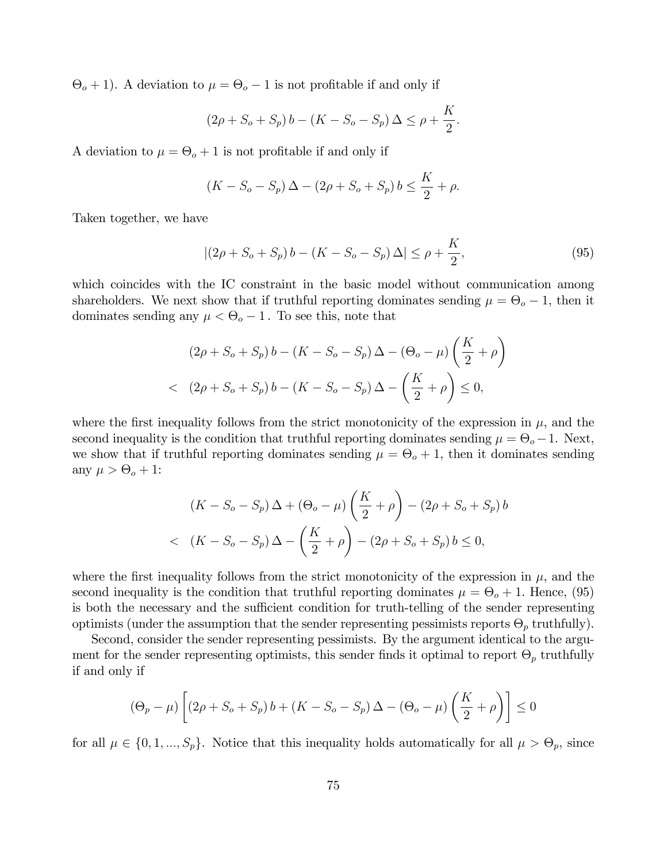$\Theta_o + 1$ ). A deviation to  $\mu = \Theta_o - 1$  is not profitable if and only if

$$
(2\rho + S_o + S_p) b - (K - S_o - S_p) \Delta \le \rho + \frac{K}{2}.
$$

A deviation to  $\mu = \Theta_o + 1$  is not profitable if and only if

$$
(K - S_o - S_p) \Delta - (2\rho + S_o + S_p) b \le \frac{K}{2} + \rho.
$$

Taken together, we have

$$
|(2\rho + S_o + S_p) b - (K - S_o - S_p) \Delta| \le \rho + \frac{K}{2},
$$
\n(95)

which coincides with the IC constraint in the basic model without communication among shareholders. We next show that if truthful reporting dominates sending  $\mu = \Theta_o - 1$ , then it dominates sending any  $\mu < \Theta_o - 1$ . To see this, note that

$$
(2\rho + S_o + S_p) b - (K - S_o - S_p) \Delta - (\Theta_o - \mu) \left(\frac{K}{2} + \rho\right)
$$
  
<  $(2\rho + S_o + S_p) b - (K - S_o - S_p) \Delta - \left(\frac{K}{2} + \rho\right) \le 0,$ 

where the first inequality follows from the strict monotonicity of the expression in  $\mu$ , and the second inequality is the condition that truthful reporting dominates sending  $\mu = \Theta_o - 1$ . Next, we show that if truthful reporting dominates sending  $\mu = \Theta_o + 1$ , then it dominates sending any  $\mu > \Theta_o + 1$ :

$$
(K - S_o - S_p) \Delta + (\Theta_o - \mu) \left(\frac{K}{2} + \rho\right) - (2\rho + S_o + S_p) b < (K - S_o - S_p) \Delta - \left(\frac{K}{2} + \rho\right) - (2\rho + S_o + S_p) b \le 0,
$$

where the first inequality follows from the strict monotonicity of the expression in  $\mu$ , and the second inequality is the condition that truthful reporting dominates  $\mu = \Theta_o + 1$ . Hence, (95) is both the necessary and the sufficient condition for truth-telling of the sender representing optimists (under the assumption that the sender representing pessimists reports  $\Theta_p$  truthfully).

Second, consider the sender representing pessimists. By the argument identical to the argument for the sender representing optimists, this sender finds it optimal to report  $\Theta_p$  truthfully if and only if

$$
(\Theta_p - \mu) \left[ (2\rho + S_o + S_p) b + (K - S_o - S_p) \Delta - (\Theta_o - \mu) \left( \frac{K}{2} + \rho \right) \right] \le 0
$$

for all  $\mu \in \{0, 1, ..., S_p\}$ . Notice that this inequality holds automatically for all  $\mu > \Theta_p$ , since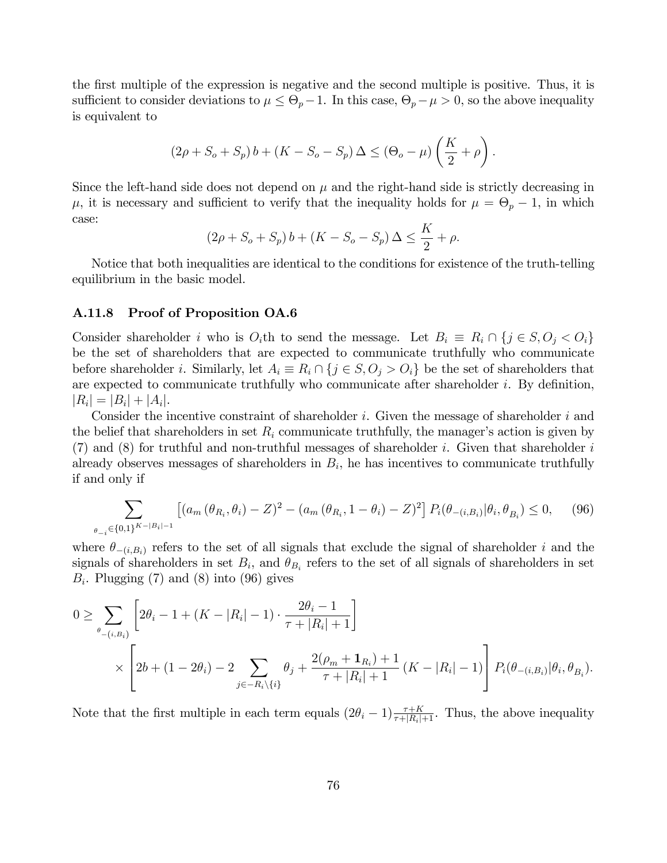the first multiple of the expression is negative and the second multiple is positive. Thus, it is sufficient to consider deviations to  $\mu \leq \Theta_p - 1$ . In this case,  $\Theta_p - \mu > 0$ , so the above inequality is equivalent to

$$
(2\rho + S_o + S_p) b + (K - S_o - S_p) \Delta \leq (\Theta_o - \mu) \left(\frac{K}{2} + \rho\right).
$$

Since the left-hand side does not depend on  $\mu$  and the right-hand side is strictly decreasing in  $\mu$ , it is necessary and sufficient to verify that the inequality holds for  $\mu = \Theta_p - 1$ , in which case:

$$
(2\rho + S_o + S_p) b + (K - S_o - S_p) \Delta \le \frac{K}{2} + \rho.
$$

Notice that both inequalities are identical to the conditions for existence of the truth-telling equilibrium in the basic model.

# A.11.8 Proof of Proposition OA.6

Consider shareholder *i* who is  $O_i$ th to send the message. Let  $B_i \equiv R_i \cap \{j \in S, O_j \lt O_i\}$ be the set of shareholders that are expected to communicate truthfully who communicate before shareholder *i*. Similarly, let  $A_i \equiv R_i \cap \{j \in S, O_j > O_i\}$  be the set of shareholders that are expected to communicate truthfully who communicate after shareholder *i*. By definition,  $|R_i| = |B_i| + |A_i|$ .

Consider the incentive constraint of shareholder *i*. Given the message of shareholder *i* and the belief that shareholders in set  $R_i$  communicate truthfully, the manager's action is given by (7) and (8) for truthful and non-truthful messages of shareholder *i*. Given that shareholder *i* already observes messages of shareholders in  $B_i$ , he has incentives to communicate truthfully if and only if

$$
\sum_{\theta_{-i}\in\{0,1\}^{K-|B_i|-1}} \left[ (a_m(\theta_{R_i}, \theta_i) - Z)^2 - (a_m(\theta_{R_i}, 1 - \theta_i) - Z)^2 \right] P_i(\theta_{-(i, B_i)} | \theta_i, \theta_{B_i}) \le 0, \tag{96}
$$

where  $\theta_{-(i,B_i)}$  refers to the set of all signals that exclude the signal of shareholder *i* and the signals of shareholders in set  $B_i$ , and  $\theta_{B_i}$  refers to the set of all signals of shareholders in set  $B_i$ . Plugging (7) and (8) into (96) gives

$$
0 \geq \sum_{\theta_{-(i,B_i)}} \left[ 2\theta_i - 1 + (K - |R_i| - 1) \cdot \frac{2\theta_i - 1}{\tau + |R_i| + 1} \right]
$$
  
\$\times \left[ 2b + (1 - 2\theta\_i) - 2 \sum\_{j \in -R\_i \setminus \{i\}} \theta\_j + \frac{2(\rho\_m + \mathbf{1}\_{R\_i}) + 1}{\tau + |R\_i| + 1} (K - |R\_i| - 1) \right] P\_i(\theta\_{-(i,B\_i)} | \theta\_i, \theta\_{B\_i}).

Note that the first multiple in each term equals  $(2\theta_i - 1) \frac{\tau + K}{\tau + |R_i| + 1}$ . Thus, the above inequality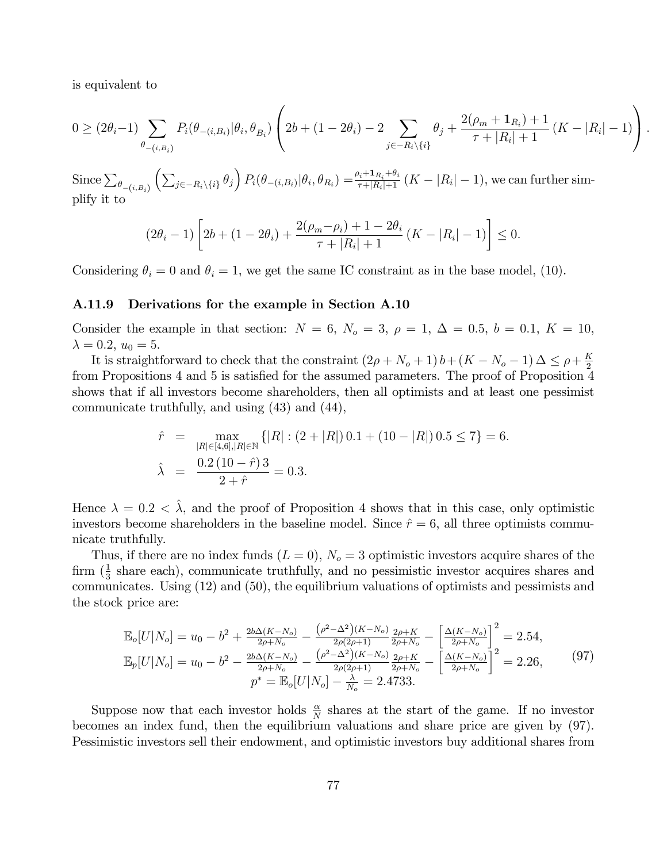is equivalent to

$$
0 \geq (2\theta_i - 1) \sum_{\theta_{-(i,B_i)}} P_i(\theta_{-(i,B_i)} | \theta_i, \theta_{B_i}) \left( 2b + (1 - 2\theta_i) - 2 \sum_{j \in -R_i \setminus \{i\}} \theta_j + \frac{2(\rho_m + \mathbf{1}_{R_i}) + 1}{\tau + |R_i| + 1} (K - |R_i| - 1) \right).
$$

Since  $\sum_{\theta_{-(i,B_i)}}$  $\left(\sum_{j\in-R_i\backslash\{i\}}\theta_j\right)P_i(\theta_{-(i,B_i)}|\theta_i,\theta_{R_i})=\frac{\rho_i+\mathbf{1}_{R_i}+\theta_i}{\tau+|R_i|+1}\left(K-|R_i|-1\right),$  we can further simplify it to

$$
(2\theta_i - 1) \left[ 2b + (1 - 2\theta_i) + \frac{2(\rho_m - \rho_i) + 1 - 2\theta_i}{\tau + |R_i| + 1} (K - |R_i| - 1) \right] \le 0.
$$

Considering  $\theta_i = 0$  and  $\theta_i = 1$ , we get the same IC constraint as in the base model, (10).

### A.11.9 Derivations for the example in Section A.10

Consider the example in that section:  $N = 6$ ,  $N_o = 3$ ,  $\rho = 1$ ,  $\Delta = 0.5$ ,  $b = 0.1$ ,  $K = 10$ ,  $\lambda = 0.2, u_0 = 5.$ 

It is straightforward to check that the constraint  $(2\rho + N_o + 1) b + (K - N_o - 1) \Delta \leq \rho + \frac{K}{2}$ from Propositions 4 and 5 is satisfied for the assumed parameters. The proof of Proposition 4 shows that if all investors become shareholders, then all optimists and at least one pessimist communicate truthfully, and using (43) and (44),

$$
\begin{aligned}\n\hat{r} &= \max_{|R| \in [4,6], |R| \in \mathbb{N}} \left\{ |R| : (2 + |R|) \, 0.1 + (10 - |R|) \, 0.5 \le 7 \right\} = 6. \\
\hat{\lambda} &= \frac{0.2 \, (10 - \hat{r}) \, 3}{2 + \hat{r}} = 0.3.\n\end{aligned}
$$

Hence  $\lambda = 0.2 < \hat{\lambda}$ , and the proof of Proposition 4 shows that in this case, only optimistic investors become shareholders in the baseline model. Since  $\hat{r} = 6$ , all three optimists communicate truthfully.

Thus, if there are no index funds  $(L = 0)$ ,  $N<sub>o</sub> = 3$  optimistic investors acquire shares of the firm  $(\frac{1}{3})$  share each), communicate truthfully, and no pessimistic investor acquires shares and communicates. Using (12) and (50), the equilibrium valuations of optimists and pessimists and the stock price are:

$$
\mathbb{E}_{o}[U|N_{o}] = u_{0} - b^{2} + \frac{2b\Delta(K-N_{o})}{2\rho+N_{o}} - \frac{(\rho^{2}-\Delta^{2})(K-N_{o})}{2\rho(2\rho+1)} \frac{2\rho+K}{2\rho+N_{o}} - \left[\frac{\Delta(K-N_{o})}{2\rho+N_{o}}\right]^{2} = 2.54,
$$
  
\n
$$
\mathbb{E}_{p}[U|N_{o}] = u_{0} - b^{2} - \frac{2b\Delta(K-N_{o})}{2\rho+N_{o}} - \frac{(\rho^{2}-\Delta^{2})(K-N_{o})}{2\rho(2\rho+1)} \frac{2\rho+K}{2\rho+N_{o}} - \left[\frac{\Delta(K-N_{o})}{2\rho+N_{o}}\right]^{2} = 2.26,
$$
\n
$$
p^{*} = \mathbb{E}_{o}[U|N_{o}] - \frac{\lambda}{N_{o}} = 2.4733.
$$
\n(97)

Suppose now that each investor holds  $\frac{\alpha}{N}$  shares at the start of the game. If no investor becomes an index fund, then the equilibrium valuations and share price are given by (97). Pessimistic investors sell their endowment, and optimistic investors buy additional shares from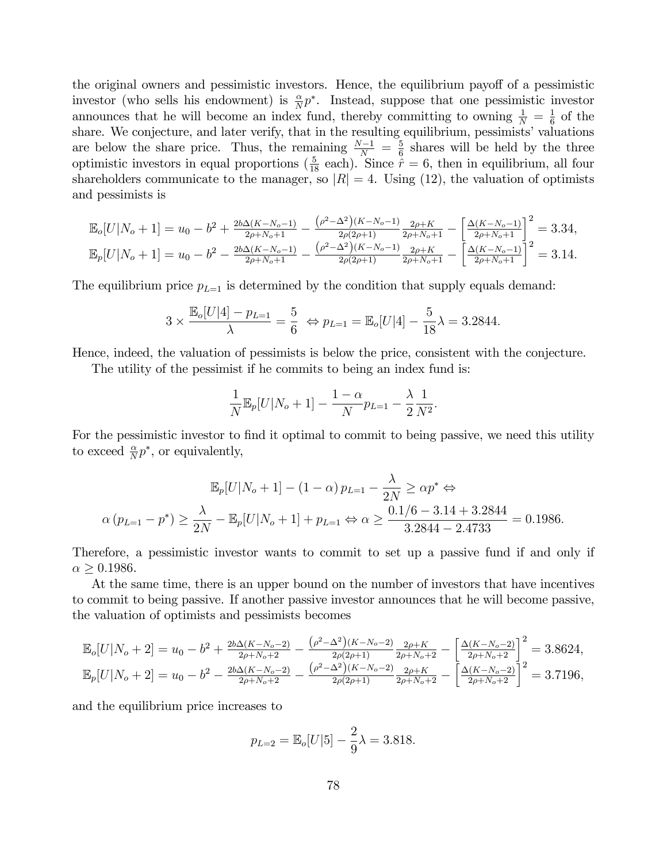the original owners and pessimistic investors. Hence, the equilibrium payoff of a pessimistic investor (who sells his endowment) is  $\frac{\alpha}{N}p^*$ . Instead, suppose that one pessimistic investor announces that he will become an index fund, thereby committing to owning  $\frac{1}{N} = \frac{1}{6}$  of the share. We conjecture, and later verify, that in the resulting equilibrium, pessimists' valuations are below the share price. Thus, the remaining  $\frac{N-1}{N} = \frac{5}{6}$  shares will be held by the three optimistic investors in equal proportions  $(\frac{5}{18} \text{ each})$ . Since  $\hat{r} = 6$ , then in equilibrium, all four shareholders communicate to the manager, so  $|R| = 4$ . Using (12), the valuation of optimists and pessimists is

$$
\mathbb{E}_{o}[U|N_o+1] = u_0 - b^2 + \frac{2b\Delta(K-N_o-1)}{2\rho+N_o+1} - \frac{(\rho^2-\Delta^2)(K-N_o-1)}{2\rho(2\rho+1)} \frac{2\rho+K}{2\rho+N_o+1} - \left[\frac{\Delta(K-N_o-1)}{2\rho+N_o+1}\right]^2 = 3.34,
$$
  

$$
\mathbb{E}_{p}[U|N_o+1] = u_0 - b^2 - \frac{2b\Delta(K-N_o-1)}{2\rho+N_o+1} - \frac{(\rho^2-\Delta^2)(K-N_o-1)}{2\rho(2\rho+1)} \frac{2\rho+K}{2\rho+N_o+1} - \left[\frac{\Delta(K-N_o-1)}{2\rho+N_o+1}\right]^2 = 3.14.
$$

The equilibrium price  $p_{L=1}$  is determined by the condition that supply equals demand:

$$
3 \times \frac{\mathbb{E}_{o}[U|4] - p_{L=1}}{\lambda} = \frac{5}{6} \Leftrightarrow p_{L=1} = \mathbb{E}_{o}[U|4] - \frac{5}{18}\lambda = 3.2844.
$$

Hence, indeed, the valuation of pessimists is below the price, consistent with the conjecture.

The utility of the pessimist if he commits to being an index fund is:

$$
\frac{1}{N} \mathbb{E}_p[U|N_o + 1] - \frac{1 - \alpha}{N} p_{L=1} - \frac{\lambda}{2} \frac{1}{N^2}.
$$

For the pessimistic investor to find it optimal to commit to being passive, we need this utility to exceed  $\frac{\alpha}{N}p^*$ , or equivalently,

$$
\mathbb{E}_p[U|N_o+1] - (1-\alpha) p_{L=1} - \frac{\lambda}{2N} \ge \alpha p^* \Leftrightarrow
$$
  

$$
\alpha (p_{L=1} - p^*) \ge \frac{\lambda}{2N} - \mathbb{E}_p[U|N_o+1] + p_{L=1} \Leftrightarrow \alpha \ge \frac{0.1/6 - 3.14 + 3.2844}{3.2844 - 2.4733} = 0.1986.
$$

Therefore, a pessimistic investor wants to commit to set up a passive fund if and only if  $\alpha > 0.1986$ .

At the same time, there is an upper bound on the number of investors that have incentives to commit to being passive. If another passive investor announces that he will become passive, the valuation of optimists and pessimists becomes

$$
\mathbb{E}_{o}[U|N_o+2] = u_0 - b^2 + \frac{2b\Delta(K-N_o-2)}{2\rho+N_o+2} - \frac{\left(\rho^2-\Delta^2\right)(K-N_o-2)}{2\rho(2\rho+1)} - \frac{2\rho+K}{2\rho+N_o+2} - \left[\frac{\Delta(K-N_o-2)}{2\rho+N_o+2}\right]^2 = 3.8624,
$$
  

$$
\mathbb{E}_{p}[U|N_o+2] = u_0 - b^2 - \frac{2b\Delta(K-N_o-2)}{2\rho+N_o+2} - \frac{\left(\rho^2-\Delta^2\right)(K-N_o-2)}{2\rho(2\rho+1)} - \frac{2\rho+K}{2\rho+N_o+2} - \left[\frac{\Delta(K-N_o-2)}{2\rho+N_o+2}\right]^2 = 3.7196,
$$

and the equilibrium price increases to

$$
p_{L=2} = \mathbb{E}_o[U|5] - \frac{2}{9}\lambda = 3.818.
$$